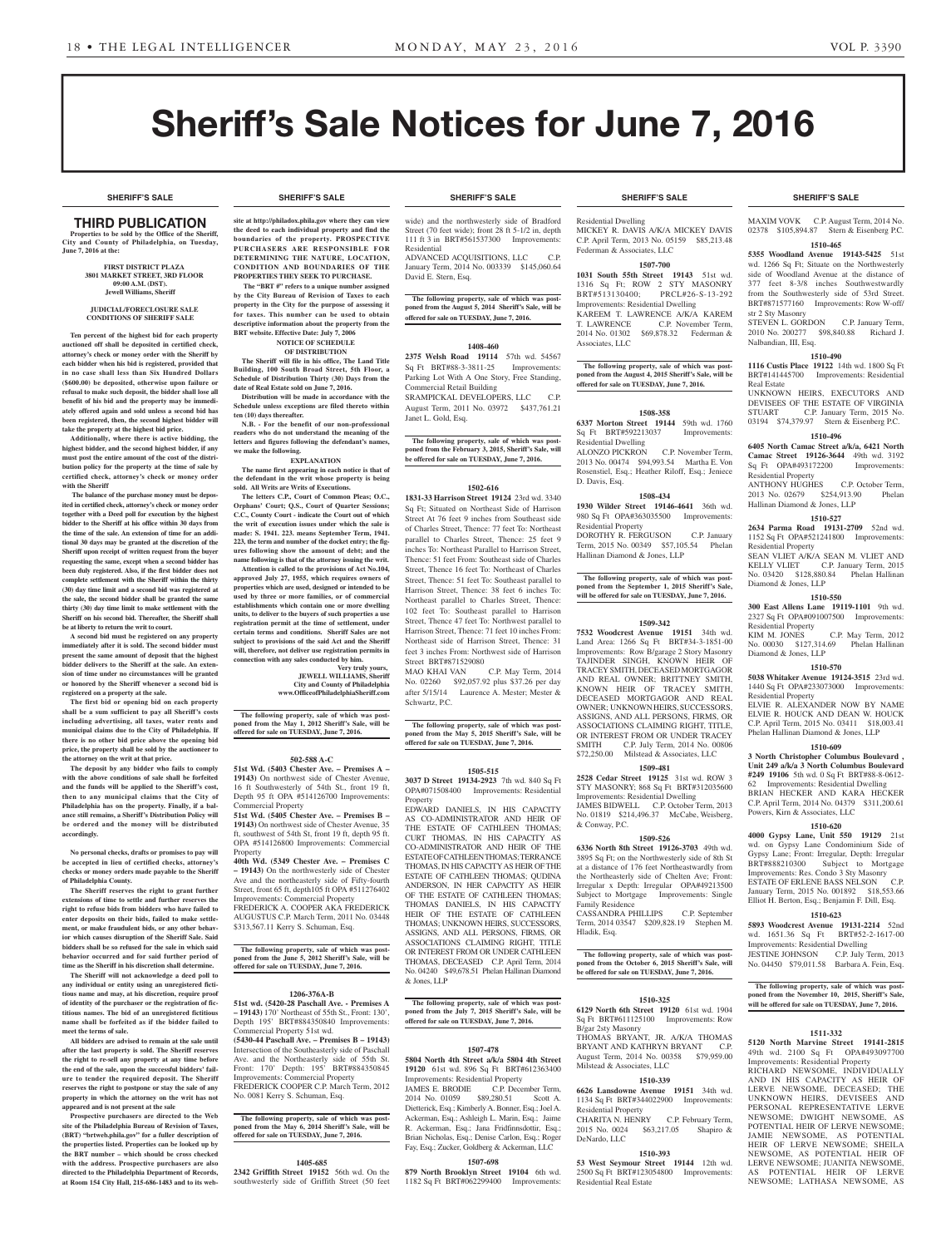**SHERIFF'S SALE SHERIFF'S SALE SHERIFF'S SALE SHERIFF'S SALE SHERIFF'S SALE**

# Sheriff's Sale Notices for June 7, 2016

## THIRD PUBLICATION

**Properties to be sold by the Office of the Sheriff, City and County of Philadelphia, on Tuesday, June 7, 2016 at the:** 

> **FIRST DISTRICT PLAZA 3801 MARKET STREET, 3RD FLOOR 09:00 A.M. (DST). Jewell Williams, Sheriff**

**JUDICIAL/FORECLOSURE SALE CONDITIONS OF SHERIFF SALE**

**Ten percent of the highest bid for each property auctioned off shall be deposited in certified check, attorney's check or money order with the Sheriff by each bidder when his bid is registered, provided that in no case shall less than Six Hundred Dollars (\$600.00) be deposited, otherwise upon failure or refusal to make such deposit, the bidder shall lose all benefit of his bid and the property may be immediately offered again and sold unless a second bid has been registered, then, the second highest bidder will take the property at the highest bid price.**

**Additionally, where there is active bidding, the highest bidder, and the second highest bidder, if any must post the entire amount of the cost of the distribution policy for the property at the time of sale by certified check, attorney's check or money order with the Sheriff**

 **The balance of the purchase money must be deposited in certified check, attorney's check or money order together with a Deed poll for execution by the highest bidder to the Sheriff at his office within 30 days from the time of the sale. An extension of time for an additional 30 days may be granted at the discretion of the Sheriff upon receipt of written request from the buyer requesting the same, except when a second bidder has been duly registered. Also, if the first bidder does not complete settlement with the Sheriff within the thirty (30) day time limit and a second bid was registered at the sale, the second bidder shall be granted the same thirty (30) day time limit to make settlement with the Sheriff on his second bid. Thereafter, the Sheriff shall be at liberty to return the writ to court.**

**A second bid must be registered on any property immediately after it is sold. The second bidder must present the same amount of deposit that the highest bidder delivers to the Sheriff at the sale. An extension of time under no circumstances will be granted or honored by the Sheriff whenever a second bid is registered on a property at the sale.** 

**The first bid or opening bid on each property shall be a sum sufficient to pay all Sheriff's costs including advertising, all taxes, water rents and municipal claims due to the City of Philadelphia. If there is no other bid price above the opening bid price, the property shall be sold by the auctioneer to the attorney on the writ at that price.**

**The deposit by any bidder who fails to comply with the above conditions of sale shall be forfeited and the funds will be applied to the Sheriff's cost, then to any municipal claims that the City of Philadelphia has on the property. Finally, if a balance still remains, a Sheriff's Distribution Policy will be ordered and the money will be distributed accordingly.**

**No personal checks, drafts or promises to pay will be accepted in lieu of certified checks, attorney's checks or money orders made payable to the Sheriff of Philadelphia County.**

**The Sheriff reserves the right to grant further extensions of time to settle and further reserves the right to refuse bids from bidders who have failed to enter deposits on their bids, failed to make settlement, or make fraudulent bids, or any other behavior which causes disruption of the Sheriff Sale. Said bidders shall be so refused for the sale in which said behavior occurred and for said further period of time as the Sheriff in his discretion shall determine.**

**The Sheriff will not acknowledge a deed poll to any individual or entity using an unregistered fictitious name and may, at his discretion, require proof of identity of the purchaser or the registration of fictitious names. The bid of an unregistered fictitious name shall be forfeited as if the bidder failed to meet the terms of sale.**

**All bidders are advised to remain at the sale until after the last property is sold. The Sheriff reserves the right to re-sell any property at any time before the end of the sale, upon the successful bidders' failure to tender the required deposit. The Sheriff reserves the right to postpone or stay the sale of any property in which the attorney on the writ has not appeared and is not present at the sale**

**Prospective purchasers are directed to the Web site of the Philadelphia Bureau of Revision of Taxes, (BRT) "brtweb.phila.gov" for a fuller description of the properties listed. Properties can be looked up by the BRT number – which should be cross checked with the address. Prospective purchasers are also directed to the Philadelphia Department of Records, at Room 154 City Hall, 215-686-1483 and to its web-**

**site at http://philadox.phila.gov where they can view the deed to each individual property and find the boundaries of the property. PROSPECTIVE PURCHASERS ARE RESPONSIBLE FOR DETERMINING THE NATURE, LOCATION, CONDITION AND BOUNDARIES OF THE PROPERTIES THEY SEEK TO PURCHASE.**

 **The "BRT #" refers to a unique number assigned by the City Bureau of Revision of Taxes to each property in the City for the purpose of assessing it for taxes. This number can be used to obtain descriptive information about the property from the BRT website. Effective Date: July 7, 2006 NOTICE OF SCHEDULE** 

**OF DISTRIBUTION The Sheriff will file in his office, The Land Title Building, 100 South Broad Street, 5th Floor, a Schedule of Distribution Thirty (30) Days from the date of Real Estate sold on June 7, 2016.**

**Distribution will be made in accordance with the Schedule unless exceptions are filed thereto within ten (10) days thereafter.**

**N.B. - For the benefit of our non-professional readers who do not understand the meaning of the letters and figures following the defendant's names, we make the following. EXPLANATION**

**The name first appearing in each notice is that of the defendant in the writ whose property is being sold. All Writs are Writs of Executions.**

**The letters C.P., Court of Common Pleas; O.C., Orphans' Court; Q.S., Court of Quarter Sessions; C.C., County Court - indicate the Court out of which the writ of execution issues under which the sale is made: S. 1941. 223. means September Term, 1941. 223, the term and number of the docket entry; the figures following show the amount of debt; and the name following is that of the attorney issuing the writ. Attention is called to the provisions of Act No.104, approved July 27, 1955, which requires owners of properties which are used, designed or intended to be used by three or more families, or of commercial establishments which contain one or more dwelling units, to deliver to the buyers of such properties a use registration permit at the time of settlement, under certain terms and conditions. Sheriff Sales are not subject to provisions of the said Act and the Sheriff will, therefore, not deliver use registration permits in connection with any sales conducted by him.**

**Very truly yours, JEWELL WILLIAMS, Sheriff City and County of Philadelphia**

**www.OfficeofPhiladelphiaSheriff.com**

**The following property, sale of which was post-poned from the May 1, 2012 Sheriff's Sale, will be offered for sale on TUESDAY, June 7, 2016.**

#### **502-588 A-C**

**51st Wd. (5403 Chester Ave. – Premises A – 19143)** On northwest side of Chester Avenue, 16 ft Southwesterly of 54th St., front 19 ft, Depth 95 ft OPA #514126700 Improvements: Commercial Property

**51st Wd. (5405 Chester Ave. – Premises B – 19143)** On northwest side of Chester Avenue, 35 ft, southwest of 54th St, front 19 ft, depth 95 ft. OPA #514126800 Improvements: Commercial Property

**40th Wd. (5349 Chester Ave. – Premises C – 19143)** On the northwesterly side of Chester Ave and the northeasterly side of Fifty-fourth Street, front 65 ft, depth105 ft OPA #511276402 Improvements: Commercial Property FREDERICK A. COOPER AKA FREDERICK

AUGUSTUS C.P. March Term, 2011 No. 03448 \$313,567.11 Kerry S. Schuman, Esq.

**The following property, sale of which was postponed from the June 5, 2012 Sheriff's Sale, will be offered for sale on TUESDAY, June 7, 2016.**

## **1206-376A-B**

**51st wd. (5420-28 Paschall Ave. - Premises A – 19143)** 170' Northeast of 55th St., Front: 130', Depth 195' BRT#884350840 Improvements: Commercial Property 51st wd. **(5430-44 Paschall Ave. – Premises B – 19143)** Intersection of the Southeasterly side of Paschall Ave. and the Northeasterly side of 55th St.

Front: 170' Depth: 195' BRT#884350845 Improvements: Commercial Property FREDERICK COOPER C.P. March Term, 2012 No. 0081 Kerry S. Schuman, Esq.

## **The following property, sale of which was post-poned from the May 6, 2014 Sheriff's Sale, will be offered for sale on TUESDAY, June 7, 2016.**

## **1405-685**

**2342 Griffith Street 19152** 56th wd. On the southwesterly side of Griffith Street (50 feet

wide) and the northwesterly side of Bradford Street (70 feet wide); front  $28$  ft 5-1/2 in, depth 111 ft 3 in BRT#561537300 Improvements: Residential

ADVANCED ACQUISITIONS, LLC C.P. January Term, 2014 No. 003339 \$145,060.64 David E. Stern, Esq.

**The following property, sale of which was postponed from the August 5, 2014 Sheriff's Sale, will be offered for sale on TUESDAY, June 7, 2016.**

## **1408-460**

**2375 Welsh Road 19114** 57th wd. 54567 Sq Ft BRT#88-3-3811-25 Improvements: Parking Lot With A One Story, Free Standing, Commercial Retail Building SRAMPICKAL DEVELOPERS, LLC C.P. August Term, 2011 No. 03972 \$437,761.21 Janet L. Gold, Esq.

**The following property, sale of which was post-poned from the February 3, 2015, Sheriff's Sale, will be offered for sale on TUESDAY, June 7, 2016.**

#### **1502-616**

**1831-33 Harrison Street 19124** 23rd wd. 3340 Sq Ft; Situated on Northeast Side of Harrison Street At 76 feet 9 inches from Southeast side of Charles Street, Thence: 77 feet To: Northeast parallel to Charles Street, Thence: 25 feet 9 inches To: Northeast Parallel to Harrison Street, Thence: 51 feet From: Southeast side of Charles Street, Thence 16 feet To: Northeast of Charles Street, Thence: 51 feet To: Southeast parallel to Harrison Street, Thence: 38 feet 6 inches To: Northeast parallel to Charles Street, Thence: 102 feet To: Southeast parallel to Harrison Street, Thence 47 feet To: Northwest parallel to Harrison Street, Thence: 71 feet 10 inches From: Northeast side of Harrison Street, Thence: 31 feet 3 inches From: Northwest side of Harrison Street BRT#871529080 MAO KHAI VAN C.P. May Term, 2014

No. 02260 \$92,057.92 plus \$37.26 per day after 5/15/14 Laurence A. Mester; Mester & Schwartz, P.C.

## **The following property, sale of which was post-poned from the May 5, 2015 Sheriff's Sale, will be offered for sale on TUESDAY, June 7, 2016.**

### **1505-515**

**3037 D Street 19134-2923** 7th wd. 840 Sq Ft OPA#071508400 Improvements: Residential Property

EDWARD DANIELS, IN HIS CAPACITY AS CO-ADMINISTRATOR AND HEIR OF THE ESTATE OF CATHLEEN THOMAS; CURT THOMAS, IN HIS CAPACITY AS CO-ADMINISTRATOR AND HEIR OF THE ESTATE OF CATHLEEN THOMAS; TERRANCE THOMAS, IN HIS CAPACITY AS HEIR OF THE ESTATE OF CATHLEEN THOMAS; QUDINA ANDERSON, IN HER CAPACITY AS HEIR OF THE ESTATE OF CATHLEEN THOMAS; THOMAS DANIELS, IN HIS CAPACITY HEIR OF THE ESTATE OF CATHLEEN THOMAS: UNKNOWN HEIRS, SUCCESSORS ASSIGNS, AND ALL PERSONS, FIRMS, OR ASSOCIATIONS CLAIMING RIGHT, TITLE OR INTEREST FROM OR UNDER CATHLEEN THOMAS, DECEASED C.P. April Term, 2014 No. 04240 \$49,678.51 Phelan Hallinan Diamond & Jones, LLP

**The following property, sale of which was post-poned from the July 7, 2015 Sheriff's Sale, will be offered for sale on TUESDAY, June 7, 2016.**

## **1507-478**

**5804 North 4th Street a/k/a 5804 4th Street 19120** 61st wd. 896 Sq Ft BRT#612363400 Improvements: Residential Property

C.P. December Term,<br>\$89,280.51 Scott A. 2014 No. 01059 \$89,280.51 Scott A. Dietterick, Esq.; Kimberly A. Bonner, Esq.; Joel A. Ackerman, Esq.; Ashleigh L. Marin, Esq.; Jaime R. Ackerman, Esq.; Jana Fridfinnsdottir, Esq.; Brian Nicholas, Esq.; Denise Carlon, Esq.; Roger Fay, Esq.; Zucker, Goldberg & Ackerman, LLC

## **1507-698**

**879 North Brooklyn Street 19104** 6th wd. 1182 Sq Ft BRT#062299400 Improvements:

Residential Dwelling MICKEY R. DAVIS A/K/A MICKEY DAVIS C.P. April Term, 2013 No. 05159 \$85,213.48 Federman & Associates, LLC

#### **1507-700**

**1031 South 55th Street 19143** 51st wd. 1316 Sq Ft; ROW 2 STY MASONRY<br>BRT#513130400; PRCL#26-S-13-292 PRCL#26-S-13-292 Improvements: Residential Dwelling KAREEM T. LAWRENCE A/K/A KAREM T. LAWRENCE C.P. November Term, 2014 No. 01302 \$69,878.32 Federman &

Associates, LLC **The following property, sale of which was post-poned from the August 4, 2015 Sheriff's Sale, will be** 

**offered for sale on TUESDAY, June 7, 2016.**

## **1508-358**

**6337 Morton Street 19144** 59th wd. 1760 Sq Ft BRT#592213037 Improvements: Residential Dwelling

ALONZO PICKRON C.P. November Term, 2013 No. 00474 \$94,993.54 Martha E. Von Rosenstiel, Esq.; Heather Riloff, Esq.; Jeniece

## D. Davis, Esq. **1508-434**

**1930 Wilder Street 19146-4641** 36th wd. 980 Sq Ft OPA#363035500 Improvements: Residential Property DOROTHY R. FERGUSON C.P. January Term, 2015 No. 00349 \$57,105.54 Phelan

Hallinan Diamond & Jones, LLP

**The following property, sale of which was postponed from the September 1, 2015 Sheriff's Sale, will be offered for sale on TUESDAY, June 7, 2016.**

## **1509-342**

**7532 Woodcrest Avenue 19151** 34th wd. Land Area: 1266 Sq Ft BRT#34-3-1851-00 Improvements: Row B/garage 2 Story Masonry TAJINDER SINGH, KNOWN HEIR OF TRACEY SMITH, DECEASED MORTGAGOR AND REAL OWNER; BRITTNEY SMITH, KNOWN HEIR OF TRACEY SMITH, DECEASED MORTGAGOR AND REAL OWNER; UNKNOWN HEIRS, SUCCESSORS, ASSIGNS, AND ALL PERSONS, FIRMS, OR ASSOCIATIONS CLAIMING RIGHT, TITLE OR INTEREST FROM OR UNDER TRACEY<br>SMITH C.P. July Term. 2014 No. 00806 C.P. July Term, 2014 No. 00806 \$72,250.00 Milstead & Associates, LLC

### **1509-481**

**2528 Cedar Street 19125** 31st wd. ROW 3 STY MASONRY; 868 Sq Ft BRT#312035600 Improvements: Residential Dwelling

JAMES BIDWELL C.P. October Term, 2013 No. 01819 \$214,496.37 McCabe, Weisberg, & Conway, P.C.

#### **1509-526**

**6336 North 8th Street 19126-3703** 49th wd. 3895 Sq Ft; on the Northwesterly side of 8th St at a distance of 176 feet Northeastwardly from the Northeasterly side of Chelten Ave; Front: Irregular x Depth: Irregular OPA#49213500 Subject to Mortgage Improvements: Single Family Residence

CASSANDRA PHILLIPS C.P. Septembe Term, 2014 03547 \$209,828.19 Stephen M. Hladik, Esq.

## **The following property, sale of which was post-poned from the October 6, 2015 Sheriff's Sale, will be offered for sale on TUESDAY, June 7, 2016.**

## **1510-325**

**6129 North 6th Street 19120** 61st wd. 1904 Sq Ft BRT#611125100 Improvements: Row B/gar 2sty Masonry

THOMAS BRYANT, JR. A/K/A THOMAS BRYANT AND KATHRYN BRYANT C.P. August Term, 2014 No. 00358 \$79,959.00 Milstead & Associates, LLC

#### **1510-339**

**6626 Lansdowne Avenue 19151** 34th wd. 1134 Sq Ft BRT#344022900 Improvements: Residential Property CHARITA N. HENRY C.P. February Term,<br>2015 No. 0024 \$63,217.05 Shapiro &

\$63,217.05 Shapiro & DeNardo, LLC

## **1510-393**

**53 West Seymour Street 19144** 12th wd. 2500 Sq Ft BRT#123054800 Improvements: Residential Real Estate

**SHERIFF'S SALE SHERIFF'S SALE SHERIFF'S SALE SHERIFF'S SALE SHERIFF'S SALE**

MAXIM VOVK C.P. August Term, 2014 No. 02378 \$105,894.87 Stern & Eisenberg P.C.

### **1510-465**

**5355 Woodland Avenue 19143-5425** 51st wd. 1266 Sq Ft; Situate on the Northwesterly side of Woodland Avenue at the distance of 377 feet 8-3/8 inches Southwestwardly from the Southwesterly side of 53rd Street. BRT#871577160 Improvements: Row W-off/ str 2 Sty Masonry

STEVEN L. GORDON C.P. January Term, 2010 No. 200277 \$98,840.88 Richard J. Nalbandian, III, Esq.

## **1510-490**

**1116 Custis Place 19122** 14th wd. 1800 Sq Ft BRT#141445700 Improvements: Residential Real Estate UNKNOWN HEIRS, EXECUTORS AND

DEVISEES OF THE ESTATE OF VIRGINIA<br>STUART C.P. January Term, 2015 No.

03194 \$74,379.97 Stern & Eisenberg P.C. **1510-496 6405 North Camac Street a/k/a, 6421 North Camac Street 19126-3644** 49th wd. 3192 Sq Ft OPA#493172200 Improvements:

ANTHONY HUGHES C.P. October Term, 2013 No. 02679 \$254,913.90 Phelan

**1510-527 2634 Parma Road 19131-2709** 52nd wd. 1152 Sq Ft OPA#521241800 Improvements:

SEAN VLIET A/K/A SEAN M. VLIET AND<br>KELLY VLIET C.P. January Term, 2015

No. 03420 \$128,880.84 Phelan Hallinan

**1510-550 300 East Allens Lane 19119-1101** 9th wd. 2327 Sq Ft OPA#091007500 Improvements:

KIM M. JONES C.P. May Term, 2012

**1510-570 5038 Whitaker Avenue 19124-3515** 23rd wd. 1440 Sq Ft OPA#233073000 Improvements:

ELVIE R. ALEXANDER NOW BY NAME ELVIE R. HOUCK AND DEAN W. HOUCK C.P. April Term, 2015 No. 03411 \$18,003.41 Phelan Hallinan Diamond & Jones, LLP **1510-609 3 North Christopher Columbus Boulevard , Unit 249 a/k/a 3 North Columbus Boulevard #249 19106** 5th wd. 0 Sq Ft BRT#88-8-0612- 62 Improvements: Residential Dwelling BRIAN HECKER AND KARA HECKER C.P. April Term, 2014 No. 04379 \$311,200.61

C.P. January Term, 2015

Residential Property

Residential Property

Diamond & Jones, LLP

Residential Property

Residential Property

No.  $00030$  \$127,314.69 Diamond & Jones, LLP

Powers, Kirn & Associates, LLC

**1510-620 4000 Gypsy Lane, Unit 550 19129** 21st wd. on Gypsy Lane Condominium Side of Gypsy Lane; Front: Irregular, Depth: Irregular BRT#888210300 Subject to Mortgage Improvements: Res. Condo 3 Sty Masonry ESTATE OF ERLENE BASS NELSON C.P. January Term, 2015 No. 001892 \$18,553.66 Elliot H. Berton, Esq.; Benjamin F. Dill, Esq. **1510-623 5893 Woodcrest Avenue 19131-2214** 52nd wd. 1651.36 Sq Ft BRT#52-2-1617-00 Improvements: Residential Dwelling JESTINE JOHNSON C.P. July Term, 2013 No. 04450 \$79,011.58 Barbara A. Fein, Esq.

**The following property, sale of which was postponed from the November 10, 2015, Sheriff's Sale, will be offered for sale on TUESDAY, June 7, 2016.**

**1511-332 5120 North Marvine Street 19141-2815** 

49th wd. 2100 Sq Ft Improvements: Residential Property RICHARD NEWSOME, INDIVIDUALLY AND IN HIS CAPACITY AS HEIR OF LERVE NEWSOME, DECEASED; THE UNKNOWN HEIRS, DEVISEES AND PERSONAL REPRESENTATIVE LERVE NEWSOME; DWIGHT NEWSOME, AS POTENTIAL HEIR OF LERVE NEWSOME; JAMIE NEWSOME, AS POTENTIAL HEIR OF LERVE NEWSOME; SHEILA NEWSOME, AS POTENTIAL HEIR OF LERVE NEWSOME; JUANITA NEWSOME, AS POTENTIAL HEIR OF LERVE NEWSOME; LATHASA NEWSOME, AS

Hallinan Diamond & Jones, LLP

C.P. January Term, 2015 No.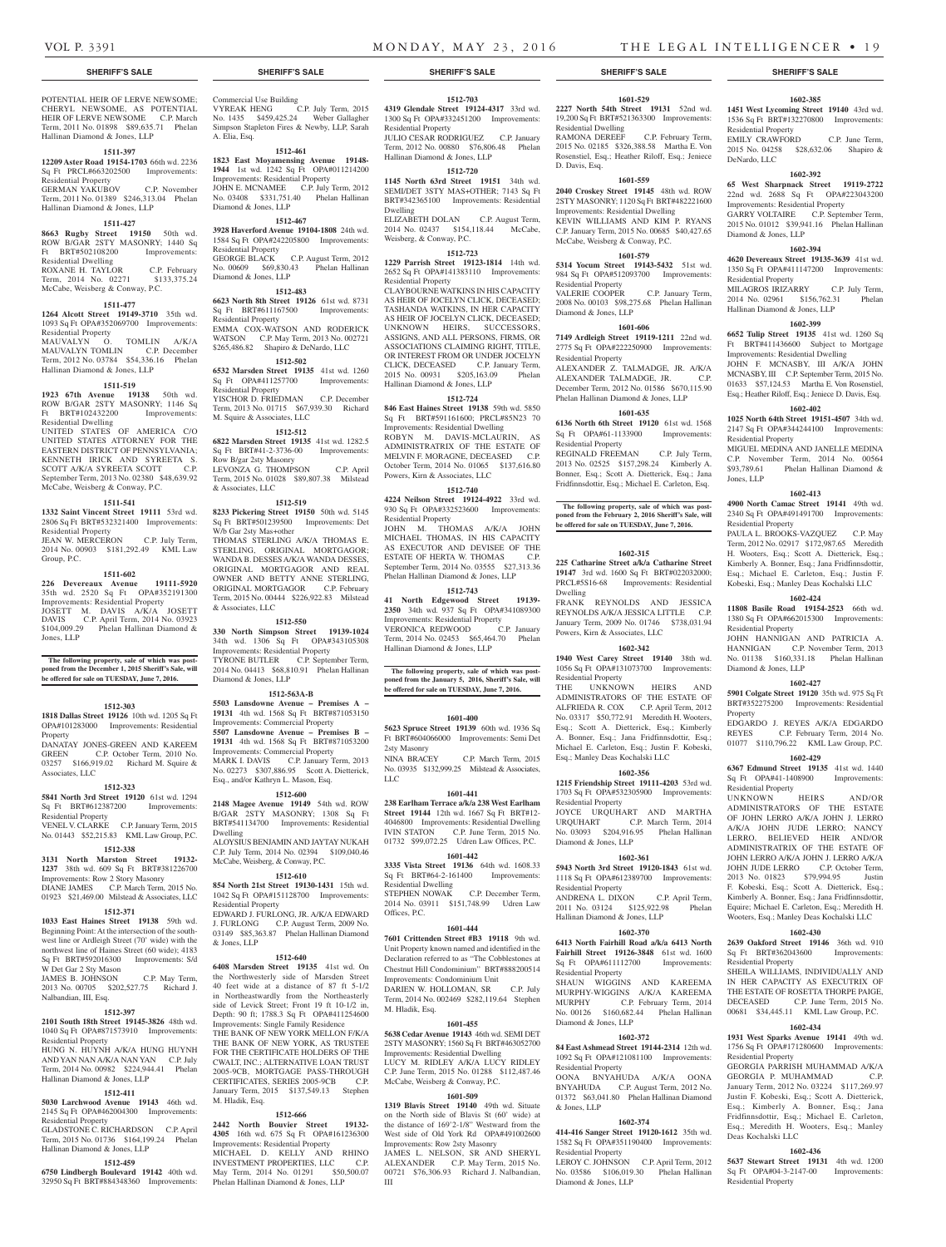Residential Property

Diamond & Jones, LLP

Residential Property

Residential Property

Residential Property

Residential Property

Diamond & Jones, LLP

Residential Property

Residential Property

Residential Property

Deas Kochalski LLC

Sq Ft OPA#04-3-2147-00 Residential Property

Property

Jones, LLP

Hallinan Diamond & Jones, LLP

DeNardo, LLC

**1602-385 1451 West Lycoming Street 19140** 43rd wd. 1536 Sq Ft BRT#132270800 Improvements:

EMILY CRAWFORD C.P. June Term, 2015 No. 04258 \$28,632.06 Shapiro &

**1602-392 65 West Sharpnack Street 19119-2722**  22nd wd. 2688 Sq Ft OPA#223043200 Improvements: Residential Property GARRY VOLTAIRE C.P. September Term, 2015 No. 01012 \$39,941.16 Phelan Hallinan

**1602-394 4620 Devereaux Street 19135-3639** 41st wd. 1350 Sq Ft OPA#411147200 Improvements:

MILAGROS IRIZARRY C.P. July Term, 2014 No. 02961 \$156,762.31 Phelan

**1602-399 6652 Tulip Street 19135** 41st wd. 1260 Sq Ft BRT#411436600 Subject to Mortgage Improvements: Residential Dwelling JOHN F. MCNASBY, III A/K/A JOHN MCNASBY, III C.P. September Term, 2015 No. 01633 \$57,124.53 Martha E. Von Rosenstiel, Esq.; Heather Riloff, Esq.; Jeniece D. Davis, Esq. **1602-402 1025 North 64th Street 19151-4507** 34th wd. 2147 Sq Ft OPA#344244100 Improvements:

MIGUEL MEDINA AND JANELLE MEDINA C.P. November Term, 2014 No. 00564 \$93,789.61 Phelan Hallinan Diamond &

**1602-413 4900 North Camac Street 19141** 49th wd. 2340 Sq Ft OPA#491491700 Improvements:

PAULA L. BROOKS-VAZQUEZ C.P. May Term, 2012 No. 02917 \$172,987.65 Meredith H. Wooters, Esq.; Scott A. Dietterick, Esq.; Kimberly A. Bonner, Esq.; Jana Fridfinnsdottir, Esq.; Michael E. Carleton, Esq.; Justin F. Kobeski, Esq.; Manley Deas Kochalski LLC **1602-424 11808 Basile Road 19154-2523** 66th wd. 1380 Sq Ft OPA#662015300 Improvements:

JOHN HANNIGAN AND PATRICIA A. HANNIGAN C.P. November Term, 2013 No. 01138 \$160,331.18 Phelan Hallinan

**1602-427 5901 Colgate Street 19120** 35th wd. 975 Sq Ft BRT#352275200 Improvements: Residential

EDGARDO J. REYES A/K/A EDGARDO REYES C.P. February Term, 2014 No. 01077 \$110,796.22 KML Law Group, P.C. **1602-429 6367 Edmund Street 19135** 41st wd. 1440 Sq Ft OPA#41-1408900 Improvements:

UNKNOWN HEIRS AND/OR ADMINISTRATORS OF THE ESTATE OF JOHN LERRO A/K/A JOHN J. LERRO A/K/A JOHN JUDE LERRO; NANCY LERRO, BELIEVED HEIR AND/OR ADMINISTRATRIX OF THE ESTATE OF JOHN LERRO A/K/A JOHN J. LERRO A/K/A JOHN JUDE LERRO C.P. October Term, 2013 No. 01823 \$79,994.95 Justin F. Kobeski, Esq.; Scott A. Dietterick, Esq.; Kimberly A. Bonner, Esq.; Jana Fridfinnsdottir, Equire; Michael E. Carleton, Esq.; Meredith H. Wooters, Esq.; Manley Deas Kochalski LLC **1602-430 2639 Oakford Street 19146** 36th wd. 910 Sq Ft BRT#362043600 Improvements:

SHEILA WILLIAMS, INDIVIDUALLY AND IN HER CAPACITY AS EXECUTRIX OF THE ESTATE OF ROSETTA THORPE PAIGE, DECEASED C.P. June Term, 2015 No. 00681 \$34,445.11 KML Law Group, P.C. **1602-434 1931 West Sparks Avenue 19141** 49th wd. 1756 Sq Ft OPA#171280600 Improvements:

GEORGIA PARRISH MUHAMMAD A/K/A GEORGIA P. MUHAMMAD C.P. January Term, 2012 No. 03224 \$117,269.97 Justin F. Kobeski, Esq.; Scott A. Dietterick, Esq.; Kimberly A. Bonner, Esq.; Jana Fridfinnsdottir, Esq.; Michael E. Carleton, Esq.; Meredith H. Wooters, Esq.; Manley

**1602-436 5637 Stewart Street 19131** 4th wd. 1200<br>Sq Ft OPA#04-3-2147-00 Improvements:

## **SHERIFF'S SALE SHERIFF'S SALE SHERIFF'S SALE SHERIFF'S SALE SHERIFF'S SALE**

POTENTIAL HEIR OF LERVE NEWSOME; CHERYL NEWSOME, AS POTENTIAL<br>HEIR OF LERVE NEWSOME C.P. March HEIR OF LERVE NEWSOME Term, 2011 No. 01898 \$89,635.71 Phelan Hallinan Diamond & Jones, LLP

## **1511-397**

**12209 Aster Road 19154-1703** 66th wd. 2236

Sq Ft PRCL#663202500 Improvements: Residential Property GERMAN YAKUBOV C.P. November

Term, 2011 No. 01389 \$246,313.04 Phelan Hallinan Diamond & Jones, LLP

#### **1511-427**

**8663 Rugby Street 19150** 50th wd. ROW B/GAR 2STY MASONRY; 1440 Sq Ft BRT#502108200 Improvements: Residential Dwelling ROXANE H. TAYLOR C.P. February

## Term, 2014 No. 02271 \$133,375.24 McCabe, Weisberg & Conway, P.C.

## **1511-477**

**1264 Alcott Street 19149-3710** 35th wd. 1093 Sq Ft OPA#352069700 Improvements: Residential Property

MAUVALYN O. TOMLIN A/K/A MAUVALYN TOMLIN C.P. December Term, 2012 No. 03784 \$54,336.16 Phelan Hallinan Diamond & Jones, LLP

## **1511-519**

**1923 67th Avenue 19138** 50th wd. ROW B/GAR 2STY MASONRY; 1146 Sq Ft BRT#102432200 Improvements: Residential Dwelling

UNITED STATES OF AMERICA C/O UNITED STATES OF IMMEDICATE UNITED STATES ATTORNEY FOR THE EASTERN DISTRICT OF PENNSYLVANIA; KENNETH IRICK AND SYREETA S. SCOTT A/K/A SYREETA SCOTT C.P. September Term, 2013 No. 02380 \$48,639.92 McCabe, Weisberg & Conway, P.C.

#### **1511-541**

**1332 Saint Vincent Street 19111** 53rd wd. 2806 Sq Ft BRT#532321400 Improvements: Residential Property

JEAN W. MERCERON C.P. July Term, 2014 No. 00903 \$181,292.49 KML Law Group, P.C.

#### **1511-602**

**226 Devereaux Avenue 19111-5920**  35th wd. 2520 Sq Ft OPA#352191300 Improvements: Residential Property JOSETT M. DAVIS A/K/A JOSETT DAVIS C.P. April Term, 2014 No. 03923 \$104,009.29 Phelan Hallinan Diamond & Jones, LLP

**The following property, sale of which was post-poned from the December 1, 2015 Sheriff's Sale, will be offered for sale on TUESDAY, June 7, 2016.**

### **1512-303**

**1818 Dallas Street 19126** 10th wd. 1205 Sq Ft OPA#101283000 Improvements: Residential Property DANATAY JONES-GREEN AND KAREEM

GREEN C.P. October Term, 2010 No. 03257 \$166,919.02 Richard M. Squire & Associates, LLC

#### **1512-323**

**5841 North 3rd Street 19120** 61st wd. 1294 Sq Ft BRT#612387200 Improvements: Residential Property

## VENEL V. CLARKE C.P. January Term, 2015 No. 01443 \$52,215.83 KML Law Group, P.C.

**1512-338**

**3131 North Marston Street 19132- 1237** 38th wd. 609 Sq Ft BRT#381226700 Improvements: Row 2 Story Masonry DIANE JAMES C.P. March Term, 2015 No. 01923 \$21,469.00 Milstead & Associates, LLC

## **1512-371**

**1033 East Haines Street 19138** 59th wd. Beginning Point: At the intersection of the southwest line or Ardleigh Street (70' wide) with the northwest line of Haines Street (60 wide); 4183 Sq Ft BRT#592016300 Improvements: S/d W Det Gar 2 Sty Mason

JAMES B. JOHNSON C.P. May Term, 2013 No. 00705 \$202,527.75 Richard J. Nalbandian, III, Esq.

## **1512-397**

**2101 South 18th Street 19145-3826** 48th wd. 1040 Sq Ft OPA#871573910 Improvements: Residential Property HUNG N. HUYNH A/K/A HUNG HUYNH

AND YAN NAN A/K/A NAN YAN C.P. July Term, 2014 No. 00982 \$224,944.41 Phelan Hallinan Diamond & Jones, LLP

## **1512-411**

**5030 Larchwood Avenue 19143** 46th wd. 2145 Sq Ft OPA#462004300 Improvements: Residential Property GLADSTONE C. RICHARDSON C.P. April

Term, 2015 No. 01736 \$164,199.24 Phelan Hallinan Diamond & Jones, LLP

## **1512-459**

**6750 Lindbergh Boulevard 19142** 40th wd. 32950 Sq Ft BRT#884348360 Improvements:

Commercial Use Building VYREAK HENG C.P. July Term, 2015 No. 1435 \$459,425.24 Weber Gallagher Simpson Stapleton Fires & Newby, LLP, Sarah A. Elia, Esq.

### **1512-461**

**1823 East Moyamensing Avenue 19148- 1944** 1st wd. 1242 Sq Ft OPA#011214200 Improvements: Residential Property JOHN E. MCNAMEE C.P. July Term, 2012 No. 03408 \$331,751.40 Phelan Hallinan Diamond & Jones, LLP

## **1512-467**

**3928 Haverford Avenue 19104-1808** 24th wd. 1584 Sq Ft OPA#242205800 Improvements: Residential Property<br>GEORGE BLACK C.P. August Term, 2012 No. 00609 \$69,830.43 Phelan Hallinan Diamond & Jones, LLP

## **1512-483**

**6623 North 8th Street 19126** 61st wd. 8731 Sq Ft BRT#611167500 Improvements: Residential Property EMMA COX-WATSON AND RODERICK WATSON C.P. May Term, 2013 No. 002721 \$265,486.82 Shapiro & DeNardo, LLC

## **1512-502**

**6532 Marsden Street 19135** 41st wd. 1260 Sq Ft OPA#411257700 Improvements: Residential Property YISCHOR D. FRIEDMAN C.P. December Term, 2013 No. 01715 \$67,939.30 Richard M. Squire & Associates, LLC

## **1512-512**

**6822 Marsden Street 19135** 41st wd. 1282.5 Sq Ft BRT#41-2-3736-00 Improvements: Row B/gar 2sty Masonry LEVONZA G. THOMPSON C.P. April

Term, 2015 No. 01028 \$89,807.38 Milstead & Associates, LLC

## **1512-519**

**8233 Pickering Street 19150** 50th wd. 5145 Sq Ft BRT#501239500 Improvements: Det W/b Gar 2sty Mas+other THOMAS STERLING A/K/A THOMAS E. STERLING, ORIGINAL MORTGAGOR; WANDA B. DESSES A/K/A WANDA DESSES, ORIGINAL MORTGAGOR AND REAL OWNER AND BETTY ANNE STERLING, ORIGINAL MORTGAGOR C.P. February Term, 2015 No. 00444 \$226,922.83 Milstead & Associates, LLC

#### **1512-550**

**330 North Simpson Street 19139-1024**  34th wd. 1306 Sq Ft OPA#343105308 Improvements: Residential Property TYRONE BUTLER C.P. September Term, 2014 No. 04413 \$68,810.91 Phelan Hallinan Diamond & Jones, LLP

## **1512-563A-B**

**5503 Lansdowne Avenue – Premises A – 19131** 4th wd. 1568 Sq Ft BRT#871053150 Improvements: Commercial Property **5507 Lansdowne Avenue – Premises B – 19131** 4th wd. 1568 Sq Ft BRT#871053200 Improvements: Commercial Property

MARK I. DAVIS C.P. January Term, 2013 No. 02273 \$307,886.95 Scott A. Dietterick, Esq., and/or Kathryn L. Mason, Esq. **1512-600**

**2148 Magee Avenue 19149** 54th wd. ROW B/GAR 2STY MASONRY; 1308 Sq Ft BRT#541134700 Improvements: Residential Dwelling ALOYSIUS BENJAMIN AND JAYTAY NUKAH C.P. July Term, 2014 No. 02394 \$109,040.46 McCabe, Weisberg, & Conway, P.C.

## **1512-610**

**854 North 21st Street 19130-1431** 15th wd. 1042 Sq Ft OPA#151128700 Improvements: Residential Property EDWARD J. FURLONG, JR. A/K/A EDWARD J. FURLONG C.P. August Term, 2009 No.

03149 \$85,363.87 Phelan Hallinan Diamond & Jones, LLP **1512-640**

**6408 Marsden Street 19135** 41st wd. On the Northwesterly side of Marsden Street 40 feet wide at a distance of 87 ft 5-1/2 in Northeastwardly from the Northeasterly side of Levick Street; Front 19 ft 10-1/2 in, Depth: 90 ft; 1788.3 Sq Ft OPA#411254600 Improvements: Single Family Residence THE BANK OF NEW YORK MELLON F/K/A THE BANK OF NEW YORK, AS TRUSTEE FOR THE CERTIFICATE HOLDERS OF THE CWALT, INC.; ALTERNATIVE LOAN TRUST 2005-9CB, MORTGAGE PASS-THROUGH CERTIFICATES, SERIES 2005-9CB C.P. January Term, 2015 \$137,549.13 Stephen M. Hladik, Esq.

## **1512-666**

**2442 North Bouvier Street 19132- 4305** 16th wd. 675 Sq Ft OPA#161236300 Improvements: Residential Property MICHAEL D. KELLY AND RHINO INVESTMENT PROPERTIES, LLC C.P. May Term, 2014 No. 01291 \$50,500.07 Phelan Hallinan Diamond & Jones, LLP

**1512-703**

**4319 Glendale Street 19124-4317** 33rd wd. 1300 Sq Ft OPA#332451200 Improvements: Residential Property JULIO CESAR RODRIGUEZ C.P. January Term, 2012 No. 00880 \$76,806.48 Phelan Hallinan Diamond & Jones, LLP

## **1512-720**

**1145 North 63rd Street 19151** 34th wd. SEMI/DET 3STY MAS+OTHER; 7143 Sq Ft BRT#342365100 Improvements: Residential Dwelling ELIZABETH DOLAN C.P. August Term,

2014 No. 02437 \$154,118.44 McCabe, Weisberg, & Conway, P.C. **1512-723**

## **1229 Parrish Street 19123-1814** 14th wd. 2652 Sq Ft OPA#141383110 Improvements:

Residential Property CLAYBOURNE WATKINS IN HIS CAPACITY AS HEIR OF JOCELYN CLICK, DECEASED; TASHANDA WATKINS, IN HER CAPACITY AS HEIR OF JOCELYN CLICK, DECEASED; UNKNOWN HEIRS, SUCCESSORS, ASSIGNS, AND ALL PERSONS, FIRMS, OR ASSOCIATIONS CLAIMING RIGHT, TITLE, OR INTEREST FROM OR UNDER JOCELYN CLICK, DECEASED C.P. January Term,<br>2015 No. 00931 \$205.163.09 Phelan 2015 No. 00931 \$205,163.09 Hallinan Diamond & Jones, LLP

## **1512-724**

**846 East Haines Street 19138** 59th wd. 5850 Sq Ft BRT#591161600; PRCL#85N23 70 Improvements: Residential Dwelling ROBYN M. DAVIS-MCLAURIN, AS ADMINISTRATRIX OF THE ESTATE OF MELVIN F. MORAGNE, DECEASED C.P. October Term, 2014 No. 01065 \$137,616.80 Powers, Kirn & Associates, LLC

## **1512-740**

**4224 Neilson Street 19124-4922** 33rd wd. 930 Sq Ft OPA#332523600 Improvements: Residential Property JOHN M. THOMAS A/K/A JOHN MICHAEL THOMAS, IN HIS CAPACITY AS EXECUTOR AND DEVISEE OF THE ESTATE OF HERTA W. THOMAS September Term, 2014 No. 03555 \$27,313.36 Phelan Hallinan Diamond & Jones, LLP

## **1512-743**

**41 North Edgewood Street 19139- 2350** 34th wd. 937 Sq Ft OPA#341089300 Improvements: Residential Property VERONICA REDWOOD C.P. January Term, 2014 No. 02453 \$65,464.70 Phelan Hallinan Diamond & Jones, LLP

**The following property, sale of which was post-poned from the January 5, 2016, Sheriff's Sale, will be offered for sale on TUESDAY, June 7, 2016.**

## **1601-400**

**5623 Spruce Street 19139** 60th wd. 1936 Sq Ft BRT#604066000 Improvements: Semi Det 2sty Masonry NINA BRACEY C.P. March Term, 2015

No. 03935 \$132,999.25 Milstead & Associates, LLC

## **1601-441**

**238 Earlham Terrace a/k/a 238 West Earlham Street 19144** 12th wd. 1667 Sq Ft BRT#12- 4046800 Improvements: Residential Dwelling<br>IVIN STATON C.P. June Term. 2015 No. C.P. June Term, 2015 No. 01732 \$99,072.25 Udren Law Offices, P.C.

## **1601-442**

**3335 Vista Street 19136** 64th wd. 1608.33 Sq Ft BRT#64-2-161400 Improvements: Residential Dwelling C.P. December Term, 2014 No. 03911 \$151,748.99 Udren Law Offices, P.C.

### **1601-444**

**7601 Crittenden Street #B3 19118** 9th wd. Unit Property known named and identified in the Declaration referred to as "The Cobblestones at Chestnut Hill Condominium" BRT#888200514 Improvements: Condominium Unit DARIEN W. HOLLOMAN, SR C.P. July

Term, 2014 No. 002469 \$282,119.64 Stephen M. Hladik, Esq. **1601-455**

## **5638 Cedar Avenue 19143** 46th wd. SEMI DET 2STY MASONRY; 1560 Sq Ft BRT#463052700 Improvements: Residential Dwelling LUCY M. RIDLEY A/K/A LUCY RIDLEY C.P. June Term, 2015 No. 01288 \$112,487.46 McCabe, Weisberg & Conway, P.C.

## **1601-509**

**1319 Blavis Street 19140** 49th wd. Situate on the North side of Blavis St (60' wide) at the distance of 169'2-1/8" Westward from the West side of Old York Rd OPA#491002600 Improvements: Row 2sty Masonry JAMES L. NELSON, SR AND SHERYL ALEXANDER C.P. May Term, 2015 No. 00721 \$76,306.93 Richard J. Nalbandian, III

## **1601-529**

**2227 North 54th Street 19131** 52nd wd. 19,200 Sq Ft BRT#521363300 Improvements: Residential Dwelling RAMONA DEREEF C.P. February Term, 2015 No. 02185 \$326,388.58 Martha E. Von Rosenstiel, Esq.; Heather Riloff, Esq.; Jeniece D. Davis, Esq.

## **1601-559 2040 Croskey Street 19145** 48th wd. ROW

Residential Property<br>VALERIE COOPER

Diamond & Jones, LLP

Residential Property

Residential Property

Dwelling

2STY MASONRY; 1120 Sq Ft BRT#482221600 Improvements: Residential Dwelling KEVIN WILLIAMS AND KIM P. RYANS C.P. January Term, 2015 No. 00685 \$40,427.65 McCabe, Weisberg & Conway, P.C. **1601-579 5314 Yocum Street 19143-5432** 51st wd. 984 Sq Ft OPA#512093700 Improvements:

2008 No. 00103 \$98,275.68 Phelan Hallinan

**1601-606 7149 Ardleigh Street 19119-1211** 22nd wd. 2775 Sq Ft OPA#222250900 Improvements:

ALEXANDER Z. TALMADGE, JR. A/K/A ALEXANDER TALMADGE, JR. C.P. December Term, 2012 No. 01586 \$670,115.90 Phelan Hallinan Diamond & Jones, LLP **1601-635 6136 North 6th Street 19120** 61st wd. 1568 Sq Ft OPA#61-1133900 Improvements:

REGINALD FREEMAN C.P. July Term, 2013 No. 02525 \$157,298.24 Kimberly A. Bonner, Esq.; Scott A. Dietterick, Esq.; Jana Fridfinnsdottir, Esq.; Michael E. Carleton, Esq.

**The following property, sale of which was postponed from the February 2, 2016 Sheriff's Sale, will be offered for sale on TUESDAY, June 7, 2016.**

**1602-315 225 Catharine Street a/k/a Catharine Street 19147** 3rd wd. 1600 Sq Ft BRT#022032000; PRCL#5S16-68 Improvements: Residential

FRANK REYNOLDS AND JESSICA REYNOLDS A/K/A JESSICA LITTLE C.P. January Term, 2009 No. 01746 \$738,031.94

**1602-342 1940 West Carey Street 19140** 38th wd. 1056 Sq Ft OPA#131073700 Improvements:

THE UNKNOWN HEIRS AND ADMINISTRATORS OF THE ESTATE OF ALFRIEDA R. COX C.P. April Term, 2012 No. 03317 \$50,772.91 Meredith H. Wooters, Esq.; Scott A. Dietterick, Esq.; Kimberly A. Bonner, Esq.; Jana Fridfinnsdottir, Esq.; Michael E. Carleton, Esq.; Justin F. Kobeski, Esq.; Manley Deas Kochalski LLC **1602-356 1215 Friendship Street 19111-4203** 53rd wd. 1703 Sq Ft OPA#532305900 Improvements:

JOYCE URQUHART AND MARTHA<br>UROUHART C.P. March Term, 2014

No. 03093 \$204,916.95 Phelan Hallinan

**1602-361 5943 North 3rd Street 19120-1843** 61st wd. 1118 Sq Ft OPA#612389700 Improvements:

ANDRENA L. DIXON C.P. April Term, 2011 No. 03124 \$125,922.98 Phelan

**1602-370 6413 North Fairhill Road a/k/a 6413 North Fairhill Street 19126-3848** 61st wd. 1600 Sq Ft OPA#611112700 Improvements:

SHAUN WIGGINS AND KAREEMA MURPHY-WIGGINS A/K/A KAREEMA MURPHY C.P. February Term, 2014 No. 00126 \$160,682.44 Phelan Hallinan

**1602-372 84 East Ashmead Street 19144-2314** 12th wd. 1092 Sq Ft OPA#121081100 Improvements:

OONA BNYAHUDA A/K/A OONA BNYAHUDA C.P. August Term, 2012 No. 01372 \$63,041.80 Phelan Hallinan Diamond

**1602-374 414-416 Sanger Street 19120-1612** 35th wd. 1582 Sq Ft OPA#351190400 Improvements:

LEROY C. JOHNSON C.P. April Term, 2012 No. 03586 \$106,019.30 Phelan Hallinan

C.P. March Term, 2014

Powers, Kirn & Associates, LLC

Residential Property

Residential Property

Diamond & Jones, LLP

Residential Property

Residential Property

Diamond & Jones, LLP

Residential Property

Residential Property

Diamond & Jones, LLP

& Jones, LLP

Hallinan Diamond & Jones, LLP

C.P. January Term,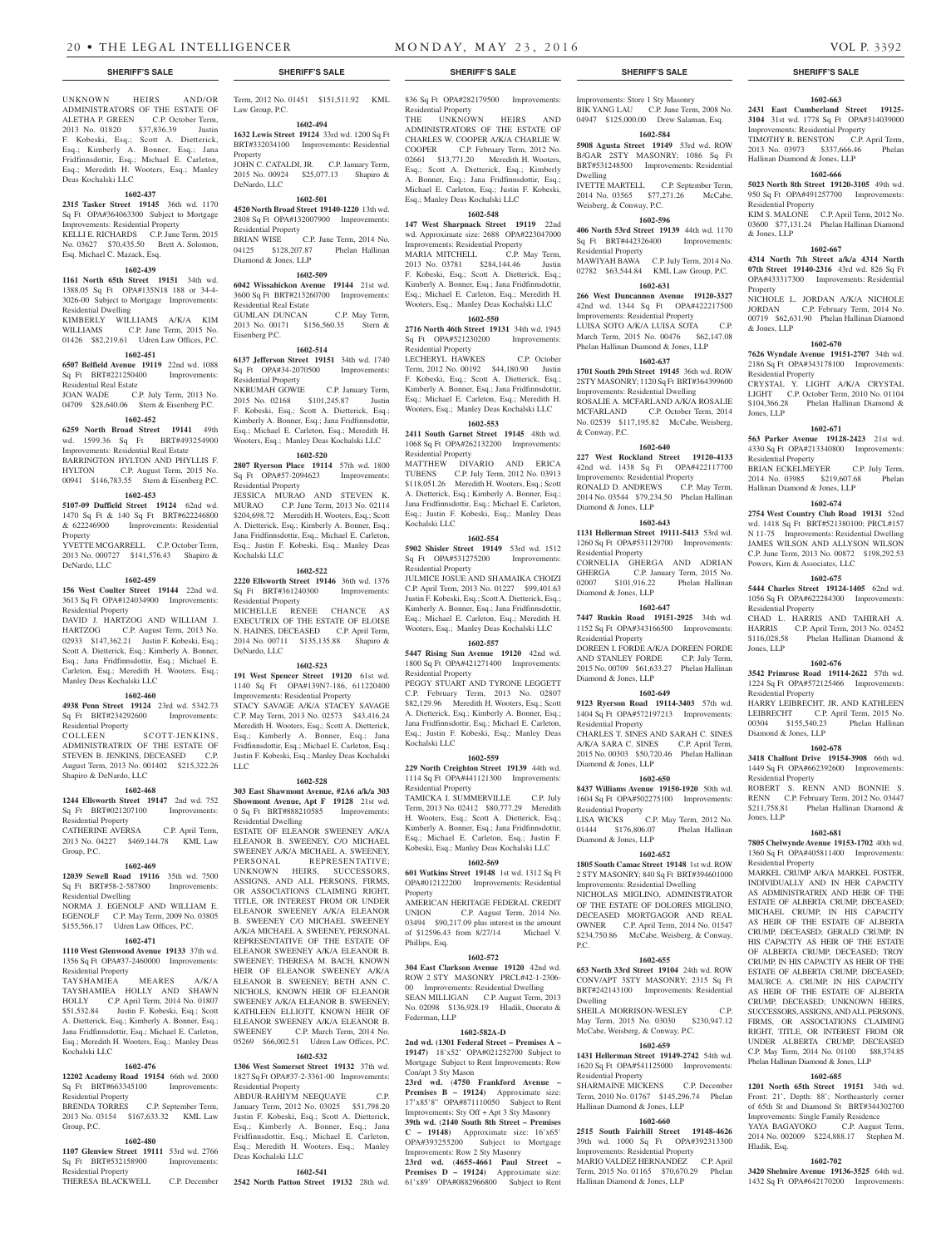UNKNOWN HEIRS AND/OR ADMINISTRATORS OF THE ESTATE OF ALETHA P. GREEN C.P. October Term, 2013 No. 01820 \$37,836.39 Iustin F. Kobeski, Esq.; Scott A. Dietterick, Esq.; Kimberly A. Bonner, Esq.; Jana Fridfinnsdottir, Esq.; Michael E. Carleton, Esq.; Meredith H. Wooters, Esq.; Manley Deas Kochalski LLC

## **1602-437**

**2315 Tasker Street 19145** 36th wd. 1170 Sq Ft OPA#364063300 Subject to Mortgage Improvements: Residential Property KELLI E. RICHARDS C.P. June Term, 2015 No. 03627 \$70,435.50 Brett A. Solomon,

Esq. Michael C. Mazack, Esq. **1602-439**

**1161 North 65th Street 19151** 34th wd. 1388.05 Sq Ft OPA#135N18 188 or 34-4- 3026-00 Subject to Mortgage Improvements: Residential Dwelling KIMBERLY WILLIAMS A/K/A KIM<br>WILLIAMS CP June Term 2015 No

C.P. June Term, 2015 No. 01426 \$82,219.61 Udren Law Offices, P.C. **1602-451**

**6507 Belfield Avenue 19119** 22nd wd. 1088 Sq Ft BRT#221250400 Improvements: Residential Real Estate

JOAN WADE C.P. July Term, 2013 No. 04709 \$28,640.06 Stern & Eisenberg P.C.

## **1602-452**

**6259 North Broad Street 19141** 49th wd. 1599.36 Sq Ft BRT#493254900 Improvements: Residential Real Estate

BARRINGTON HYLTON AND PHYLLIS F. HYLTON C.P. August Term, 2015 No. 00941 \$146,783.55 Stern & Eisenberg P.C.

## **1602-453**

**5107-09 Duffield Street 19124** 62nd wd. 1470 Sq Ft & 140 Sq Ft BRT#622246800 & 622246900 Improvements: Residential Property

YVETTE MCGARRELL C.P. October Term, 2013 No. 000727 \$141,576.43 Shapiro & DeNardo, LLC

### **1602-459**

**156 West Coulter Street 19144** 22nd wd. 3613 Sq Ft OPA#124034900 Improvements: Residential Property

DAVID J. HARTZOG AND WILLIAM J. HARTZOG C.P. August Term, 2013 No. 02933 \$147,362.21 Justin F. Kobeski, Esq.; Scott A. Dietterick, Esq.; Kimberly A. Bonner, Esq.; Jana Fridfinnsdottir, Esq.; Michael E. Carleton, Esq.; Meredith H. Wooters, Esq.; Manley Deas Kochalski LLC

## **1602-460**

**4938 Penn Street 19124** 23rd wd. 5342.73 Sq Ft BRT#234292600 Improvements: Residential Property

SCOTT-JENKINS, ADMINISTRATRIX OF THE ESTATE OF STEVEN B. JENKINS, DECEASED C.P. August Term, 2013 No. 001402 \$215,322.26 Shapiro & DeNardo, LLC

#### **1602-468**

**1244 Ellsworth Street 19147** 2nd wd. 752 Sq Ft BRT#021207100 Improvements: Residential Property

CATHERINE AVERSA C.P. April Term, 2013 No. 04227 \$469,144.78 KML Law Group, P.C.

## **1602-469**

**12039 Sewell Road 19116** 35th wd. 7500 Sq Ft BRT#58-2-587800 Improvements: Residential Dwelling NORMA J. EGENOLF AND WILLIAM E. EGENOLF C.P. May Term, 2009 No. 03805 \$155,566.17 Udren Law Offices, P.C.

## **1602-471**

**1110 West Glenwood Avenue 19133** 37th wd. 1356 Sq Ft OPA#37-2460000 Improvements: Residential Property

TAYSHAMIEA MEARES A/K/A TAYSHAMIEA HOLLY AND SHAWN HOLLY C.P. April Term, 2014 No. 01807<br>\$51,532.84 Justin F. Kobeski, Esq.: Scott Justin F. Kobeski, Esq.; Scott A. Dietterick, Esq.; Kimberly A. Bonner, Esq.; Jana Fridfinnsdottir, Esq.; Michael E. Carleton, Esq.; Meredith H. Wooters, Esq.; Manley Deas Kochalski LLC

## **1602-476**

**12202 Academy Road 19154** 66th wd. 2000 Sq Ft BRT#663345100 Improvements: Residential Property

BRENDA TORRES C.P. September Term, 2013 No. 03154 \$167,633.32 KML Law Group, P.C.

## **1602-480**

**1107 Glenview Street 19111** 53rd wd. 2766 Sq Ft BRT#532158900 Improvements: Residential Property THERESA BLACKWELL C.P. December Term, 2012 No. 01451 \$151,511.92 KML Law Group, P.C.

**1602-494 1632 Lewis Street 19124** 33rd wd. 1200 Sq Ft

BRT#332034100 Improvements: Residential Property JOHN C. CATALDI, JR. C.P. January Term, 2015 No. 00924 \$25,077.13 Shapiro & DeNardo, LLC

## **1602-501**

**4520 North Broad Street 19140-1220** 13th wd. 2808 Sq Ft OPA#132007900 Improvements: Residential Property BRIAN WISE C.P. June Term, 2014 No.<br>04125 \$128.207.87 Phelan Hallinan 04125 \$128,207.87

## Diamond & Jones, LLP

**1602-509 6042 Wissahickon Avenue 19144** 21st wd. 3600 Sq Ft BRT#213260700 Improvements:

Residential Real Estate GUMLAN DUNCAN C.P. May Term, 2013 No. 00171 \$156,560.35 Stern & Eisenberg P.C.

## **1602-514**

**6137 Jefferson Street 19151** 34th wd. 1740 Sq Ft OPA#34-2070500 Improvements: Residential Property<br>NKRUMAH GOWIF

C.P. January Term, 2015 No. 02168 \$101,245.87 Justin F. Kobeski, Esq.; Scott A. Dietterick, Esq.; Kimberly A. Bonner, Esq.; Jana Fridfinnsdottir, Esq.; Michael E. Carleton, Esq.; Meredith H. Wooters, Esq.; Manley Deas Kochalski LLC

## **1602-520**

**2807 Ryerson Place 19114** 57th wd. 1800 Sq Ft OPA#57-2094623 Improvements: Residential Property

JESSICA MURAO AND STEVEN K. MURAO C.P. June Term, 2013 No. 02114 \$204,698.72 Meredith H. Wooters, Esq.; Scott A. Dietterick, Esq.; Kimberly A. Bonner, Esq.; Jana Fridfinnsdottir, Esq.; Michael E. Carleton, Esq.; Justin F. Kobeski, Esq.; Manley Deas Kochalski LLC

## **1602-522**

**2220 Ellsworth Street 19146** 36th wd. 1376 Sq Ft BRT#361240300 Improvements: Residential Property MICHELLE RENEE CHANCE AS

EXECUTRIX OF THE ESTATE OF ELOISE N. HAINES, DECEASED C.P. April Term, 2014 No. 00711 \$135,135.88 Shapiro & DeNardo, LLC

## **1602-523**

**191 West Spencer Street 19120** 61st wd. 1140 Sq Ft OPA#139N7-186, 611220400 Improvements: Residential Property STACY SAVAGE A/K/A STACEY SAVAGE C.P. May Term, 2013 No. 02573 \$43,416.24 Meredith H. Wooters, Esq.; Scott A. Dietterick, Esq.; Kimberly A. Bonner, Esq.; Jana Fridfinnsdottir, Esq.; Michael E. Carleton, Esq.; Justin F. Kobeski, Esq.; Manley Deas Kochalski LLC

### **1602-528**

**303 East Shawmont Avenue, #2A6 a/k/a 303 Showmont Avenue, Apt F 19128** 21st wd.<br>0 Sq Ft BRT#888210585 Improvements: 0 Sq Ft BRT#888210585 Residential Dwelling

ESTATE OF ELEANOR SWEENEY A/K/A ELEANOR B. SWEENEY, C/O MICHAEL SWEENEY A/K/A MICHAEL A. SWEENEY, PERSONAL REPRESENTATIVE; REPRESENTATIVE: UNKNOWN HEIRS, SUCCESSORS, ASSIGNS, AND ALL PERSONS, FIRMS, OR ASSOCIATIONS CLAIMING RIGHT, TITLE, OR INTEREST FROM OR UNDER ELEANOR SWEENEY A/K/A ELEANOR B. SWEENEY C/O MICHAEL SWEENEY A/K/A MICHAEL A. SWEENEY, PERSONAL REPRESENTATIVE OF THE ESTATE OF ELEANOR SWEENEY A/K/A ELEANOR B. SWEENEY; THERESA M. BACH, KNOWN HEIR OF ELEANOR SWEENEY A/K/A ELEANOR B. SWEENEY; BETH ANN C. NICHOLS, KNOWN HEIR OF ELEANOR SWEENEY A/K/A ELEANOR B. SWEENEY; KATHLEEN ELLIOTT, KNOWN HEIR OF ELEANOR SWEENEY A/K/A ELEANOR B. SWEENEY C.P. March Term, 2014 No. 05269 \$66,002.51 Udren Law Offices, P.C.

## **1602-532**

**1306 West Somerset Street 19132** 37th wd. 1827 Sq Ft OPA#37-2-3361-00 Improvements: Residential Property

ABDUR-RAHIYM NEEQUAYE C.P. January Term, 2012 No. 03025 \$51,798.20 Justin F. Kobeski, Esq.; Scott A. Dietterick, Esq.; Kimberly A. Bonner, Esq.; Jana Fridfinnsdottir, Esq.; Michael E. Carleton, Esq.; Meredith H. Wooters, Esq.; Manley Deas Kochalski LLC

### **1602-541**

**2542 North Patton Street 19132** 28th wd.

836 Sq Ft OPA#282179500 Improvements:

Residential Property THE UNKNOWN HEIRS AND ADMINISTRATORS OF THE ESTATE OF CHARLES W. COOPER A/K/A CHARLIE W.<br>COOPER C.P. February Term. 2012 No. C.P. February Term, 2012 No. 02661 \$13,771.20 Meredith H. Wooters, Esq.; Scott A. Dietterick, Esq.; Kimberly A. Bonner, Esq.; Jana Fridfinnsdottir, Esq.; Michael E. Carleton, Esq.; Justin F. Kobeski, Esq.; Manley Deas Kochalski LLC

## **1602-548**

**147 West Sharpnack Street 19119** 22nd wd. Approximate size: 2688 OPA#223047000 Improvements: Residential Property

MARIA MITCHELL C.P. May Term, 2013 No. 03781 \$284,144.46 Justin F. Kobeski, Esq.; Scott A. Dietterick, Esq.; Kimberly A. Bonner, Esq.; Jana Fridfinnsdottir, Esq.; Michael E. Carleton, Esq.; Meredith H. Wooters, Esq.; Manley Deas Kochalski LLC

## **1602-550**

**2716 North 46th Street 19131** 34th wd. 1945 Sq Ft OPA#521230200 Improvements: Residential Property

LECHERYL HAWKES C.P. October Term, 2012 No. 00192 \$44,180.90 Justin F. Kobeski, Esq.; Scott A. Dietterick, Esq.; Kimberly A. Bonner, Esq.; Jana Fridfinnsdottir, Esq.; Michael E. Carleton, Esq.; Meredith H. Wooters, Esq.; Manley Deas Kochalski LLC

## **1602-553**

**2411 South Garnet Street 19145** 48th wd. 1068 Sq Ft OPA#262132200 Improvements: Residential Property MATTHEW DIVARIO AND ERICA

TUBENS C.P. July Term, 2012 No. 03913 \$118,051.26 Meredith H. Wooters, Esq.; Scott A. Dietterick, Esq.; Kimberly A. Bonner, Esq.; Jana Fridfinnsdottir, Esq.; Michael E. Carleton, Esq.; Justin F. Kobeski, Esq.; Manley Deas Kochalski LLC

### **1602-554**

**5902 Shisler Street 19149** 53rd wd. 1512  $Sq$  Ft OPA#531275200 Improvements:

Residential Property JULMICE JOSUE AND SHAMAIKA CHOIZI C.P. April Term, 2013 No. 01227 \$99,401.63 Justin F. Kobeski, Esq.; Scott A. Dietterick, Esq.; Kimberly A. Bonner, Esq.; Jana Fridfinnsdottir, Esq.; Michael E. Carleton, Esq.; Meredith H. Wooters, Esq.; Manley Deas Kochalski LLC **1602-557**

**5447 Rising Sun Avenue 19120** 42nd wd. 1800 Sq Ft OPA#421271400 Improvements: Residential Property

PEGGY STUART AND TYRONE LEGGETT C.P. February Term, 2013 No. 02807 \$82,129.96 Meredith H. Wooters, Esq.; Scott A. Dietterick, Esq.; Kimberly A. Bonner, Esq.; Jana Fridfinnsdottir, Esq.; Michael E. Carleton, Esq.; Justin F. Kobeski, Esq.; Manley Deas Kochalski LLC

#### **1602-559**

**229 North Creighton Street 19139** 44th wd. 1114 Sq Ft OPA#441121300 Improvements: Residential Property TAMICKA I. SUMMERVILLE C.P. July Term, 2013 No. 02412 \$80,777.29 Meredith H. Wooters, Esq.; Scott A. Dietterick, Esq.; Kimberly A. Bonner, Esq.; Jana Fridfinnsdottir, Esq.; Michael E. Carleton, Esq.; Justin F. Kobeski, Esq.; Manley Deas Kochalski LLC

### **1602-569**

**601 Watkins Street 19148** 1st wd. 1312 Sq Ft OPA#012122200 Improvements: Residential Property

AMERICAN HERITAGE FEDERAL CREDIT UNION C.P. August Term, 2014 No. 03494 \$90,217.09 plus interest in the amount of \$12596.43 from 8/27/14 Michael V. Phillips, Esq.

## **1602-572**

**304 East Clarkson Avenue 19120** 42nd wd. ROW 2 STY MASONRY PRCL#42-1-2306- 00 Improvements: Residential Dwelling SEAN MILLIGAN C.P. August Term, 2013 No. 02098 \$136,928.19 Hladik, Onorato & Federman, LLP

## **1602-582A-D**

**2nd wd. (1301 Federal Street – Premises A – 19147)** 18'x52' OPA#021252700 Subject to Mortgage Subject to Rent Improvements: Row Con/apt 3 Sty Mason

**23rd wd.** (**4750 Frankford Avenue – Premises B – 19124)** Approximate size: 17'x85'8" OPA#871110050 Subject to Rent

Improvements: Sty Off + Apt 3 Sty Masonry **39th wd.** (**2140 South 8th Street – Premises C – 19148)** Approximate size: 16'x65' OPA#393255200 Subject to Mortgage Improvements: Row 2 Sty Masonry

**23rd wd.** (**4655-4661 Paul Street – Premises D – 19124)** Approximate size: 61'x89' OPA#0882966800 Subject to Rent

### **SHERIFF'S SALE SHERIFF'S SALE SHERIFF'S SALE SHERIFF'S SALE SHERIFF'S SALE**

Improvements: Store 1 Sty Masonry BIK YANG LAU C.P. June Term, 2008 No. 04947 \$125,000.00 Drew Salaman, Esq.

**1602-663 2431 East Cumberland Street 19125- 3104** 31st wd. 1778 Sq Ft OPA#314039000 Improvements: Residential Property TIMOTHY R. BENSTON C.P. April Term, 2013 No. 03973 \$337,666.46 Phelan

**1602-666 5023 North 8th Street 19120-3105** 49th wd. 950 Sq Ft OPA#491257700 Improvements:

KIM S. MALONE C.P. April Term, 2012 No. 03600 \$77,131.24 Phelan Hallinan Diamond

**1602-667 4314 North 7th Street a/k/a 4314 North 07th Street 19140-2316** 43rd wd. 826 Sq Ft OPA#433317300 Improvements: Residential

NICHOLE L. JORDAN A/K/A NICHOLE JORDAN C.P. February Term, 2014 No. 00719 \$62,631.90 Phelan Hallinan Diamond

**1602-670 7626 Wyndale Avenue 19151-2707** 34th wd. 2186 Sq Ft OPA#343178100 Improvements:

CRYSTAL Y. LIGHT A/K/A CRYSTAL LIGHT C.P. October Term, 2010 No. 01104<br>\$104.366.28 Phelan Hallinan Diamond &

**1602-671 563 Parker Avenue 19128-2423** 21st wd. 4330 Sq Ft OPA#213340800 Improvements:

BRIAN ECKELMEYER C.P. July Term,<br>2014 No. 03985 \$219.607.68 Phelan 2014 No. 03985 \$219,607.68 Hallinan Diamond & Jones, LLP

**1602-674 2754 West Country Club Road 19131** 52nd wd. 1418 Sq Ft BRT#521380100; PRCL#157 N 11-75 Improvements: Residential Dwelling JAMES WILSON AND ALLYSON WILSON C.P. June Term, 2013 No. 00872 \$198,292.53

**1602-675 5444 Charles Street 19124-1405** 62nd wd. 1056 Sq Ft OPA#622284300 Improvements:

CHAD L. HARRIS AND TAHIRAH A. HARRIS C.P. April Term, 2013 No. 02452<br>\$116.028.58 Phelan Hallinan Diamond &

**1602-676 3542 Primrose Road 19114-2622** 57th wd. 1224 Sq Ft OPA#572125466 Improvements:

HARRY LEIBRECHT, JR. AND KATHLEEN LEIBRECHT C.P. April Term, 2015 No. 00304 \$155,540.23 Phelan Hallinan

**1602-678 3418 Chalfont Drive 19154-3908** 66th wd. 1449 Sq Ft OPA#662392600 Improvements:

ROBERT S. RENN AND BONNIE S. RENN C.P. February Term, 2012 No. 03447 \$211,758.81 Phelan Hallinan Diamond &

**1602-681 7805 Chelwynde Avenue 19153-1702** 40th wd. 1360 Sq Ft OPA#405811400 Improvements:

MARKEL CRUMP A/K/A MARKEL FOSTER, INDIVIDUALLY AND IN HER CAPACITY AS ADMINISTRATRIX AND HEIR OF THE ESTATE OF ALBERTA CRUMP, DECEASED; MICHAEL CRUMP, IN HIS CAPACITY AS HEIR OF THE ESTATE OF ALBERTA CRUMP, DECEASED; GERALD CRUMP, IN HIS CAPACITY AS HEIR OF THE ESTATE OF ALBERTA CRUMP, DECEASED; TROY CRUMP, IN HIS CAPACITY AS HEIR OF THE ESTATE OF ALBERTA CRUMP, DECEASED; MAURCE A. CRUMP, IN HIS CAPACITY AS HEIR OF THE ESTATE OF ALBERTA CRUMP, DECEASED; UNKNOWN HEIRS, SUCCESSORS, ASSIGNS, AND ALL PERSONS, FIRMS, OR ASSOCIATIONS CLAIMING RIGHT, TITLE, OR INTEREST FROM OR UNDER ALBERTA CRUMP, DECEASED C.P. May Term, 2014 No. 01100 \$88,374.85 Phelan Hallinan Diamond & Jones, LLP **1602-685 1201 North 65th Street 19151** 34th wd. Front: 21', Depth: 88'; Northeasterly corner of 65th St and Diamond St BRT#344302700 Improvements: Single Family Residence YAYA BAGAYOKO C.P. August Term, 2014 No. 002009 \$224,888.17 Stephen M.

Phelan Hallinan Diamond &

Powers, Kirn & Associates, LLC

Residential Property

Residential Property

Diamond & Jones, LLP

Residential Property

Residential Property

Hladik, Esq.

**1602-702 3420 Shelmire Avenue 19136-3525** 64th wd. 1432 Sq Ft OPA#642170200 Improvements:

Jones, LLP

Jones, LLP

Phelan Hallinan Diamond &

Hallinan Diamond & Jones, LLP

Residential Property

& Jones, LLP

Property

& Jones, LLP

Jones, LLP

Residential Property

Residential Property

## **1602-584**

**5908 Agusta Street 19149** 53rd wd. ROW B/GAR 2STY MASONRY; 1086 Sq Ft BRT#531248500 Improvements: Residential Dwelling IVETTE MARTELL C.P. September Term,

2014 No. 03565 \$77,271.26 McCabe, Weisberg, & Conway, P.C. **1602-596**

**406 North 53rd Street 19139** 44th wd. 1170 Sq Ft BRT#442326400 Improvements:

MAWIYAH BAWA C.P. July Term, 2014 No. 02782 \$63,544.84 KML Law Group, P.C. **1602-631 266 West Duncannon Avenue 19120-3327**  42nd wd. 1344 Sq Ft OPA#422217500 Improvements: Residential Property LUISA SOTO A/K/A LUISA SOTA C.P. March Term, 2015 No. 00476 \$62,147.08 Phelan Hallinan Diamond & Jones, LLP **1602-637 1701 South 29th Street 19145** 36th wd. ROW 2STY MASONRY; 1120 Sq Ft BRT#364399600 Improvements: Residential Dwelling ROSALIE A. MCFARLAND A/K/A ROSALIE MCFARLAND C.P. October Term, 2014 No. 02539 \$117,195.82 McCabe, Weisberg,

**1602-640 227 West Rockland Street 19120-4133**  42nd wd. 1438 Sq Ft OPA#422117700 Improvements: Residential Property RONALD D. ANDREWS C.P. May Term, 2014 No. 03544 \$79,234.50 Phelan Hallinan

**1602-643 1131 Hellerman Street 19111-5413** 53rd wd. 1260 Sq Ft OPA#531129700 Improvements:

CORNELIA GHERGA AND ADRIAN<br>GHERGA C.P. January Term, 2015 No.

**1602-647 7447 Ruskin Road 19151-2925** 34th wd. 1152 Sq Ft OPA#343166500 Improvements:

DOREEN I. FORDE A/K/A DOREEN FORDE AND STANLEY FORDE C.P. July Term, 2015 No. 00709 \$61,633.27 Phelan Hallinan

**1602-649 9123 Ryerson Road 19114-3403** 57th wd. 1404 Sq Ft OPA#572197213 Improvements:

CHARLES T. SINES AND SARAH C. SINES A/K/A SARA C. SINES C.P. April Term, 2015 No. 00303 \$50,720.46 Phelan Hallinan

**1602-650 8437 Williams Avenue 19150-1920** 50th wd. 1604 Sq Ft OPA#502275100 Improvements:

LISA WICKS C.P. May Term, 2012 No. 01444 \$176,806.07 Phelan Hallinan

**1602-652 1805 South Camac Street 19148** 1st wd. ROW 2 STY MASONRY; 840 Sq Ft BRT#394601000 Improvements: Residential Dwelling NICHOLAS MIGLINO, ADMINISTRATOR OF THE ESTATE OF DOLORES MIGLINO, DECEASED MORTGAGOR AND REAL OWNER C.P. April Term, 2014 No. 01547 \$234,750.86 McCabe, Weisberg, & Conway,

**1602-655 653 North 33rd Street 19104** 24th wd. ROW CONV/APT 3STY MASONRY; 2315 Sq Ft BRT#242143100 Improvements: Residential

SHEILA MORRISON-WESLEY C.P. May Term, 2015 No. 03030 \$230,947.12 McCabe, Weisberg, & Conway, P.C. **1602-659 1431 Hellerman Street 19149-2742** 54th wd. 1620 Sq Ft OPA#541125000 Improvements:

SHARMAINE MICKENS C.P. December Term, 2010 No. 01767 \$145,296.74 Phelan

**1602-660 2515 South Fairhill Street 19148-4626**  39th wd. 1000 Sq Ft OPA#392313300 Improvements: Residential Property MARIO VALDEZ HERNANDEZ C.P. April Term, 2015 No. 01165 \$70,670.29 Phelan

C.P. January Term, 2015 No.<br>11.916.22 Phelan Hallinan

Residential Property

& Conway, P.C.

Diamond & Jones, LLP

Residential Property

02007 \$101,916.22 Diamond & Jones, LLP

Residential Property

Diamond & Jones, LLP

Residential Property

Diamond & Jones, LLP

Residential Property

Diamond & Jones, LLP

P.C.

Dwelling

Residential Property

Hallinan Diamond & Jones, LLP

Hallinan Diamond & Jones, LLP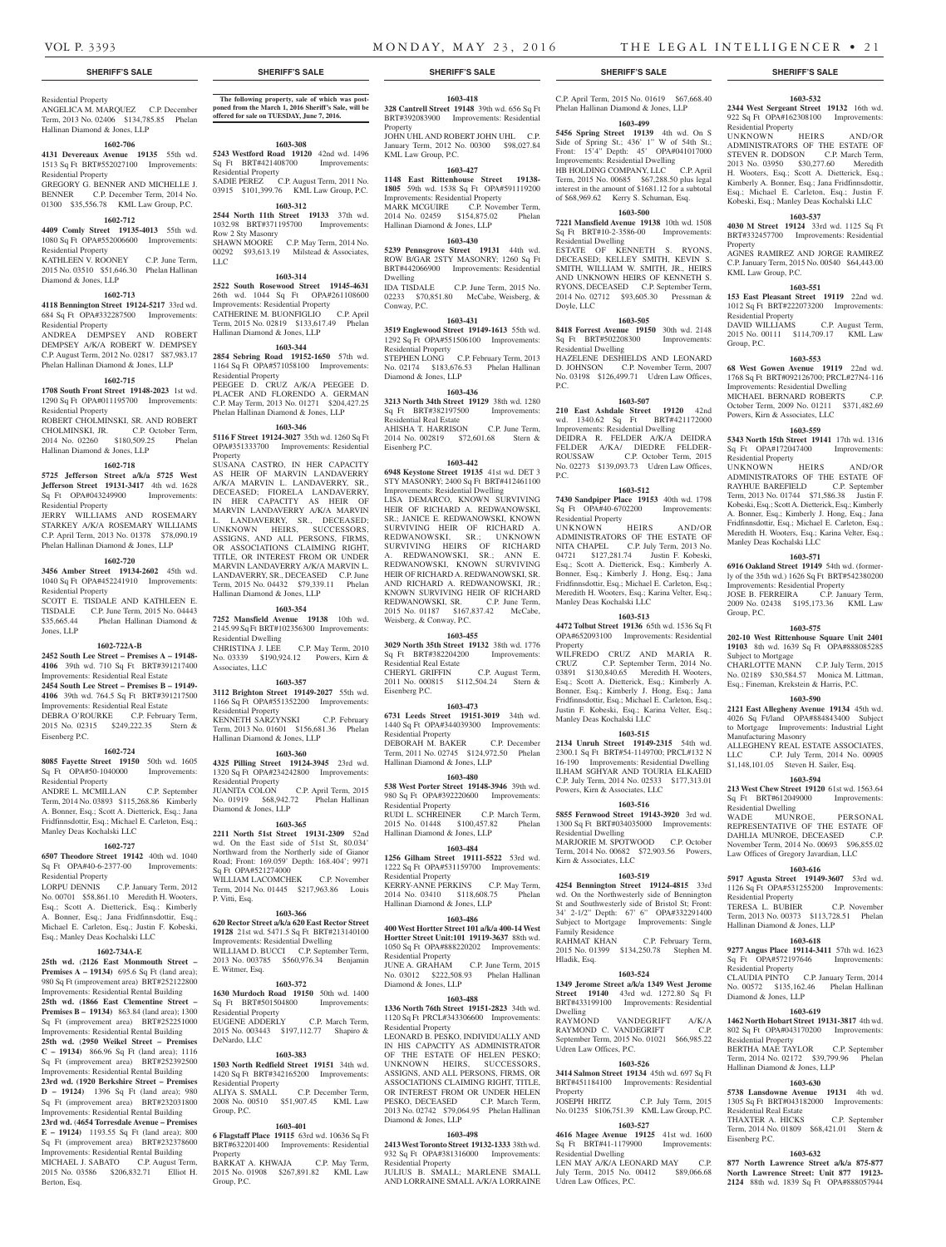Residential Property ANGELICA M. MARQUEZ C.P. December Term, 2013 No. 02406 \$134,785.85 Phelan Hallinan Diamond & Jones, LLP

## **1602-706**

**4131 Devereaux Avenue 19135** 55th wd.

1513 Sq Ft BRT#552027100 Improvements: Residential Property GREGORY G. BENNER AND MICHELLE J. BENNER C.P. December Term, 2014 No.

01300 \$35,556.78 KML Law Group, P.C. **1602-712**

**4409 Comly Street 19135-4013** 55th wd. 1080 Sq Ft OPA#552006600 Improvements: Residential Property

KATHLEEN V. ROONEY C.P. June Term, 2015 No. 03510 \$51,646.30 Phelan Hallinan Diamond & Jones, LLP

### **1602-713**

**4118 Bennington Street 19124-5217** 33rd wd. 684 Sq Ft OPA#332287500 Improvements: Residential Property

ANDREA DEMPSEY AND ROBERT DEMPSEY A/K/A ROBERT W. DEMPSEY C.P. August Term, 2012 No. 02817 \$87,983.17 Phelan Hallinan Diamond & Jones, LLP

## **1602-715**

**1708 South Front Street 19148-2023** 1st wd. 1290 Sq Ft OPA#011195700 Improvements: Residential Property ROBERT CHOLMINSKI, SR. AND ROBERT<br>CHOLMINSKI, JR. C.P. October Term, CHOLMINSKI, JR. 2014 No. 02260 \$180,509.25 Phelan

## Hallinan Diamond & Jones, LLP

## **1602-718**

**5725 Jefferson Street a/k/a 5725 West Jefferson Street 19131-3417** 4th wd. 1628 Sq Ft OPA#043249900 Improvements: Residential Property

JERRY WILLIAMS AND ROSEMARY STARKEY A/K/A ROSEMARY WILLIAMS C.P. April Term, 2013 No. 01378 \$78,090.19 Phelan Hallinan Diamond & Jones, LLP

## **1602-720**

## **3456 Amber Street 19134-2602** 45th wd. 1040 Sq Ft OPA#452241910 Improvements:

Residential Property SCOTT E. TISDALE AND KATHLEEN E. TISDALE C.P. June Term, 2015 No. 04443<br>\$35,665.44 Phelan Hallinan Diamond & Phelan Hallinan Diamond & Jones, LLP

#### **1602-722A-B**

**2452 South Lee Street – Premises A – 19148- 4106** 39th wd. 710 Sq Ft BRT#391217400

## Improvements: Residential Real Estate **2454 South Lee Street – Premises B – 19149-**

**4106** 39th wd. 764.5 Sq Ft BRT#391217500 Improvements: Residential Real Estate DEBRA O'ROURKE C.P. February Term,

2015 No. 02315 \$249,222.35 Stern & Eisenberg P.C.

## **1602-724**

**8085 Fayette Street 19150** 50th wd. 1605 Sq Ft OPA#50-1040000 Improvements: Residential Property

ANDRE L. MCMILLAN C.P. September Term, 2014 No. 03893 \$115,268.86 Kimberly A. Bonner, Esq.; Scott A. Dietterick, Esq.; Jana Fridfinnsdottir, Esq.; Michael E. Carleton, Esq.; Manley Deas Kochalski LLC

## **1602-727**

**6507 Theodore Street 19142** 40th wd. 1040 Sq Ft OPA#40-6-2377-00 Improvements:

Residential Property LORPU DENNIS C.P. January Term, 2012 No. 00701 \$58,861.10 Meredith H. Wooters, Esq.; Scott A. Dietterick, Esq.; Kimberly A. Bonner, Esq.; Jana Fridfinnsdottir, Esq.; Michael E. Carleton, Esq.; Justin F. Kobeski, Esq.; Manley Deas Kochalski LLC

## **1602-734A-E**

**25th wd.** (**2126 East Monmouth Street – Premises A – 19134)** 695.6 Sq Ft (land area); 980 Sq Ft (improvement area) BRT#252122800 Improvements: Residential Rental Building 25th wd. (1866 East Clementine Street **Premises B – 19134)** 863.84 (land area); 1300 Sq Ft (improvement area) BRT#252251000 Improvements: Residential Rental Building **25th wd.** (**2950 Weikel Street – Premises C – 19134)** 866.96 Sq Ft (land area); 1116 Sq Ft (improvement area) BRT#252392500 Improvements: Residential Rental Building **23rd wd. (1920 Berkshire Street – Premises D – 19124)** 1396 Sq Ft (land area); 980 Sq Ft (improvement area) BRT#232031800 Improvements: Residential Rental Building **23rd wd.** (**4654 Torresdale Avenue – Premises E – 19124)** 1193.55 Sq Ft (land area); 800 Sq Ft (improvement area) BRT#232378600 Improvements: Residential Rental Building MICHAEL J. SABATO C.P. August Term, 2015 No. 03586 \$206,832.71 Elliot H. Berton, Esq.

**The following property, sale of which was postponed from the March 1, 2016 Sheriff's Sale, will be offered for sale on TUESDAY, June 7, 2016.**

## **1603-308**

**5243 Westford Road 19120** 42nd wd. 1496 Sq Ft BRT#421408700 Improvements: Residential Property SADIE PEREZ C.P. August Term, 2011 No. 03915 \$101,399.76 KML Law Group, P.C.

## **1603-312**

**2544 North 11th Street 19133** 37th wd. 1032.98 BRT#371195700 Improvements: Row 2 Sty Masonry SHAWN MOORE C.P. May Term, 2014 No. 00292 \$93,613.19 Milstead & Associates, LLC

### **1603-314**

**2522 South Rosewood Street 19145-4631**  26th wd. 1044 Sq Ft OPA#261108600 Improvements: Residential Property<br>
CATHERINE M BUONFIGLIO C.P. April CATHERINE M. BUONFIGLIO Term, 2015 No. 02819 \$133,617.49 Phelan Hallinan Diamond & Jones, LLP

### **1603-344**

**2854 Sebring Road 19152-1650** 57th wd. 1164 Sq Ft OPA#571058100 Improvements: Residential Property PEEGEE D. CRUZ A/K/A PEEGEE D. PLACER AND FLORENDO A. GERMAN C.P. May Term, 2013 No. 01271 \$204,427.25 Phelan Hallinan Diamond & Jones, LLP

## **1603-346**

**5116 F Street 19124-3027** 35th wd. 1260 Sq Ft OPA#351333700 Improvements: Residential Property

SUSANA CASTRO, IN HER CAPACITY AS HEIR OF MARVIN LANDAVERRY A/K/A MARVIN L. LANDAVERRY, SR., DECEASED; FIORELA LANDAVERRY, IN HER CAPACITY AS HEIR OF MARVIN LANDAVERRY A/K/A MARVIN L. LANDAVERRY, SR., DECEASED; UNKNOWN HEIRS, SUCCESSORS, ASSIGNS, AND ALL PERSONS, FIRMS, OR ASSOCIATIONS CLAIMING RIGHT, TITLE, OR INTEREST FROM OR UNDER MARVIN LANDAVERRY A/K/A MARVIN L. LANDAVERRY, SR., DECEASED C.P. June Term, 2015 No. 04432 \$79,339.11 Phelan Hallinan Diamond & Jones, LLP

#### **1603-354**

**7252 Mansfield Avenue 19138** 10th wd. 2145.99 Sq Ft BRT#102356300 Improvements: Residential Dwelling<br>CHRISTINA J. LEE C.P. May Term, 2010 No. 03339 \$190,924.12 Powers, Kirn & Associates, LLC

## **1603-357**

**3112 Brighton Street 19149-2027** 55th wd. 1166 Sq Ft OPA#551352200 Improvements: Residential Property<br>KENNETH SARZYNSKI KENNETH SARZYNSKI C.P. February Term, 2013 No. 01601 \$156,681.36 Phelan Hallinan Diamond & Jones, LLP

#### **1603-360**

**4325 Pilling Street 19124-3945** 23rd wd. 1320 Sq Ft OPA#234242800 Improvements: Residential Property JUANITA COLON C.P. April Term, 2015 No. 01919 \$68,942.72 Phelan Hallinan Diamond & Jones, LLP

### **1603-365**

**2211 North 51st Street 19131-2309** 52nd wd. On the East side of 51st St, 80.034' Northward from the Northerly side of Gianor Road; Front: 169.059' Depth: 168.404'; 9971 Sq Ft OPA#521274000 SQ 1 CHARS21274000<br>WILLIAM LACOMCHEK C.P. November Term, 2014 No. 01445 \$217,963.86 Louis P. Vitti, Esq.

### **1603-366**

**620 Rector Street a/k/a 620 East Rector Street 19128** 21st wd. 5471.5 Sq Ft BRT#213140100 Improvements: Residential Dwelling WILLIAM D. BUCCI C.P. September Term, 2013 No. 003785 \$560,976.34 Benjamin E. Witmer, Esq.

## **1603-372**

**1630 Murdoch Road 19150** 50th wd. 1400 Sq Ft BRT#501504800 Improvements: Residential Property EUGENE ADDERLY C.P. March Term, 2015 No. 003443 \$197,112.77 Shapiro & DeNardo, LLC

## **1603-383**

**1503 North Redfield Street 19151** 34th wd. 1420 Sq Ft BRT#342165200 Improvements: Residential Property ALIYA S. SMALL C.P. December Term, 2008 No. 00510 \$51,907.45 KML Law Group, P.C.

## **1603-401**

**6 Flagstaff Place 19115** 63rd wd. 10636 Sq Ft BRT#632201400 Improvements: Residential Property

BARKAT A. KHWAJA C.P. May Term, 2015 No. 01908 \$267,891.82 KML Law Group, P.C.

## **SHERIFF'S SALE SHERIFF'S SALE SHERIFF'S SALE SHERIFF'S SALE SHERIFF'S SALE**

#### **1603-418 328 Cantrell Street 19148** 39th wd. 656 Sq Ft BRT#392083900 Improvements: Residential

Property JOHN UHL AND ROBERT JOHN UHL C.P. January Term, 2012 No. 00300 \$98,027.84 KML Law Group, P.C.

## **1603-427**

**1148 East Rittenhouse Street 19138- 1805** 59th wd. 1538 Sq Ft OPA#591119200 Improvements: Residential Property MARK MCGUIRE C.P. November Term, 2014 No. 02459 \$154,875.02 Phelan Hallinan Diamond & Jones, LLP

## **1603-430**

**5239 Pennsgrove Street 19131** 44th wd. ROW B/GAR 2STY MASONRY; 1260 Sq Ft BRT#442066900 Improvements: Residential Dwelling<br>IDA TISDALE C.P. June Term, 2015 No.

02233 \$70,851.80 McCabe, Weisberg, & Conway, P.C. **1603-431**

**3519 Englewood Street 19149-1613** 55th wd. 1292 Sq Ft OPA#551506100 Improvements: Residential Property STEPHEN LONG C.P. February Term, 2013 No. 02174 \$183,676.53 Phelan Hallinan Diamond & Jones, LLP

## **1603-436**

**3213 North 34th Street 19129** 38th wd. 1280 Sq Ft BRT#382197500 Improvements: Residential Real Estate AHISHA T. HARRISON C.P. June Term, 2014 No. 002819 \$72,601.68 Stern & Eisenberg P.C.

## **1603-442**

**6948 Keystone Street 19135** 41st wd. DET 3 STY MASONRY; 2400 Sq Ft BRT#412461100 Improvements: Residential Dwelling LISA DEMARCO, KNOWN SURVIVING HEIR OF RICHARD A. REDWANOWSKI, SR.; JANICE E. REDWANOWSKI, KNOWN SURVIVING HEIR OF RICHARD A. REDWANOWSKI, SR.; UNKNOWN SURVIVING HEIRS OF RICHARD A. REDWANOWSKI, SR.; ANN E. REDWANOWSKI, KNOWN SURVIVING HEIR OF RICHARD A. REDWANOWSKI, SR. AND RICHARD A. REDWANOWSKI, JR.; KNOWN SURVIVING HEIR OF RICHARD<br>REDWANOWSKI, SR. C.P. June Term, REDWANOWSKI, SR. C.P. June Term, 2015 No. 01187 \$167,837.42 McCabe, Weisberg, & Conway, P.C.

## **1603-455**

**3029 North 35th Street 19132** 38th wd. 1776 Sq Ft BRT#382204200 Improvements: Residential Real Estate CHERYL GRIFFIN C.P. August Term, 2011 No. 000815 \$112,504.24 Stern & Eisenberg P.C.

## **1603-473**

**6731 Leeds Street 19151-3019** 34th wd. 1440 Sq Ft OPA#344039300 Improvements: Residential Property DEBORAH M. BAKER C.P. December Term, 2011 No. 02745 \$124,972.50 Phelan Hallinan Diamond & Jones, LLP

## **1603-480**

**538 West Porter Street 19148-3946** 39th wd. 980 Sq Ft OPA#392220600 Improvements: Residential Property RUDI L. SCHREINER C.P. March Term, 2015 No. 01448 \$100,457.82 Phelan Hallinan Diamond & Jones, LLP

## **1603-484**

**1256 Gilham Street 19111-5522** 53rd wd. 1222 Sq Ft OPA#531159700 Improvements: Residential Property KERRY-ANNE PERKINS C.P. May Term, 2014 No. 03410 \$118,608.75 Phelan

## **1603-486**

Hallinan Diamond & Jones, LLP

**400 West Hortter Street 101 a/k/a 400-14 West Hortter Street Unit:101 19119-3637** 88th wd. 1050 Sq Ft OPA#888220202 Improvements:

Residential Property JUNE A. GRAHAM C.P. June Term, 2015 No. 03012 \$222,508.93 Phelan Hallinan Diamond & Jones, LLP

## **1603-488**

**1336 North 76th Street 19151-2823** 34th wd. 1120 Sq Ft PRCL#343306600 Improvements: Residential Property LEONARD B. PESKO, INDIVIDUALLY AND IN HIS CAPACITY AS ADMINISTRATOR OF THE ESTATE OF HELEN PESKO; UNKNOWN HEIRS, SUCCESSORS, ASSIGNS, AND ALL PERSONS, FIRMS, OR ASSOCIATIONS CLAIMING RIGHT, TITLE, OR INTEREST FROM OR UNDER HELEN PESKO, DECEASED C.P. March Term, 2013 No. 02742 \$79,064.95 Phelan Hallinan Diamond & Jones, LLP

#### **1603-498**

**2413 West Toronto Street 19132-1333** 38th wd. 932 Sq Ft OPA#381316000 Improvements: Residential Property JULIUS B. SMALL; MARLENE SMALL AND LORRAINE SMALL A/K/A LORRAINE

C.P. April Term, 2015 No. 01619 \$67,668.40 Phelan Hallinan Diamond & Jones, LLP **1603-499**

**1603-532 2344 West Sergeant Street 19132** 16th wd. 922 Sq Ft OPA#162308100 Improvements:

UNKNOWN HEIRS AND/OR ADMINISTRATORS OF THE ESTATE OF STEVEN R. DODSON C.P. March Term, 2013 No. 03950 \$30,277.60 Meredith H. Wooters, Esq.; Scott A. Dietterick, Esq.; Kimberly A. Bonner, Esq.; Jana Fridfinnsdottir, Esq.; Michael E. Carleton, Esq.; Justin F. Kobeski, Esq.; Manley Deas Kochalski LLC **1603-537 4030 M Street 19124** 33rd wd. 1125 Sq Ft BRT#332457700 Improvements: Residential

AGNES RAMIREZ AND JORGE RAMIREZ C.P. January Term, 2015 No. 00540 \$64,443.00

**1603-551 153 East Pleasant Street 19119** 22nd wd. 1012 Sq Ft BRT#222073200 Improvements:

DAVID WILLIAMS C.P. August Term, 2015 No. 00111 \$114,709.17 KML Law

**1603-553 68 West Gowen Avenue 19119** 22nd wd. 1768 Sq Ft BRT#092126700; PRCL#27N4-116 Improvements: Residential Dwelling MICHAEL BERNARD ROBERTS C.P. October Term, 2009 No. 01211 \$371,482.69

**1603-559 5343 North 15th Street 19141** 17th wd. 1316 Sq Ft OPA#172047400 Improvements:

UNKNOWN HEIRS AND/OR ADMINISTRATORS OF THE ESTATE OF RAYHUE BAREFIELD C.P. September Term, 2013 No. 01744 \$71,586.38 Justin F. Kobeski, Esq.; Scott A. Dietterick, Esq.; Kimberly A. Bonner, Esq.; Kimberly J. Hong, Esq.; Jana Fridfinnsdottir, Esq.; Michael E. Carleton, Esq.; Meredith H. Wooters, Esq.; Karina Velter, Esq.;

**1603-571 6916 Oakland Street 19149** 54th wd. (formerly of the 35th wd.) 1626 Sq Ft BRT#542380200 Improvements: Residential Property JOSE B. FERREIRA C.P. January Term, 2009 No. 02438 \$195,173.36 KML Law

**1603-575 202-10 West Rittenhouse Square Unit 2401 19103** 8th wd. 1639 Sq Ft OPA#888085285

CHARLOTTE MANN C.P. July Term, 2015 No. 02189 \$30,584.57 Monica M. Littman, Esq.; Fineman, Krekstein & Harris, P.C. **1603-590 2121 East Allegheny Avenue 19134** 45th wd. 4026 Sq Ft/land OPA#884843400 Subject to Mortgage Improvements: Industrial Light

ALLEGHENY REAL ESTATE ASSOCIATES, LLC C.P. July Term, 2014 No. 00905 \$1,148,101.05 Steven H. Sailer, Esq. **1603-594 213 West Chew Street 19120** 61st wd. 1563.64 Sq Ft BRT#612049000 Improvements:

WADE MUNROE, PERSONAL REPRESENTATIVE OF THE ESTATE OF DAHLIA MUNROE, DECEASED C.P. November Term, 2014 No. 00693 \$96,855.02 Law Offices of Gregory Javardian, LLC **1603-616 5917 Agusta Street 19149-3607** 53rd wd. 1126 Sq Ft OPA#531255200 Improvements:

TERESA L. BUBIER C.P. November Term, 2013 No. 00373 \$113,728.51 Phelan

**1603-618 9277 Angus Place 19114-3411** 57th wd. 1623 Sq Ft OPA#572197646 Improvements:

CLAUDIA PINTO C.P. January Term, 2014 No. 00572 \$135,162.46 Phelan Hallinan

**1603-619 1462 North Hobart Street 19131-3817** 4th wd. 802 Sq Ft OPA#043170200 Improvements:

BERTHA MAE TAYLOR C.P. September Term, 2014 No. 02172 \$39,799.96 Phelan

**1603-630 5738 Lansdowne Avenue 19131** 4th wd. 1305 Sq Ft BRT#043182000 Improvements:

THAXTER A. HICKS C.P. September Term, 2014 No. 01809 \$68,421.01 Stern &

**1603-632 877 North Lawrence Street a/k/a 875-877 North Lawrence Street: Unit 877 19123- 2124** 88th wd. 1839 Sq Ft OPA#888057944

Hallinan Diamond & Jones, LLP

Powers, Kirn & Associates, LLC

Residential Property

Manley Deas Kochalski LLC

Group, P.C.

Subject to Mortgage

Manufacturing Masonry

Residential Dwelling

Residential Property

Residential Property

Residential Property

Residential Real Estate

Eisenberg P.C.

Hallinan Diamond & Jones, LLP

Diamond & Jones, LLP

Residential Property

Property

KML Law Group, P.C.

Residential Property<br>DAVID WILLIAMS

Group, P.C.

**5456 Spring Street 19139** 4th wd. On S Side of Spring St.; 436' 1" W of 54th St.; Front: 15'4" Depth: 45' OPA#041017000 Improvements: Residential Dwelling HB HOLDING COMPANY, LLC C.P. April Term, 2015 No. 00685 \$67,288.50 plus legal interest in the amount of \$1681.12 for a subtotal of \$68,969.62 Kerry S. Schuman, Esq.

#### **1603-500**

**7221 Mansfield Avenue 19138** 10th wd. 1508 Sq Ft BRT#10-2-3586-00 Improvements: Residential Dwelling ESTATE OF KENNETH S. RYONS, DECEASED; KELLEY SMITH, KEVIN S. SMITH, WILLIAM W. SMITH, JR., HEIRS AND UNKNOWN HEIRS OF KENNETH S. RYONS, DECEASED C.P. September Term, 2014 No. 02712 \$93,605.30 Pressman & Doyle, LLC

#### **1603-505**

Residential Dwelling

P.C.

P.C.

Property

**8418 Forrest Avenue 19150** 30th wd. 2148 Sq Ft BRT#502208300 Improvements:

HAZELENE DESHIELDS AND LEONARD D. JOHNSON C.P. November Term, 2007 No. 03198 \$126,499.71 Udren Law Offices,

**1603-507 210 East Ashdale Street 19120** 42nd wd. 1340.62 Sq Ft BRT#421172000 Improvements: Residential Dwelling DEIDRA R. FELDER A/K/A DEIDRA FELDER A/KA/ DIEDRE FELDER-ROUSSAW C.P. October Term, 2015 No. 02273 \$139,093.73 Udren Law Offices,

**1603-512 7430 Sandpiper Place 19153** 40th wd. 1798 Sq Ft OPA#40-6702200 Improvements:

UNKNOWN HEIRS AND/OR ADMINISTRATORS OF THE ESTATE OF NITA CHAPEL C.P. July Term, 2013 No. 04721 \$127,281.74 Justin F. Kobeski, Esq.; Scott A. Dietterick, Esq.; Kimberly A. Bonner, Esq.; Kimberly J. Hong, Esq.; Jana Fridfinnsdottir, Esq.; Michael E. Carleton, Esq.; Meredith H. Wooters, Esq.; Karina Velter, Esq.;

**1603-513 4472 Tolbut Street 19136** 65th wd. 1536 Sq Ft OPA#652093100 Improvements: Residential

WILFREDO CRUZ AND MARIA R. CRUZ C.P. September Term, 2014 No. 03891 \$130,840.65 Meredith H. Wooters, Esq.; Scott A. Dietterick, Esq.; Kimberly A. Bonner, Esq.; Kimberly J. Hong, Esq.; Jana Fridfinnsdottir, Esq.; Michael E. Carleton, Esq.; Justin F. Kobeski, Esq.; Karina Velter, Esq.;

**1603-515 2134 Unruh Street 19149-2315** 54th wd. 2300.1 Sq Ft BRT#54-1149700; PRCL#132 N 16-190 Improvements: Residential Dwelling ILHAM SGHYAR AND TOURIA ELKAEID C.P. July Term, 2014 No. 02533 \$177,313.01

**1603-516 5855 Fernwood Street 19143-3920** 3rd wd. 1300 Sq Ft BRT#034035000 Improvements:

MARJORIE M. SPOTWOOD C.P. October Term, 2014 No. 00682 \$72,903.56 Powers,

**1603-519 4254 Bennington Street 19124-4815** 33rd wd. On the Northwesterly side of Bennington St and Southwesterly side of Bristol St; Front: 34' 2-1/2" Depth: 67' 6" OPA#332291400 Subject to Mortgage Improvements: Single

RAHMAT KHAN C.P. February Term, 2015 No. 01399 \$134,250.78 Stephen M.

**1603-524 1349 Jerome Street a/k/a 1349 West Jerome Street 19140** 43rd wd. 1272.80 Sq Ft BRT#433199100 Improvements: Residential

RAYMOND VANDEGRIFT A/K/A RAYMOND C. VANDEGRIFT C.P. September Term, 2015 No. 01021 \$66,985.22

**1603-526 3414 Salmon Street 19134** 45th wd. 697 Sq Ft BRT#451184100 Improvements: Residential

No. 01235 \$106,751.39 KML Law Group, P.C. **1603-527 4616 Magee Avenue 19125** 41st wd. 1600 Sq Ft BRT#41-1179900 Improvements:

LEN MAY A/K/A LEONARD MAY C.P. July Term, 2015 No. 00412 \$89,066.68

C.P. July Term, 2015

Residential Property<br>UNKNOWN HEIRS

Manley Deas Kochalski LLC

Manley Deas Kochalski LLC

Powers, Kirn & Associates, LLC

Residential Dwelling

Kirn & Associates, LLC

Family Residence

Hladik, Esq.

Dwelling

Udren Law Offices, P.C.

Property<br>IOSEPH HRITZ

Residential Dwelling

Udren Law Offices, P.C.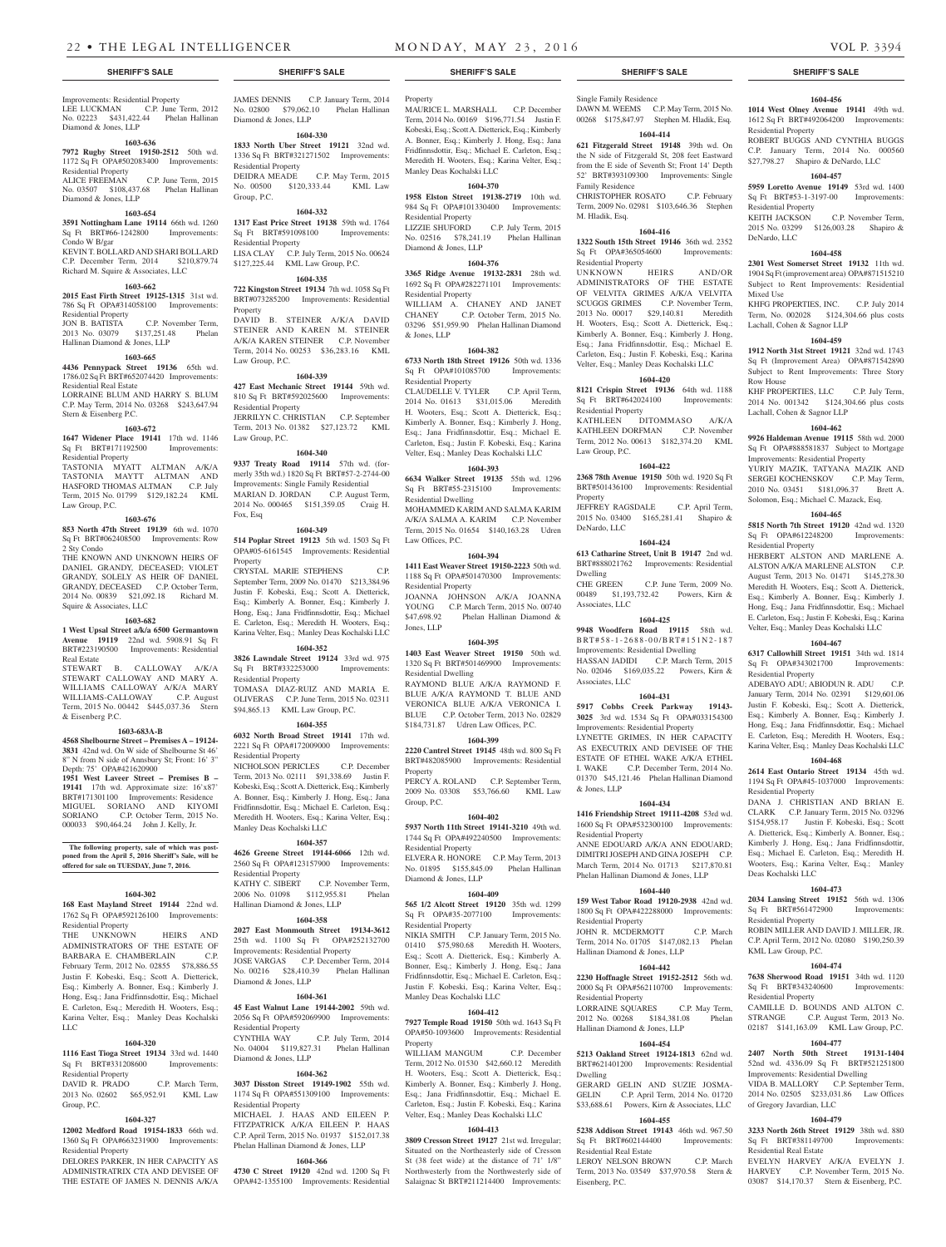Improvements: Residential Property LEE LUCKMAN C.P. June Term, 2012 No. 02223 \$431,422.44 Phelan Hallinan Diamond & Jones, LLP

## **1603-636**

Diamond & Jones, LLP

**7972 Rugby Street 19150-2512** 50th wd. 1172 Sq Ft OPA#502083400 Improvements:

Residential Property C.P. June Term, 2015 No. 03507 \$108,437.68 Phelan Hallinan

#### **1603-654**

**3591 Nottingham Lane 19114** 66th wd. 1260 Sq Ft BRT#66-1242800 Improvements: Condo W B/gar

KEVIN T. BOLLARD AND SHARI BOLLARD C.P. December Term, 2014 \$210,879.74 Richard M. Squire & Associates, LLC

#### **1603-662 2015 East Firth Street 19125-1315** 31st wd.

786 Sq Ft OPA#314058100 Improvements: Residential Property JON B. BATISTA C.P. November Term,<br>2013 No. 03079 \$137,251.48 Phelan 2013 No. 03079 Hallinan Diamond & Jones, LLP

## **1603-665**

**4436 Pennypack Street 19136** 65th wd.

1786.02 Sq Ft BRT#652074420 Improvements: Residential Real Estate LORRAINE BLUM AND HARRY S. BLUM C.P. May Term, 2014 No. 03268 \$243,647.94 Stern & Eisenberg P.C.

### **1603-672**

**1647 Widener Place 19141** 17th wd. 1146 Sq Ft BRT#171192500 Improvements: Residential Property

TASTONIA MYATT ALTMAN A/K/A TASTONIA MAYTT ALTMAN AND HASFORD THOMAS ALTMAN C.P. July Term, 2015 No. 01799 \$129,182.24 KML Law Group, P.C.

## **1603-676**

**853 North 47th Street 19139** 6th wd. 1070 Sq Ft BRT#062408500 Improvements: Row 2 Sty Condo

THE KNOWN AND UNKNOWN HEIRS OF DANIEL GRANDY, DECEASED; VIOLET GRANDY, SOLELY AS HEIR OF DANIEL GRANDY, DECEASED C.P. October Term, 2014 No. 00839 \$21,092.18 Richard M. Squire & Associates, LLC

#### **1603-682**

**1 West Upsal Street a/k/a 6500 Germantown Avenue 19119** 22nd wd. 5908.91 Sq Ft BRT#223190500 Improvements: Residential Real Estate

STEWART B. CALLOWAY A/K/A STEWART CALLOWAY AND MARY A. WILLIAMS CALLOWAY A/K/A MARY WILLIAMS-CALLOWAY C.P. August Term, 2015 No. 00442 \$445,037.36 Stern & Eisenberg P.C.

## **1603-683A-B**

**4568 Shelbourne Street – Premises A – 19124- 3831** 42nd wd. On W side of Shelbourne St 46' 8" N from N side of Annsbury St; Front: 16' 3"

Depth: 75' OPA#421620900 **1951 West Laveer Street – Premises B – 19141** 17th wd. Approximate size: 16'x87' BRT#171301100 Improvements: Residence MIGUEL SORIANO AND KIYOMI SORIANO C.P. October Term, 2015 No. 000033 \$90,464.24 John J. Kelly, Jr.

**The following property, sale of which was post-poned from the April 5, 2016 Sheriff's Sale, will be offered for sale on TUESDAY, June 7, 2016.**

## **1604-302**

**168 East Mayland Street 19144** 22nd wd. 1762 Sq Ft OPA#592126100 Improvements: Residential Property

THE UNKNOWN HEIRS AND ADMINISTRATORS OF THE ESTATE OF BARBARA E. CHAMBERLAIN C.P. February Term, 2012 No. 02855 \$78,886.55 Justin F. Kobeski, Esq.; Scott A. Dietterick, Esq.; Kimberly A. Bonner, Esq.; Kimberly J. Hong, Esq.; Jana Fridfinnsdottir, Esq.; Michael E. Carleton, Esq.; Meredith H. Wooters, Esq.; Karina Velter, Esq.; Manley Deas Kochalski LLC

## **1604-320**

**1116 East Tioga Street 19134** 33rd wd. 1440 Sq Ft BRT#331208600 Improvements: Residential Property

DAVID R. PRADO C.P. March Term, 2013 No. 02602 \$65,952.91 KML Law Residential Property

## **1604-327**

Group, P.C.

**12002 Medford Road 19154-1833** 66th wd. 1360 Sq Ft OPA#663231900 Improvements: Residential Property

DELORES PARKER, IN HER CAPACITY AS ADMINISTRATRIX CTA AND DEVISEE OF THE ESTATE OF JAMES N. DENNIS A/K/A

JAMES DENNIS C.P. January Term, 2014 No. 02800 \$79,062.10 Phelan Hallinan Diamond & Jones, LLP

## **1604-330**

**1833 North Uber Street 19121** 32nd wd. 1336 Sq Ft BRT#321271502 Improvements: Residential Property DEIDRA MEADE C.P. May Term, 2015<br>No. 00500 \$120,333.44 KML Law \$120,333.44 KML Law Group, P.C.

## **1604-332**

**1317 East Price Street 19138** 59th wd. 1764 Sq Ft BRT#591098100 Residential Property LISA CLAY C.P. July Term, 2015 No. 00624 \$127,225.44 KML Law Group, P.C.

#### **1604-335**

**722 Kingston Street 19134** 7th wd. 1058 Sq Ft BRT#073285200 Improvements: Residential Property DAVID B. STEINER A/K/A DAVID STEINER AND KAREN M. STEINER A/K/A KAREN STEINER C.P. November Term, 2014 No. 00253 \$36,283.16 KML

## **1604-339**

Law Group, P.C.

**427 East Mechanic Street 19144** 59th wd. 810 Sq Ft BRT#592025600 Improvements: Residential Property JERRILYN C. CHRISTIAN C.P. September Term, 2013 No. 01382 \$27,123.72 KML Law Group, P.C.

## **1604-340**

**9337 Treaty Road 19114** 57th wd. (formerly 35th wd.) 1820 Sq Ft BRT#57-2-2744-00 Improvements: Single Family Residential MARIAN D. JORDAN C.P. August Term, 2014 No. 000465 \$151,359.05 Craig H. Fox, Esq

### **1604-349**

**514 Poplar Street 19123** 5th wd. 1503 Sq Ft OPA#05-6161545 Improvements: Residential Property

CRYSTAL MARIE STEPHENS C.P. September Term, 2009 No. 01470 \$213,384.96 Justin F. Kobeski, Esq.; Scott A. Dietterick, Esq.; Kimberly A. Bonner, Esq.; Kimberly J. Hong, Esq.; Jana Fridfinnsdottir, Esq.; Michael E. Carleton, Esq.; Meredith H. Wooters, Esq.; Karina Velter, Esq.; Manley Deas Kochalski LLC

## **1604-352**

**3826 Lawndale Street 19124** 33rd wd. 975 Sq Ft BRT#332253000 Improvements: Residential Property TOMASA DIAZ-RUIZ AND MARIA E.

OLIVERAS C.P. June Term, 2015 No. 02311 \$94,865.13 KML Law Group, P.C.

## **1604-355**

**6032 North Broad Street 19141** 17th wd. 2221 Sq Ft OPA#172009000 Improvements: Residential Property

NICHOLSON PERICLES C.P. December Term, 2013 No. 02111 \$91,338.69 Justin F. Kobeski, Esq.; Scott A. Dietterick, Esq.; Kimberly A. Bonner, Esq.; Kimberly J. Hong, Esq.; Jana Fridfinnsdottir, Esq.; Michael E. Carleton, Esq.; Meredith H. Wooters, Esq.; Karina Velter, Esq.; Manley Deas Kochalski LLC

## **1604-357**

**4626 Greene Street 19144-6066** 12th wd. 2560 Sq Ft OPA#123157900 Improvements: Residential Property<br>KATHY C. SIBERT C.P. November Term, 2006 No. 01098 \$112,955.81 Phelan

Hallinan Diamond & Jones, LLP **1604-358**

**2027 East Monmouth Street 19134-3612**  25th wd. 1100 Sq Ft OPA#252132700 Improvements: Residential Property

JOSE VARGAS C.P. December Term, 2014 No. 00216 \$28,410.39 Phelan Hallinan Diamond & Jones, LLP

## **1604-361**

**45 East Walnut Lane 19144-2002** 59th wd. 2056 Sq Ft OPA#592069900 Improvements: Residential Property CYNTHIA WAY C.P. July Term No. 04004 \$119,827.31 Phelan Hallinan

## Diamond & Jones, LLP **1604-362**

**3037 Disston Street 19149-1902** 55th wd. 1174 Sq Ft OPA#551309100 Improvements:

MICHAEL J. HAAS AND EILEEN P. FITZPATRICK A/K/A EILEEN P. HAAS C.P. April Term, 2015 No. 01937 \$152,017.38 Phelan Hallinan Diamond & Jones, LLP

## **1604-366**

**4730 C Street 19120** 42nd wd. 1200 Sq Ft OPA#42-1355100 Improvements: Residential

Property

MAURICE L. MARSHALL C.P. December Term, 2014 No. 00169 \$196,771.54 Justin F. Kobeski, Esq.; Scott A. Dietterick, Esq.; Kimberly A. Bonner, Esq.; Kimberly J. Hong, Esq.; Jana Fridfinnsdottir, Esq.; Michael E. Carleton, Esq.; Meredith H. Wooters, Esq.; Karina Velter, Esq.; Manley Deas Kochalski LLC

Single Family Residence

Family Residence

M. Hladik, Esq.

Residential Property<br>
UNKNOWN<br>
HEIRS

Residential Property

Law Group, P.C.

Property

Dwelling

DeNardo, LLC

Associates, LLC

Associates, LLC

& Jones, LLP

Residential Property

Residential Property

Residential Property

Residential Real Estate

Eisenberg, P.C.

Dwelling

Hallinan Diamond & Jones, LLP

Hallinan Diamond & Jones, LLP

DAWN M. WEEMS C.P. May Term, 2015 No. 00268 \$175,847.97 Stephen M. Hladik, Esq. **1604-414 621 Fitzgerald Street 19148** 39th wd. On the N side of Fitzgerald St, 208 feet Eastward from the E side of Seventh St; Front 14' Depth 52' BRT#393109300 Improvements: Single

**1604-456 1014 West Olney Avenue 19141** 49th wd. 1612 Sq Ft BRT#492064200 Improvements:

ROBERT BUGGS AND CYNTHIA BUGGS C.P. January Term, 2014 No. 000560 \$27,798.27 Shapiro & DeNardo, LLC **1604-457 5959 Loretto Avenue 19149** 53rd wd. 1400 Sq Ft BRT#53-1-3197-00 Improvements:

KEITH JACKSON C.P. November Term, 2015 No. 03299 \$126,003.28 Shapiro &

**1604-458 2301 West Somerset Street 19132** 11th wd. 1904 Sq Ft (improvement area) OPA#871515210 Subject to Rent Improvements: Residential

KHFG PROPERTIES, INC. C.P. July 2014 Term, No. 002028 \$124,304.66 plus costs

**1604-459 1912 North 31st Street 19121** 32nd wd. 1743 Sq Ft (Improvement Area) OPA#871542890 Subject to Rent Improvements: Three Story

KHF PROPERTIES, LLC C.P. July Term, 2014 No. 001342 \$124,304.66 plus costs

**1604-462 9926 Haldeman Avenue 19115** 58th wd. 2000 Sq Ft OPA#888581837 Subject to Mortgage Improvements: Residential Property YURIY MAZIK, TATYANA MAZIK AND SERGEI KOCHENSKOV C.P. May Term, 2010 No. 03451 \$181,096.37 Brett A. Solomon, Esq.; Michael C. Mazack, Esq. **1604-465 5815 North 7th Street 19120** 42nd wd. 1320 Sq Ft OPA#612248200 Improvements:

HERBERT ALSTON AND MARLENE A. ALSTON A/K/A MARLENE ALSTON C.P. August Term, 2013 No. 01471 \$145,278.30 Meredith H. Wooters, Esq.; Scott A. Dietterick, Esq.; Kimberly A. Bonner, Esq.; Kimberly J. Hong, Esq.; Jana Fridfinnsdottir, Esq.; Michael E. Carleton, Esq.; Justin F. Kobeski, Esq.; Karina Velter, Esq.; Manley Deas Kochalski LLC **1604-467 6317 Callowhill Street 19151** 34th wd. 1814 Sq Ft OPA#343021700 Improvements:

ADEBAYO ADU; ABIODUN R. ADU C.P. January Term, 2014 No. 02391 \$129,601.06 Justin F. Kobeski, Esq.; Scott A. Dietterick, Esq.; Kimberly A. Bonner, Esq.; Kimberly J. Hong, Esq.; Jana Fridfinnsdottir, Esq.; Michael E. Carleton, Esq.; Meredith H. Wooters, Esq.; Karina Velter, Esq.; Manley Deas Kochalski LLC **1604-468 2614 East Ontario Street 19134** 45th wd. 1194 Sq Ft OPA#45-1037000 Improvements:

DANA J. CHRISTIAN AND BRIAN E. CLARK C.P. January Term, 2015 No. 03296 \$154,958.17 Justin F. Kobeski, Esq.; Scott A. Dietterick, Esq.; Kimberly A. Bonner, Esq.; Kimberly J. Hong, Esq.; Jana Fridfinnsdottir, Esq.; Michael E. Carleton, Esq.; Meredith H. Wooters, Esq.; Karina Velter, Esq.; Manley

**1604-473 2034 Lansing Street 19152** 56th wd. 1306 Sq Ft BRT#561472900 Improvements:

ROBIN MILLER AND DAVID J. MILLER, JR. C.P. April Term, 2012 No. 02080 \$190,250.39

**1604-474 7638 Sherwood Road 19151** 34th wd. 1120 Sq Ft BRT#343240600 Improvements:

CAMILLE D. BOUNDS AND ALTON C. STRANGE C.P. August Term, 2013 No. 02187 \$141,163.09 KML Law Group, P.C. **1604-477 2407 North 50th Street 19131-1404**  52nd wd. 4336.09 Sq Ft BRT#521251800 Improvements: Residential Dwelling VIDA B. MALLORY C.P. September Term, 2014 No. 02505 \$233,031.86 Law Offices

**1604-479 3233 North 26th Street 19129** 38th wd. 880 Sq Ft BRT#381149700 Improvements:

EVELYN HARVEY A/K/A EVELYN J. HARVEY C.P. November Term, 2015 No. 03087 \$14,170.37 Stern & Eisenberg, P.C.

Lachall, Cohen & Sagnor LLP

Lachall, Cohen & Sagnor LLP

Residential Property

Residential Property

Residential Property

Deas Kochalski LLC

Residential Property

KML Law Group, P.C.

Residential Property

of Gregory Javardian, LLC

Residential Real Estate

Residential Property

Residential Property

DeNardo, LLC

Mixed Use

Row House

CHRISTOPHER ROSATO C.P. February Term, 2009 No. 02981 \$103,646.36 Stephen

**1604-416 1322 South 15th Street 19146** 36th wd. 2352 Sq Ft OPA#365054600 Improvements:

UNKNOWN HEIRS AND/OR ADMINISTRATORS OF THE ESTATE OF VELVITA GRIMES A/K/A VELVITA SCUGGS GRIMES C.P. November Term, 2013 No. 00017 \$29,140.81 Meredith H. Wooters, Esq.; Scott A. Dietterick, Esq.; Kimberly A. Bonner, Esq.; Kimberly J. Hong, Esq.; Jana Fridfinnsdottir, Esq.; Michael E. Carleton, Esq.; Justin F. Kobeski, Esq.; Karina Velter, Esq.; Manley Deas Kochalski LLC **1604-420 8121 Crispin Street 19136** 64th wd. 1188 Sq Ft BRT#642024100 Improvements:

KATHLEEN DITOMMASO A/K/A KATHLEEN DORFMAN C.P. November Term, 2012 No. 00613 \$182,374.20 KML

**1604-422 2368 78th Avenue 19150** 50th wd. 1920 Sq Ft BRT#501436100 Improvements: Residential

JEFFREY RAGSDALE C.P. April Term, 2015 No. 03400 \$165,281.41 Shapiro &

**1604-424 613 Catharine Street, Unit B 19147** 2nd wd. BRT#888021762 Improvements: Residential

CHE GREEN C.P. June Term, 2009 No. 00489 \$1,193,732.42 Powers, Kirn &

**1604-425 9948 Woodfern Road 19115** 58th wd. B RT # 5 8 - 1 - 2 6 8 8 - 0 0 / B RT # 1 5 1 N 2 - 1 8 7 Improvements: Residential Dwelling HASSAN JADIDI C.P. March Term, 2015 No. 02046 \$169,035.22 Powers, Kirn &

**1604-431 5917 Cobbs Creek Parkway 19143- 3025** 3rd wd. 1534 Sq Ft OPA#033154300 Improvements: Residential Property LYNETTE GRIMES, IN HER CAPACITY AS EXECUTRIX AND DEVISEE OF THE ESTATE OF ETHEL WAKE A/K/A ETHEL I. WAKE C.P. December Term, 2014 No. 01370 \$45,121.46 Phelan Hallinan Diamond

**1604-434 1416 Friendship Street 19111-4208** 53rd wd. 1600 Sq Ft OPA#532300100 Improvements:

ANNE EDOUARD A/K/A ANN EDOUARD; DIMITRI JOSEPH AND GINA JOSEPH C.P. March Term, 2014 No. 01713 \$217,870.81 Phelan Hallinan Diamond & Jones, LLP **1604-440 159 West Tabor Road 19120-2938** 42nd wd. 1800 Sq Ft OPA#422288000 Improvements:

JOHN R. MCDERMOTT C.P. March Term, 2014 No. 01705 \$147,082.13 Phelan

**1604-442 2230 Hoffnagle Street 19152-2512** 56th wd. 2000 Sq Ft OPA#562110700 Improvements:

LORRAINE SQUARES C.P. May Term, 2012 No. 00268 \$184,381.08 Phelan

**1604-454 5213 Oakland Street 19124-1813** 62nd wd. BRT#621401200 Improvements: Residential

GERARD GELIN AND SUZIE JOSMA-GELIN C.P. April Term, 2014 No. 01720 \$33,688.61 Powers, Kirn & Associates, LLC **1604-455 5238 Addison Street 19143** 46th wd. 967.50 Sq Ft BRT#602144400 Improvements:

LEROY NELSON BROWN C.P. March Term, 2013 No. 03549 \$37,970.58 Stern &

## **1604-370**

**1958 Elston Street 19138-2719** 10th wd. 984 Sq Ft OPA#101330400 Improvements: Residential Property LIZZIE SHUFORD C.P. July Term, 2015 No. 02516 \$78,241.19 Phelan Hallinan

## **1604-376**

Diamond & Jones, LLP

**3365 Ridge Avenue 19132-2831** 28th wd. 1692 Sq Ft OPA#282271101 Improvements: Residential Property

WILLIAM A. CHANEY AND JANET CHANEY C.P. October Term, 2015 No. 03296 \$51,959.90 Phelan Hallinan Diamond & Jones, LLP

## **1604-382**

**6733 North 18th Street 19126** 50th wd. 1336 Sq Ft OPA#101085700 Improvements: Residential Property

CLAUDELLE V. TYLER C.P. April Term, 2014 No. 01613 \$31,015.06 Meredith H. Wooters, Esq.; Scott A. Dietterick, Esq.; Kimberly A. Bonner, Esq.; Kimberly J. Hong, Esq.; Jana Fridfinnsdottir, Esq.; Michael E. Carleton, Esq.; Justin F. Kobeski, Esq.; Karina Velter, Esq.; Manley Deas Kochalski LLC

## **1604-393**

**6634 Walker Street 19135** 55th wd. 1296 Sq Ft BRT#55-2315100 Improvements: Residential Dwelling

MOHAMMED KARIM AND SALMA KARIM A/K/A SALMA A. KARIM C.P. November Term, 2015 No. 01654 \$140,163.28 Udren Law Offices, P.C.

#### **1604-394**

**1411 East Weaver Street 19150-2223** 50th wd. 1188 Sq Ft OPA#501470300 Improvements: Residential Property JOANNA JOHNSON A/K/A JOANNA

YOUNG C.P. March Term, 2015 No. 00740<br>\$47.698.92 Phelan Hallinan Diamond & Phelan Hallinan Diamond & Jones, LLP

## **1604-395**

**1403 East Weaver Street 19150** 50th wd. 1320 Sq Ft BRT#501469900 Improvements: Residential Dwelling RAYMOND BLUE A/K/A RAYMOND F. BLUE A/K/A RAYMOND T. BLUE AND VERONICA BLUE A/K/A VERONICA I. BLUE C.P. October Term, 2013 No. 02829 \$184,731.87 Udren Law Offices, P.C.

#### **1604-399**

**2220 Cantrel Street 19145** 48th wd. 800 Sq Ft BRT#482085900 Improvements: Residential Property

PERCY A. ROLAND C.P. September Term, 2009 No. 03308 \$53,766.60 KML Law Group, P.C.

## **1604-402**

**5937 North 11th Street 19141-3210** 49th wd. 1744 Sq Ft OPA#492240500 Improvements: Residential Property

ELVERA R. HONORE C.P. May Term, 2013 No. 01895 \$155,845.09 Phelan Hallinan Diamond & Jones, LLP

#### **1604-409**

**565 1/2 Alcott Street 19120** 35th wd. 1299 Sq Ft OPA#35-2077100 Improvements: Residential Property

NIKIA SMITH C.P. January Term, 2015 No. 01410 \$75,980.68 Meredith H. Wooters, Esq.; Scott A. Dietterick, Esq.; Kimberly A. Bonner, Esq.; Kimberly J. Hong, Esq.; Jana Fridfinnsdottir, Esq.; Michael E. Carleton, Esq.; Justin F. Kobeski, Esq.; Karina Velter, Esq.; Manley Deas Kochalski LLC

## **1604-412**

**7927 Temple Road 19150** 50th wd. 1643 Sq Ft OPA#50-1093600 Improvements: Residential Property

WILLIAM MANGUM C.P. December Term, 2012 No. 01530 \$42,660.12 Meredith H. Wooters, Esq.; Scott A. Dietterick, Esq.; Kimberly A. Bonner, Esq.; Kimberly J. Hong, Esq.; Jana Fridfinnsdottir, Esq.; Michael E. Carleton, Esq.; Justin F. Kobeski, Esq.; Karina Velter, Esq.; Manley Deas Kochalski LLC

## **1604-413 3809 Cresson Street 19127** 21st wd. Irregular;

Situated on the Northeasterly side of Cresson St (38 feet wide) at the distance of 71' 1/8" Northwesterly from the Northwesterly side of Salaignac St BRT#211214400 Improvements: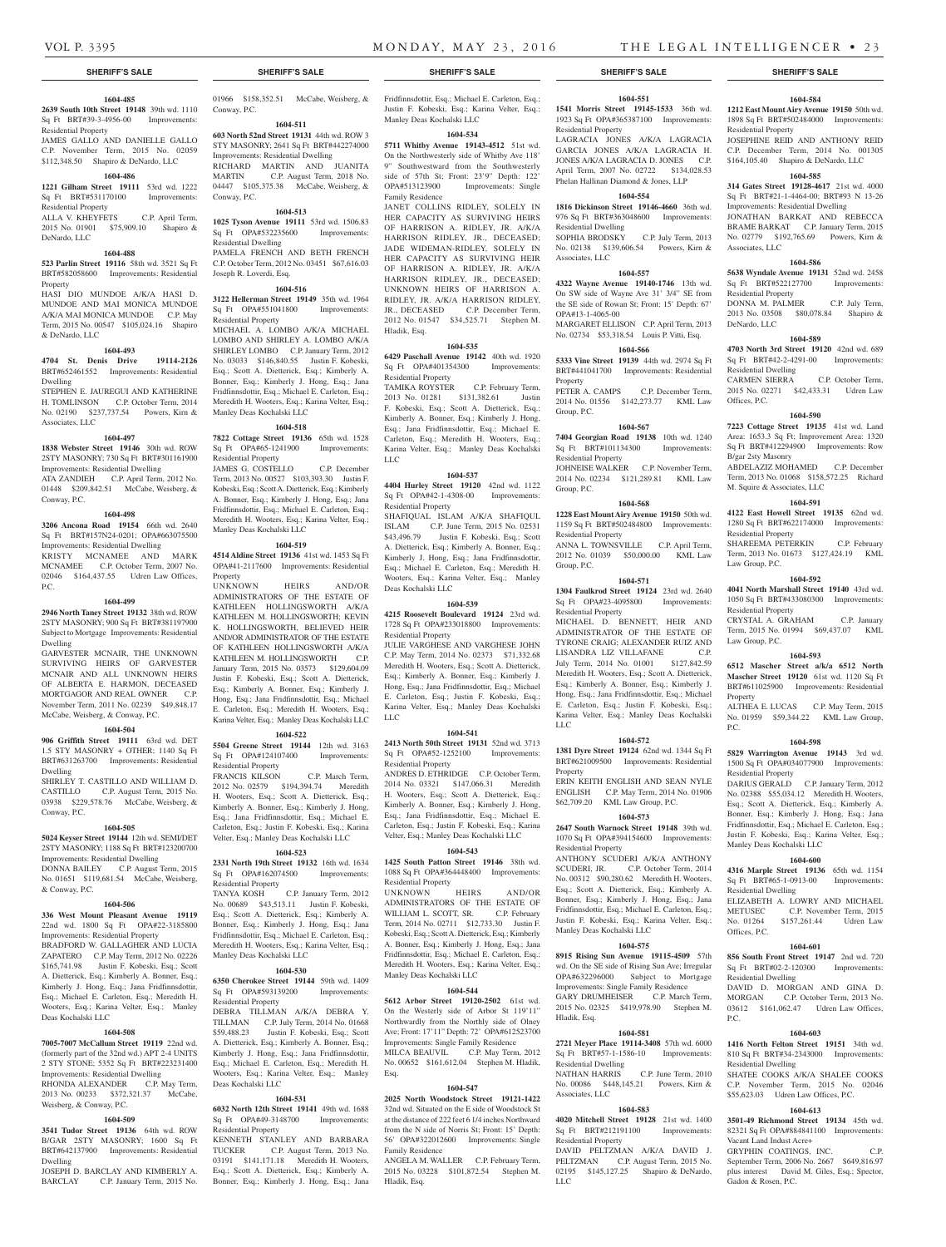Residential Property

Residential Property

DeNardo, LLC

& DeNardo, LLC

Associates, LLC

Conway, P.C.

P.C.

Dwelling

Dwelling

Conway, P.C.

& Conway, P.C.

Deas Kochalski LLC

Weisberg, & Conway, P.C.

Dwelling

Property

Dwelling

**1604-485 2639 South 10th Street 19148** 39th wd. 1110 Sq Ft BRT#39-3-4956-00 Improvements:

JAMES GALLO AND DANIELLE GALLO C.P. November Term, 2015 No. 02059 \$112,348.50 Shapiro & DeNardo, LLC **1604-486 1221 Gilham Street 19111** 53rd wd. 1222 Sq Ft BRT#531170100 Improvements:

ALLA V. KHEYFETS C.P. April Term, 2015 No. 01901 \$75,909.10 Shapiro &

**1604-488 523 Parlin Street 19116** 58th wd. 3521 Sq Ft BRT#582058600 Improvements: Residential

HASI DIO MUNDOE A/K/A HASI D. MUNDOE AND MAI MONICA MUNDOE A/K/A MAI MONICA MUNDOE C.P. May Term, 2015 No. 00547 \$105,024.16 Shapiro

**1604-493 4704 St. Denis Drive 19114-2126**  BRT#652461552 Improvements: Residential

STEPHEN E. JAUREGUI AND KATHERINE H. TOMLINSON C.P. October Term, 2014 No. 02190 \$237,737.54 Powers, Kirn &

**1604-497 1838 Webster Street 19146** 30th wd. ROW 2STY MASONRY; 730 Sq Ft BRT#301161900 Improvements: Residential Dwelling ATA ZANDIEH C.P. April Term, 2012 No. 01448 \$209,842.51 McCabe, Weisberg, &

**1604-498 3206 Ancona Road 19154** 66th wd. 2640 Sq Ft BRT#157N24-0201; OPA#663075500 Improvements: Residential Dwelling KRISTY MCNAMEE AND MARK MCNAMEE C.P. October Term, 2007 No. 02046 \$164,437.55 Udren Law Offices,

**1604-499 2946 North Taney Street 19132** 38th wd. ROW 2STY MASONRY; 900 Sq Ft BRT#381197900 Subject to Mortgage Improvements: Residential

GARVESTER MCNAIR, THE UNKNOWN SURVIVING HEIRS OF GARVESTER MCNAIR AND ALL UNKNOWN HEIRS OF ALBERTA E. HARMON, DECEASED MORTGAGOR AND REAL OWNER C.P. November Term, 2011 No. 02239 \$49,848.17 McCabe, Weisberg, & Conway, P.C. **1604-504 906 Griffith Street 19111** 63rd wd. DET 1.5 STY MASONRY + OTHER; 1140 Sq Ft BRT#631263700 Improvements: Residential

SHIRLEY T. CASTILLO AND WILLIAM D. CASTILLO C.P. August Term, 2015 No. 03938 \$229,578.76 McCabe, Weisberg, &

**1604-505 5024 Keyser Street 19144** 12th wd. SEMI/DET 2STY MASONRY; 1188 Sq Ft BRT#123200700 Improvements: Residential Dwelling DONNA BAILEY C.P. August Term, 2015 No. 01651 \$119,681.54 McCabe, Weisberg,

**1604-506 336 West Mount Pleasant Avenue 19119**  22nd wd. 1800 Sq Ft OPA#22-3185800 Improvements: Residential Property BRADFORD W. GALLAGHER AND LUCIA ZAPATERO C.P. May Term, 2012 No. 02226 \$165,741.98 Justin F. Kobeski, Esq.; Scott A. Dietterick, Esq.; Kimberly A. Bonner, Esq.; Kimberly J. Hong, Esq.; Jana Fridfinnsdottir, Esq.; Michael E. Carleton, Esq.; Meredith H. Wooters, Esq.; Karina Velter, Esq.; Manley

**1604-508 7005-7007 McCallum Street 19119** 22nd wd. (formerly part of the 32nd wd.) APT 2-4 UNITS 2 STY STONE; 5352 Sq Ft BRT#223231400 Improvements: Residential Dwelling RHONDA ALEXANDER C.P. May Term, 2013 No. 00233 \$372,321.37 McCabe,

**1604-509 3541 Tudor Street 19136** 64th wd. ROW B/GAR 2STY MASONRY; 1600 Sq Ft BRT#642137900 Improvements: Residential

JOSEPH D. BARCLAY AND KIMBERLY A. BARCLAY C.P. January Term, 2015 No.

### **SHERIFF'S SALE SHERIFF'S SALE SHERIFF'S SALE SHERIFF'S SALE SHERIFF'S SALE**

## 01966 \$158,352.51 McCabe, Weisberg, & Fridfinnsdottir, Esq.; Michael E. Carleton, Esq.; Conway, P.C.

## **1604-511**

**603 North 52nd Street 19131** 44th wd. ROW 3 STY MASONRY; 2641 Sq Ft BRT#442274000 Improvements: Residential Dwelling RICHARD MARTIN AND JUANITA MARTIN C.P. August Term, 2018 No. 04447 \$105,375.38 McCabe, Weisberg, & Conway, P.C.

## **1604-513**

**1025 Tyson Avenue 19111** 53rd wd. 1506.83 Sq Ft OPA#532235600 Improvements: Residential Dwelling PAMELA FRENCH AND BETH FRENCH C.P. October Term, 2012 No. 03451 \$67,616.03 Joseph R. Loverdi, Esq.

## **1604-516**

**3122 Hellerman Street 19149** 35th wd. 1964 Sq Ft OPA#551041800 Improvements: Residential Property MICHAEL A. LOMBO A/K/A MICHAEL LOMBO AND SHIRLEY A. LOMBO A/K/A SHIRLEY LOMBO C.P. January Term, 2012 No. 03033 \$146,840.55 Justin F. Kobeski, Esq.; Scott A. Dietterick, Esq.; Kimberly A. Bonner, Esq.; Kimberly J. Hong, Esq.; Jana Fridfinnsdottir, Esq.; Michael E. Carleton, Esq.; Meredith H. Wooters, Esq.; Karina Velter, Esq.; Manley Deas Kochalski LLC

## **1604-518**

**7822 Cottage Street 19136** 65th wd. 1528 Sq Ft OPA#65-1241900 Improvements: Residential Property

JAMES G. COSTELLO C.P. December Term, 2013 No. 00527 \$103,393.30 Justin F. Kobeski, Esq.; Scott A. Dietterick, Esq.; Kimberly A. Bonner, Esq.; Kimberly J. Hong, Esq.; Jana Fridfinnsdottir, Esq.; Michael E. Carleton, Esq.; Meredith H. Wooters, Esq.; Karina Velter, Esq.; Manley Deas Kochalski LLC

#### **1604-519**

**4514 Aldine Street 19136** 41st wd. 1453 Sq Ft OPA#41-2117600 Improvements: Residential Property

UNKNOWN HEIRS AND/OR ADMINISTRATORS OF THE ESTATE OF KATHLEEN HOLLINGSWORTH A/K/A KATHLEEN M. HOLLINGSWORTH; KEVIN K. HOLLINGSWORTH, BELIEVED HEIR AND/OR ADMINISTRATOR OF THE ESTATE OF KATHLEEN HOLLINGSWORTH A/K/A KATHLEEN M. HOLLINGSWORTH C.P. January Term, 2015 No. 03573 \$129,604.09 Justin F. Kobeski, Esq.; Scott A. Dietterick, Esq.; Kimberly A. Bonner, Esq.; Kimberly J. Hong, Esq.; Jana Fridfinnsdottir, Esq.; Michael E. Carleton, Esq.; Meredith H. Wooters, Esq.; Karina Velter, Esq.; Manley Deas Kochalski LLC

## **1604-522**

**5504 Greene Street 19144** 12th wd. 3163 Sq Ft OPA#124107400 Improvements: Residential Property

FRANCIS KILSON C.P. March Term, 2012 No. 02579 \$194,394.74 Meredith H. Wooters, Esq.; Scott A. Dietterick, Esq.; Kimberly A. Bonner, Esq.; Kimberly J. Hong, Esq.; Jana Fridfinnsdottir, Esq.; Michael E. Carleton, Esq.; Justin F. Kobeski, Esq.; Karina Velter, Esq.; Manley Deas Kochalski LLC

## **1604-523**

**2331 North 19th Street 19132** 16th wd. 1634 Sq Ft OPA#162074500 Improvements: Residential Property

TANYA KOSH C.P. January Term, 2012 No. 00689 \$43,513.11 Justin F. Kobeski, Esq.; Scott A. Dietterick, Esq.; Kimberly A. Bonner, Esq.; Kimberly J. Hong, Esq.; Jana Fridfinnsdottir, Esq.; Michael E. Carleton, Esq.; Meredith H. Wooters, Esq.; Karina Velter, Esq.; Manley Deas Kochalski LLC

#### **1604-530**

**6350 Cherokee Street 19144** 59th wd. 1409 Sq Ft OPA#593139200 Improvements: Residential Property

DEBRA TILLMAN A/K/A DEBRA Y. TILLMAN C.P. July Term, 2014 No. 01668 \$59,488.23 Justin F. Kobeski, Esq.; Scott A. Dietterick, Esq.; Kimberly A. Bonner, Esq.; Kimberly J. Hong, Esq.; Jana Fridfinnsdottir, Esq.; Michael E. Carleton, Esq.; Meredith H. Wooters, Esq.; Karina Velter, Esq.; Manley Deas Kochalski LLC

### **1604-531**

**6032 North 12th Street 19141** 49th wd. 1688 Sq Ft OPA#49-3148700 Improvements: Residential Property

KENNETH STANLEY AND BARBARA TUCKER C.P. August Term, 2013 No. 03191 \$141,171.18 Meredith H. Wooters, Esq.; Scott A. Dietterick, Esq.; Kimberly A. Bonner, Esq.; Kimberly J. Hong, Esq.; Jana

Justin F. Kobeski, Esq.; Karina Velter, Esq.; Manley Deas Kochalski LLC

## **1604-534**

**5711 Whitby Avenue 19143-4512** 51st wd. On the Northwesterly side of Whitby Ave 118' 9" Southwestward from the Southwesterly side of 57th St; Front: 23'9" Depth: 122' OPA#513123900 Improvements: Single Family Residence

JANET COLLINS RIDLEY, SOLELY IN HER CAPACITY AS SURVIVING HEIRS OF HARRISON A. RIDLEY, JR. A/K/A HARRISON RIDLEY, JR., DECEASED; JADE WIDEMAN-RIDLEY, SOLELY IN HER CAPACITY AS SURVIVING HEIR OF HARRISON A. RIDLEY, JR. A/K/A HARRISON RIDLEY, JR., DECEASED; UNKNOWN HEIRS OF HARRISON A. RIDLEY, JR. A/K/A HARRISON RIDLEY, JR., DECEASED C.P. December Term, 2012 No. 01547 \$34,525.71 Stephen M. Hladik, Esq.

#### **1604-535**

**6429 Paschall Avenue 19142** 40th wd. 1920 Sq Ft OPA#401354300 Improvements: Residential Property

TAMIKA ROYSTER C.P. February Term, 2013 No. 01281 \$131,382.61 Justin F. Kobeski, Esq.; Scott A. Dietterick, Esq.; Kimberly A. Bonner, Esq.; Kimberly J. Hong, Esq.; Jana Fridfinnsdottir, Esq.; Michael E. Carleton, Esq.; Meredith H. Wooters, Esq.; Karina Velter, Esq.; Manley Deas Kochalski LLC

## **1604-537**

**4404 Hurley Street 19120** 42nd wd. 1122 Sq Ft OPA#42-1-4308-00 Improvements: Residential Property

SHAFIQUAL ISLAM A/K/A SHAFIQUL ISLAM C.P. June Term, 2015 No. 02531 \$43,496.79 Justin F. Kobeski, Esq.; Scott A. Dietterick, Esq.; Kimberly A. Bonner, Esq.; Kimberly J. Hong, Esq.; Jana Fridfinnsdottir, Esq.; Michael E. Carleton, Esq.; Meredith H. Wooters, Esq.; Karina Velter, Esq.; Manley Deas Kochalski LLC

#### **1604-539**

**4215 Roosevelt Boulevard 19124** 23rd wd. 1728 Sq Ft OPA#233018800 Improvements: Residential Property

JULIE VARGHESE AND VARGHESE JOHN C.P. May Term, 2014 No. 02373 \$71,332.68 Meredith H. Wooters, Esq.; Scott A. Dietterick, Esq.; Kimberly A. Bonner, Esq.; Kimberly J. Hong, Esq.; Jana Fridfinnsdottir, Esq.; Michael E. Carleton, Esq.; Justin F. Kobeski, Esq.; Karina Velter, Esq.; Manley Deas Kochalski LLC

#### **1604-541**

**2413 North 50th Street 19131** 52nd wd. 3713 Sq Ft OPA#52-1252100 Improvements: Residential Property

ANDRES D. ETHRIDGE C.P. October Term, 2014 No. 03321 \$147,066.31 Meredith H. Wooters, Esq.; Scott A. Dietterick, Esq.; Kimberly A. Bonner, Esq.; Kimberly J. Hong, Esq.; Jana Fridfinnsdottir, Esq.; Michael E. Carleton, Esq.; Justin F. Kobeski, Esq.; Karina Velter, Esq.; Manley Deas Kochalski LLC

## **1604-543**

**1425 South Patton Street 19146** 38th wd. 1088 Sq Ft OPA#364448400 Improvements: Residential Property

UNKNOWN HEIRS AND/OR ADMINISTRATORS OF THE ESTATE OF WILLIAM L. SCOTT, SR. C.P. February Term, 2014 No. 02711 \$12,733.30 Justin F. Kobeski, Esq.; Scott A. Dietterick, Esq.; Kimberly A. Bonner, Esq.; Kimberly J. Hong, Esq.; Jana Fridfinnsdottir, Esq.; Michael E. Carleton, Esq.; Meredith H. Wooters, Esq.; Karina Velter, Esq.; Manley Deas Kochalski LLC

## **1604-544**

**5612 Arbor Street 19120-2502** 61st wd. On the Westerly side of Arbor St 119'11" Northwardly from the Northly side of Olney Ave; Front: 17'11" Depth: 72' OPA#612523700 Improvements: Single Family Residence MILCA BEAUVIL C.P. May Term, 2012 No. 00652 \$161,612.04 Stephen M. Hladik, Esq.

## **1604-547**

**2025 North Woodstock Street 19121-1422**  32nd wd. Situated on the E side of Woodstock St at the distance of 222 feet 6 1/4 inches Northward from the N side of Norris St; Front: 15' Depth: 56' OPA#322012600 Improvements: Single Family Residence

ANGELA M. WALLER C.P. February Term, 2015 No. 03228 \$101,872.54 Stephen M. Hladik, Esq.

## **1604-551**

**1541 Morris Street 19145-1533** 36th wd. 1923 Sq Ft OPA#365387100 Improvements: Residential Property LAGRACIA JONES A/K/A LAGRACIA GARCIA JONES A/K/A LAGRACIA H. JONES A/K/A LAGRACIA D. JONES C.P. April Term, 2007 No. 02722 \$134,028.53 Phelan Hallinan Diamond & Jones, LLP

#### **1604-554**

**1816 Dickinson Street 19146-4660** 36th wd. 976 Sq Ft BRT#363048600 Improvements:

Residential Dwelling SOPHIA BRODSKY C.P. July Term, 2013 No. 02138 \$139,606.54 Powers, Kirn & Associates, LLC

## **1604-557**

**4322 Wayne Avenue 19140-1746** 13th wd. On SW side of Wayne Ave 31' 3/4" SE from the SE side of Rowan St; Front: 15' Depth: 67' OPA#13-1-4065-00 MARGARET ELLISON C.P. April Term, 2013 No. 02734 \$53,318.54 Louis P. Vitti, Esq.

## **1604-566**

**5333 Vine Street 19139** 44th wd. 2974 Sq Ft BRT#441041700 Improvements: Residential Property<br>PETER A. CAMPS

C.P. December Term, 2014 No. 01556 \$142,273.77 KML Law Group, P.C.

## **1604-567**

**7404 Georgian Road 19138** 10th wd. 1240 Sq Ft BRT#101134300 Improvements: Residential Property JOHNEISE WALKER C.P. November Term,

2014 No. 02234 \$121,289.81 KML Law Group, P.C. **1604-568**

## **1228 East Mount Airy Avenue 19150** 50th wd.

1159 Sq Ft BRT#502484800 Improvements: Residential Property ANNA L. TOWNSVILLE C.P. April Term, 2012 No. 01039 \$50,000.00 KML Law Group, P.C.

#### **1604-571**

**1304 Faulkrod Street 19124** 23rd wd. 2640 Sq Ft OPA#23-4095800 Improvements: Residential Property

MICHAEL D. BENNETT, HEIR AND ADMINISTRATOR OF THE ESTATE OF TYRONE CRAIG; ALEXANDER RUIZ AND LISANDRA LIZ VILLAFANE C.P. July Term, 2014 No. 01001 \$127,842.59 Meredith H. Wooters, Esq.; Scott A. Dietterick, Esq.; Kimberly A. Bonner, Esq.; Kimberly J. Hong, Esq.; Jana Fridfinnsdottir, Esq.; Michael E. Carleton, Esq.; Justin F. Kobeski, Esq.; Karina Velter, Esq.; Manley Deas Kochalski LLC

#### **1604-572**

**1381 Dyre Street 19124** 62nd wd. 1344 Sq Ft BRT#621009500 Improvements: Residential Property

ERIN KEITH ENGLISH AND SEAN NYLE ENGLISH C.P. May Term, 2014 No. 01906 \$62,709.20 KML Law Group, P.C. **1604-573**

## **2647 South Warnock Street 19148** 39th wd.

1070 Sq Ft OPA#394154600 Improvements: Residential Property ANTHONY SCUDERI A/K/A ANTHONY SCUDERI, JR. C.P. October Term, 2014 No. 00312 \$90,280.62 Meredith H. Wooters, Esq.; Scott A. Dietterick, Esq.; Kimberly A. Bonner, Esq.; Kimberly J. Hong, Esq.; Jana Fridfinnsdottir, Esq.; Michael E. Carleton, Esq.; Justin F. Kobeski, Esq.; Karina Velter, Esq.; Manley Deas Kochalski LLC

## **1604-575**

**8915 Rising Sun Avenue 19115-4509** 57th wd. On the SE side of Rising Sun Ave; Irregular OPA#632296000 Subject to Mortgage Improvements: Single Family Residence GARY DRUMHEISER C.P. March Term, 2015 No. 02325 \$419,978.90 Stephen M. Hladik, Esq.

## **1604-581**

**2721 Meyer Place 19114-3408** 57th wd. 6000 Sq Ft BRT#57-1-1586-10 Improvements: Residential Dwelling

NATHAN HARRIS C.P. June Term, 2010 No. 00086 \$448,145.21 Powers, Kirn & Associates, LLC

## **1604-583**

**4020 Mitchell Street 19128** 21st wd. 1400 Sq Ft BRT#212191100 Improvements: Residential Property DAVID PELTZMAN A/K/A DAVID J. PELTZMAN C.P. August Term, 2015 No. 02195 \$145,127.25 Shapiro & DeNardo, LLC

## **1604-584**

**1212 East Mount Airy Avenue 19150** 50th wd. 1898 Sq Ft BRT#502484000 Improvements: Residential Property JOSEPHINE REID AND ANTHONY REID C.P. December Term, 2014 No. 001305 \$164,105.40 Shapiro & DeNardo, LLC

## **1604-585**

**314 Gates Street 19128-4617** 21st wd. 4000 Sq Ft BRT#21-1-4464-00; BRT#93 N 13-26 Improvements: Residential Dwelling

JONATHAN BARKAT AND REBECCA BRAME BARKAT C.P. January Term, 2015 No. 02779 \$192,765.69 Powers, Kirn & Associates, LLC

## **1604-586**

**5638 Wyndale Avenue 19131** 52nd wd. 2458 Sq Ft BRT#522127700 Improvements: Residential Property

DONNA M. PALMER C.P. July Term, 2013 No. 03508 \$80,078.84 Shapiro & DeNardo, LLC

## **1604-589**

**4703 North 3rd Street 19120** 42nd wd. 689 Sq Ft BRT#42-2-4291-00 Improvements: Residential Dwelling CARMEN SIERRA C.P. October Term, 2015 No. 02271 \$42,433.31 Udren Law

Offices, P.C. **1604-590**

**7223 Cottage Street 19135** 41st wd. Land Area: 1653.3 Sq Ft; Improvement Area: 1320 Sq Ft BRT#412294900 Improvements: Row B/gar 2sty Masonry ABDELAZIZ MOHAMED C.P. December

Term, 2013 No. 01068 \$158,572.25 Richard M. Squire & Associates, LLC

## **1604-591**

Law Group, P.C.

Residential Property

Law Group, P.C.

Residential Property

Manley Deas Kochalski LLC

Residential Dwelling

Residential Dwelling

Residential Dwelling

Vacant Land Indust Acre+

Gadon & Rosen, P.C.

Offices, P.C.

P.C.

Property

P.C.

**4122 East Howell Street 19135** 62nd wd. 1280 Sq Ft BRT#622174000 Improvements: Residential Property SHAREEMA PETERKIN C.P. February Term, 2013 No. 01673 \$127,424.19 KML

**1604-592 4041 North Marshall Street 19140** 43rd wd. 1050 Sq Ft BRT#433080300 Improvements:

CRYSTAL A. GRAHAM C.P. January Term, 2015 No. 01994 \$69,437.07 KML

**1604-593 6512 Mascher Street a/k/a 6512 North Mascher Street 19120** 61st wd. 1120 Sq Ft BRT#611025900 Improvements: Residential

ALTHEA E. LUCAS C.P. May Term, 2015 No. 01959 \$59,344.22 KML Law Group,

**1604-598 5829 Warrington Avenue 19143** 3rd wd. 1500 Sq Ft OPA#034077900 Improvements:

DARIUS GERALD C.P. January Term, 2012 No. 02388 \$55,034.12 Meredith H. Wooters, Esq.; Scott A. Dietterick, Esq.; Kimberly A. Bonner, Esq.; Kimberly J. Hong, Esq.; Jana Fridfinnsdottir, Esq.; Michael E. Carleton, Esq.; Justin F. Kobeski, Esq.; Karina Velter, Esq.;

**1604-600 4316 Marple Street 19136** 65th wd. 1154 Sq Ft BRT#65-1-0913-00 Improvements:

ELIZABETH A. LOWRY AND MICHAEL<br>METUSEC C.P. November Term. 2015

No. 01264 \$157,261.44 Udren Law

**1604-601 856 South Front Street 19147** 2nd wd. 720 Sq Ft BRT#02-2-120300 Improvements:

DAVID D. MORGAN AND GINA D. MORGAN C.P. October Term, 2013 No. 03612 \$161,062.47 Udren Law Offices,

**1604-603 1416 North Felton Street 19151** 34th wd. 810 Sq Ft BRT#34-2343000 Improvements:

SHATEE COOKS A/K/A SHALEE COOKS C.P. November Term, 2015 No. 02046 \$55,623.03 Udren Law Offices, P.C. **1604-613 3501-49 Richmond Street 19134** 45th wd. 82321 Sq Ft OPA#884841100 Improvements:

GRYPHIN COATINGS, INC. C.P. September Term, 2006 No. 2667 \$649,816.97 plus interest David M. Giles, Esq.; Spector,

C.P. November Term, 2015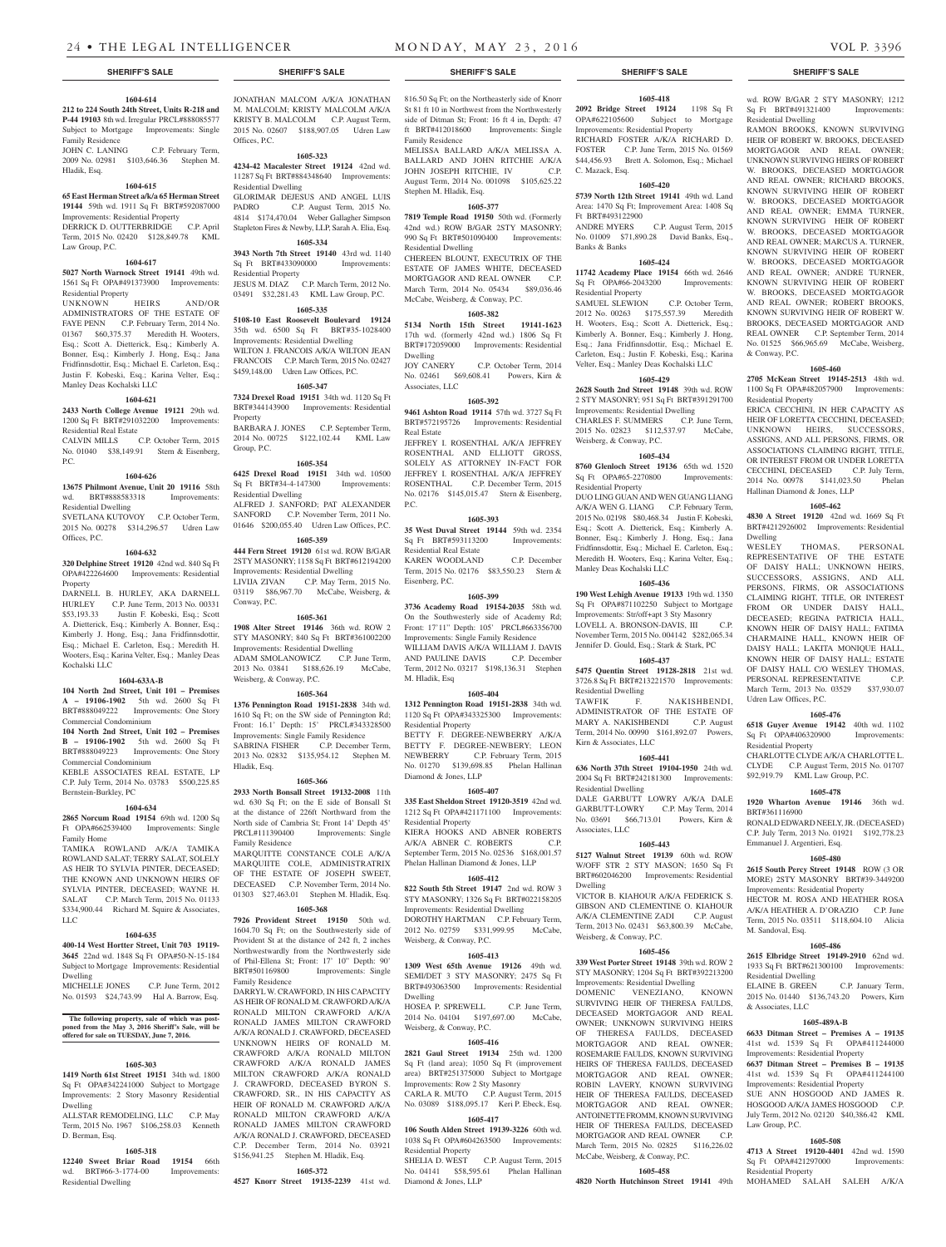## **1604-614**

**212 to 224 South 24th Street, Units R-218 and P-44 19103** 8th wd. Irregular PRCL#888085577 Subject to Mortgage Improvements: Single Family Residence<br>JOHN C. LANING

C.P. February Term, 2009 No. 02981 \$103,646.36 Stephen M. Hladik, Esq.

#### **1604-615**

**65 East Herman Street a/k/a 65 Herman Street 19144** 59th wd. 1911 Sq Ft BRT#592087000 Improvements: Residential Property DERRICK D. OUTTERBRIDGE C.P. April Term, 2015 No. 02420 \$128,849.78 KML Law Group, P.C.

## **1604-617**

**5027 North Warnock Street 19141** 49th wd. 1561 Sq Ft OPA#491373900 Improvements: Residential Property

UNKNOWN HEIRS AND/OR ADMINISTRATORS OF THE ESTATE OF FAYE PENN C.P. February Term, 2014 No. 01367 \$60,375.37 Meredith H. Wooters, Esq.; Scott A. Dietterick, Esq.; Kimberly A. Bonner, Esq.; Kimberly J. Hong, Esq.; Jana Fridfinnsdottir, Esq.; Michael E. Carleton, Esq.; Justin F. Kobeski, Esq.; Karina Velter, Esq.; Manley Deas Kochalski LLC

#### **1604-621**

**2433 North College Avenue 19121** 29th wd. 1200 Sq Ft BRT#291032200 Improvements: Residential Real Estate

CALVIN MILLS C.P. October Term, 2015 No. 01040 \$38,149.91 Stern & Eisenberg, P.C.

#### **1604-626**

**13675 Philmont Avenue, Unit 20 19116** 58th wd. BRT#888583318 Improvements: Residential Dwelling

SVETLANA KUTOVOY C.P. October Term, 2015 No. 00278 \$314,296.57 Udren Law Offices, P.C.

#### **1604-632**

**320 Delphine Street 19120** 42nd wd. 840 Sq Ft OPA#422264600 Improvements: Residential Property

DARNELL B. HURLEY, AKA DARNELL HURLEY C.P. June Term, 2013 No. 00331 \$53,193.33 Justin F. Kobeski, Esq.; Scott A. Dietterick, Esq.; Kimberly A. Bonner, Esq.; Kimberly J. Hong, Esq.; Jana Fridfinnsdottir, Esq.; Michael E. Carleton, Esq.; Meredith H. Wooters, Esq.; Karina Velter, Esq.; Manley Deas Kochalski LLC

## **1604-633A-B**

**104 North 2nd Street, Unit 101 – Premises A – 19106-1902** 5th wd. 2600 Sq Ft BRT#888049222 Improvements: One Story Commercial Condominium

**104 North 2nd Street, Unit 102 – Premises B – 19106-1902** 5th wd. 2600 Sq Ft BRT#888049223 Improvements: One Story Commercial Condominium

KEBLE ASSOCIATES REAL ESTATE, LP C.P. July Term, 2014 No. 03783 \$500,225.85 Bernstein-Burkley, PC

#### **1604-634**

**2865 Norcum Road 19154** 69th wd. 1200 Sq Ft OPA#662539400 Improvements: Single Family Home

TAMIKA ROWLAND A/K/A TAMIKA ROWLAND SALAT; TERRY SALAT, SOLELY AS HEIR TO SYLVIA PINTER, DECEASED; THE KNOWN AND UNKNOWN HEIRS OF SYLVIA PINTER, DECEASED; WAYNE H. SALAT C.P. March Term, 2015 No. 01133 \$334,900.44 Richard M. Squire & Associates, LLC

## **1604-635**

**400-14 West Hortter Street, Unit 703 19119- 3645** 22nd wd. 1848 Sq Ft OPA#50-N-15-184 Subject to Mortgage Improvements: Residential Dwelling

MICHELLE JONES C.P. June Term, 2012 No. 01593 \$24,743.99 Hal A. Barrow, Esq.

## **The following property, sale of which was post-poned from the May 3, 2016 Sheriff's Sale, will be offered for sale on TUESDAY, June 7, 2016.**

### **1605-303**

**1419 North 61st Street 19151** 34th wd. 1800 Sq Ft OPA#342241000 Subject to Mortgage Improvements: 2 Story Masonry Residential Dwelling

ALLSTAR REMODELING, LLC C.P. May Term, 2015 No. 1967 \$106,258.03 Kenneth D. Berman, Esq.

### **1605-318**

**12240 Sweet Briar Road 19154** 66th wd. BRT#66-3-1774-00 Improvements: Residential Dwelling

M. MALCOLM; KRISTY MALCOLM A/K/A KRISTY B. MALCOLM C.P. August Term, 2015 No. 02607 \$188,907.05 Udren Law

**1605-323 4234-42 Macalester Street 19124** 42nd wd. 11287 Sq Ft BRT#884348640 Improvements:

GLORIMAR DEJESUS AND ANGEL LUIS PADRO C.P. August Term, 2015 No. 4814 \$174,470.04 Weber Gallagher Simpson Stapleton Fires & Newby, LLP, Sarah A. Elia, Esq. **1605-334 3943 North 7th Street 19140** 43rd wd. 1140 Sq Ft BRT#433090000 Improvements:

JESUS M. DIAZ C.P. March Term, 2012 No. 03491 \$32,281.43 KML Law Group, P.C. **1605-335 5108-10 East Roosevelt Boulevard 19124**  35th wd. 6500 Sq Ft BRT#35-1028400 Improvements: Residential Dwelling WILTON J. FRANCOIS A/K/A WILTON JEAN FRANCOIS C.P. March Term, 2015 No. 02427 \$459,148.00 Udren Law Offices, P.C. **1605-347 7324 Drexel Road 19151** 34th wd. 1120 Sq Ft BRT#344143900 Improvements: Residential

BARBARA J. JONES C.P. September Term, 2014 No. 00725 \$122,102.44 KML Law

**1605-354 6425 Drexel Road 19151** 34th wd. 10500 Sq Ft BRT#34-4-147300 Improvements:

ALFRED J. SANFORD; PAT ALEXANDER SANFORD C.P. November Term, 2011 No. 01646 \$200,055.40 Udren Law Offices, P.C. **1605-359 444 Fern Street 19120** 61st wd. ROW B/GAR 2STY MASONRY; 1158 Sq Ft BRT#612194200 Improvements: Residential Dwelling LIVIJA ZIVAN C.P. May Term, 2015 No. 03119 \$86,967.70 McCabe, Weisberg, &

**1605-361 1908 Alter Street 19146** 36th wd. ROW 2 STY MASONRY; 840 Sq Ft BRT#361002200 Improvements: Residential Dwelling ADAM SMOLANOWICZ C.P. June Term, 2013 No. 03841 \$188,626.19 McCabe,

**1605-364 1376 Pennington Road 19151-2838** 34th wd. 1610 Sq Ft; on the SW side of Pennington Rd; Front: 16.1' Depth: 15' PRCL#343328500 Improvements: Single Family Residence SABRINA FISHER C.P. December Term, 2013 No. 02832 \$135,954.12 Stephen M.

**1605-366 2933 North Bonsall Street 19132-2008** 11th wd. 630 Sq Ft; on the E side of Bonsall St at the distance of 226ft Northward from the North side of Cambria St; Front 14' Depth 45'<br>PRCL#111390400 Improvements: Single

MARQUITTE CONSTANCE COLE A/K/A MARQUIITE COLE, ADMINISTRATRIX OF THE ESTATE OF JOSEPH SWEET, DECEASED C.P. November Term, 2014 No. 01303 \$27,463.01 Stephen M. Hladik, Esq. **1605-368 7926 Provident Street 19150** 50th wd. 1604.70 Sq Ft; on the Southwesterly side of Provident St at the distance of 242 ft, 2 inches Northwestwardly from the Northwesterly side of Phil-Ellena St; Front: 17' 10" Depth: 90' BRT#501169800 Improvements: Single

DARRYL W. CRAWFORD, IN HIS CAPACITY AS HEIR OF RONALD M. CRAWFORD A/K/A RONALD MILTON CRAWFORD A/K/A RONALD JAMES MILTON CRAWFORD A/K/A RONALD J. CRAWFORD, DECEASED UNKNOWN HEIRS OF RONALD M. CRAWFORD A/K/A RONALD MILTON CRAWFORD A/K/A RONALD JAMES MILTON CRAWFORD A/K/A RONALD J. CRAWFORD, DECEASED BYRON S. CRAWFORD, SR., IN HIS CAPACITY AS HEIR OF RONALD M. CRAWFORD A/K/A RONALD MILTON CRAWFORD A/K/A RONALD JAMES MILTON CRAWFORD A/K/A RONALD J. CRAWFORD, DECEASED C.P. December Term, 2014 No. 03921 \$156,941.25 Stephen M. Hladik, Esq. **1605-372 4527 Knorr Street 19135-2239** 41st wd.

Improvements: Single

Offices, P.C.

Residential Dwelling

Residential Property

Property

Group, P.C.

Residential Dwelling

Conway, P.C.

Hladik, Esq.

Family Residence

Family Residence

Weisberg, & Conway, P.C.

816.50 Sq Ft; on the Northeasterly side of Knorr St 81 ft 10 in Northwest from the Northwesterly side of Ditman St; Front: 16 ft 4 in, Depth: 47 ft BRT#412018600 Improvements: Single Family Residence

MELISSA BALLARD A/K/A MELISSA A. BALLARD AND JOHN RITCHIE A/K/A JOHN JOSEPH RITCHIE, IV C.P. August Term, 2014 No. 001098 \$105,625.22 Stephen M. Hladik, Esq.

## **1605-377**

**7819 Temple Road 19150** 50th wd. (Formerly 42nd wd.) ROW B/GAR 2STY MASONRY; 990 Sq Ft BRT#501090400 Improvements: Residential Dwelling

CHEREEN BLOUNT, EXECUTRIX OF THE ESTATE OF JAMES WHITE, DECEASED MORTGAGOR AND REAL OWNER C.P. March Term, 2014 No. 05434 \$89,036.46 McCabe, Weisberg, & Conway, P.C.

## **1605-382**

**5134 North 15th Street 19141-1623**  17th wd. (formerly 42nd wd.) 1806 Sq Ft BRT#172059000 Improvements: Residential Dwelling

JOY CANERY C.P. October Term, 2014 No. 02461 \$69,608.41 Powers, Kirn & Associates, LLC

## **1605-392**

**9461 Ashton Road 19114** 57th wd. 3727 Sq Ft BRT#572195726 Improvements: Residential Real Estate

JEFFREY I. ROSENTHAL A/K/A JEFFREY ROSENTHAL AND ELLIOTT GROSS, SOLELY AS ATTORNEY IN-FACT FOR JEFFREY I. ROSENTHAL A/K/A JEFFREY ROSENTHAL C.P. December Term, 2015 No. 02176 \$145,015.47 Stern & Eisenberg, P.C.

## **1605-393**

**35 West Duval Street 19144 59th wd. 2354**<br>Sq Ft BRT#593113200 **Improvements:** Sq Ft BRT#593113200 Residential Real Estate KAREN WOODLAND C.P. December

Term, 2015 No. 02176 \$83,550.23 Stern & Eisenberg, P.C.

## **1605-399**

**3736 Academy Road 19154-2035** 58th wd. On the Southwesterly side of Academy Rd; Front: 17'11" Depth: 105' PRCL#663356700 Improvements: Single Family Residence WILLIAM DAVIS A/K/A WILLIAM J. DAVIS AND PAULINE DAVIS C.P. December Term, 2012 No. 03217 \$198,136.31 Stephen M. Hladik, Esq

### **1605-404**

**1312 Pennington Road 19151-2838** 34th wd. 1120 Sq Ft OPA#343325300 Improvements: Residential Property

BETTY F. DEGREE-NEWBERRY A/K/A BETTY F. DEGREE-NEWBERY; LEON NEWBERRY C.P. February Term, 2015 No. 01270 \$139,698.85 Phelan Hallinan Diamond & Jones, LLP

#### **1605-407**

**335 East Sheldon Street 19120-3519** 42nd wd. 1212 Sq Ft OPA#421171100 Improvements: Residential Property

KIERA HOOKS AND ABNER ROBERTS A/K/A ABNER C. ROBERTS C.P. September Term, 2015 No. 02536 \$168,001.57 Phelan Hallinan Diamond & Jones, LLP

### **1605-412**

**822 South 5th Street 19147** 2nd wd. ROW 3 STY MASONRY; 1326 Sq Ft BRT#022158205 Improvements: Residential Dwelling DOROTHY HARTMAN C.P. February Term

2012 No. 02759 \$331,999.95 McCabe, Weisberg, & Conway, P.C.

## **1605-413**

**1309 West 65th Avenue 19126** 49th wd. SEMI/DET 3 STY MASONRY; 2475 Sq Ft BRT#493063500 Improvements: Residential Dwelling

HOSEA P. SPREWELL C.P. June Term, 2014 No. 04104 \$197,697.00 McCabe, Weisberg, & Conway, P.C.

### **1605-416**

**2821 Gaul Street 19134** 25th wd. 1200 Sq Ft (land area); 1050 Sq Ft (improvement area) BRT#251375000 Subject to Mortgage Improvements: Row 2 Sty Masonry CARLA R. MUTO C.P. August Term, 2015 No. 03089 \$188,095.17 Keri P. Ebeck, Esq.

## **1605-417**

**106 South Alden Street 19139-3226** 60th wd. 1038 Sq Ft OPA#604263500 Improvements: Residential Property

SHELIA D. WEST C.P. August Term, 2015 No. 04141 \$58,595.61 Phelan Hallinan Diamond & Jones, LLP

### **1605-418**

**2092 Bridge Street 19124** 1198 Sq Ft OPA#622105600 Subject to Mortgage Improvements: Residential Property RICHARD FOSTER A/K/A RICHARD D. FOSTER C.P. June Term, 2015 No. 01569<br>\$44,456.93 Brett A. Solomon, Esq.; Michael Brett A. Solomon, Esq.; Michael C. Mazack, Esq.

## **1605-420**

**5739 North 12th Street 19141** 49th wd. Land Area: 1470 Sq Ft; Improvement Area: 1408 Sq Ft BRT#493122900 ANDRE MYERS C.P. August Term, 2015 No. 01009 \$71,890.28 David Banks, Esq.,

## **1605-424**

Banks & Banks

**11742 Academy Place 19154** 66th wd. 2646 Sq Ft OPA#66-2043200 Improvements: Residential Property

SAMUEL SLEWION C.P. October Term, 2012 No. 00263 \$175,557.39 Meredith H. Wooters, Esq.; Scott A. Dietterick, Esq.; Kimberly A. Bonner, Esq.; Kimberly J. Hong, Esq.; Jana Fridfinnsdottir, Esq.; Michael E. Carleton, Esq.; Justin F. Kobeski, Esq.; Karina Velter, Esq.; Manley Deas Kochalski LLC

## **1605-429**

**2628 South 2nd Street 19148** 39th wd. ROW 2 STY MASONRY; 951 Sq Ft BRT#391291700 Improvements: Residential Dwelling

CHARLES F. SUMMERS C.P. June Term, 2015 No. 02823 \$112,537.97 McCabe, Weisberg, & Conway, P.C.

## **1605-434**

**8760 Glenloch Street 19136** 65th wd. 1520 Sq Ft OPA#65-2270800 Improvements: Residential Property

DUO LING GUAN AND WEN GUANG LIANG A/K/A WEN G. LIANG C.P. February Term, 2015 No. 02198 \$80,468.34 Justin F. Kobeski, Esq.; Scott A. Dietterick, Esq.; Kimberly A. Bonner, Esq.; Kimberly J. Hong, Esq.; Jana Fridfinnsdottir, Esq.; Michael E. Carleton, Esq.; Meredith H. Wooters, Esq.; Karina Velter, Esq.; Manley Deas Kochalski LLC

## **1605-436**

**190 West Lehigh Avenue 19133** 19th wd. 1350 Sq Ft OPA#871102250 Subject to Mortgage Improvements: Str/off+apt 3 Sty Masonry LOVELL A. BRONSON-DAVIS, III C.P. November Term, 2015 No. 004142 \$282,065.34 Jennifer D. Gould, Esq.; Stark & Stark, PC

## **1605-437**

**5475 Quentin Street 19128-2818** 21st wd. 3726.8 Sq Ft BRT#213221570 Improvements: Residential Dwelling TAWFIK F. NAKISHBENDI, ADMINISTRATOR OF THE ESTATE OF MARY A. NAKISHBENDI C.P. August Term, 2014 No. 00990 \$161,892.07 Powers,

## **1605-441**

Kirn & Associates, LLC

**636 North 37th Street 19104-1950** 24th wd. 2004 Sq Ft BRT#242181300 Improvements: Residential Dwelling DALE GARBUTT LOWRY A/K/A DALE GARBUTT-LOWRY C.P. May Term, 2014

No. 03691 \$66,713.01 Powers, Kirn & Associates, LLC **1605-443**

**5127 Walnut Street 19139** 60th wd. ROW W/OFF STR 2 STY MASON; 1650 Sq Ft BRT#602046200 Improvements: Residential Dwelling VICTOR B. KIAHOUR A/K/A FEDERICK S. GIBSON AND CLEMENTINE O. KIAHOUR A/K/A CLEMENTINE ZADI C.P. August

Term, 2013 No. 02431 \$63,800.39 McCabe, Weisberg, & Conway, P.C.

## **1605-456**

**339 West Porter Street 19148** 39th wd. ROW 2 STY MASONRY; 1204 Sq Ft BRT#392213200 Improvements: Residential Dwelling DOMENIC VENEZIANO, KNOWN SURVIVING HEIR OF THERESA FAULDS, DECEASED MORTGAGOR AND REAL OWNER; UNKNOWN SURVIVING HEIRS OF THERESA FAULDS, DECEASED MORTGAGOR AND REAL OWNER; ROSEMARIE FAULDS, KNOWN SURVIVING HEIRS OF THERESA FAULDS, DECEASED MORTGAGOR AND REAL OWNER; ROBIN LAVERY, KNOWN SURVIVING HEIR OF THERESA FAULDS, DECEASED MORTGAGOR AND REAL OWNER; ANTOINETTE FROMM, KNOWN SURVIVING HEIR OF THERESA FAULDS, DECEASED MORTGAGOR AND REAL OWNER C.P. March Term, 2015 No. 02825 \$116,226.02 McCabe, Weisberg, & Conway, P.C.

## **1605-458 4820 North Hutchinson Street 19141** 49th

wd. ROW B/GAR 2 STY MASONRY; 1212 Sq Ft BRT#491321400 Improvements: Residential Dwelling

RAMON BROOKS, KNOWN SURVIVING HEIR OF ROBERT W. BROOKS, DECEASED MORTGAGOR AND REAL OWNER; UNKNOWN SURVIVING HEIRS OF ROBERT W. BROOKS, DECEASED MORTGAGOR AND REAL OWNER; RICHARD BROOKS, KNOWN SURVIVING HEIR OF ROBERT W. BROOKS, DECEASED MORTGAGOR AND REAL OWNER; EMMA TURNER, KNOWN SURVIVING HEIR OF ROBERT W. BROOKS, DECEASED MORTGAGOR AND REAL OWNER; MARCUS A. TURNER, KNOWN SURVIVING HEIR OF ROBERT W. BROOKS, DECEASED MORTGAGOR AND REAL OWNER; ANDRE TURNER, KNOWN SURVIVING HEIR OF ROBERT W. BROOKS, DECEASED MORTGAGOR AND REAL OWNER; ROBERT BROOKS, KNOWN SURVIVING HEIR OF ROBERT W. BROOKS, DECEASED MORTGAGOR AND REAL OWNER C.P. September Term, 2014 No. 01525 \$66,965.69 McCabe, Weisberg,

## **1605-460 2705 McKean Street 19145-2513** 48th wd.

1100 Sq Ft OPA#482057900 Improvements:

ERICA CECCHINI, IN HER CAPACITY AS HEIR OF LORETTA CECCHINI, DECEASED; UNKNOWN HEIRS, SUCCESSORS, ASSIGNS, AND ALL PERSONS, FIRMS, OR ASSOCIATIONS CLAIMING RIGHT, TITLE, OR INTEREST FROM OR UNDER LORETTA CECCHINI, DECEASED C.P. July Term, 2014 No. 00978 \$141,023.50 Phelan

**1605-462 4830 A Street 19120** 42nd wd. 1669 Sq Ft BRT#4212926002 Improvements: Residential

WESLEY THOMAS, PERSONAL REPRESENTATIVE OF THE ESTATE OF DAISY HALL; UNKNOWN HEIRS, SUCCESSORS, ASSIGNS, AND ALL PERSONS, FIRMS, OR ASSOCIATIONS CLAIMING RIGHT, TITLE, OR INTEREST FROM OR UNDER DAISY HALL, DECEASED; REGINA PATRICIA HALL, KNOWN HEIR OF DAISY HALL; FATIMA CHARMAINE HALL, KNOWN HEIR OF DAISY HALL; LAKITA MONIQUE HALL, KNOWN HEIR OF DAISY HALL; ESTATE OF DAISY HALL C/O WESLEY THOMAS, PERSONAL REPRESENTATIVE C.P. March Term, 2013 No. 03529 \$37,930.07

**1605-476 6518 Guyer Avenue 19142** 40th wd. 1102 Sq Ft OPA#406320900 Improvements:

CHARLOTTE CLYDE A/K/A CHARLOTTE L. CLYDE C.P. August Term, 2015 No. 01707 \$92,919.79 KML Law Group, P.C. **1605-478 1920 Wharton Avenue 19146** 36th wd.

RONALD EDWARD NEELY, JR. (DECEASED) C.P. July Term, 2013 No. 01921 \$192,778.23

**1605-480 2615 South Percy Street 19148** ROW (3 OR MORE) 2STY MASONRY BRT#39-3449200 Improvements: Residential Property HECTOR M. ROSA AND HEATHER ROSA A/K/A HEATHER A. D'ORAZIO C.P. June Term, 2015 No. 03511 \$118,604.10 Alicia

**1605-486 2615 Elbridge Street 19149-2910** 62nd wd. 1933 Sq Ft BRT#621300100 Improvements:

ELAINE B. GREEN C.P. January Term, 2015 No. 01440 \$136,743.20 Powers, Kirn

**1605-489A-B 6633 Ditman Street – Premises A – 19135** 41st wd. 1539 Sq Ft OPA#411244000 Improvements: Residential Property **6637 Ditman Street – Premises B – 19135** 41st wd. 1539 Sq Ft OPA#411244100 Improvements: Residential Property SUE ANN HOSGOOD AND JAMES R. HOSGOOD A/K/A JAMES HOSGOOD C.P. July Term, 2012 No. 02120 \$40,386.42 KML

**1605-508 4713 A Street 19120-4401** 42nd wd. 1590 Sq Ft OPA#421297000 Improvements:

MOHAMED SALAH SALEH A/K/A

& Conway, P.C.

Residential Property

Dwelling

Udren Law Offices, P.C.

Residential Property

BRT#361116900

M. Sandoval, Esq.

Residential Dwelling

& Associates, LLC

Law Group, P.C.

Residential Property

Emmanuel J. Argentieri, Esq.

Hallinan Diamond & Jones, LLP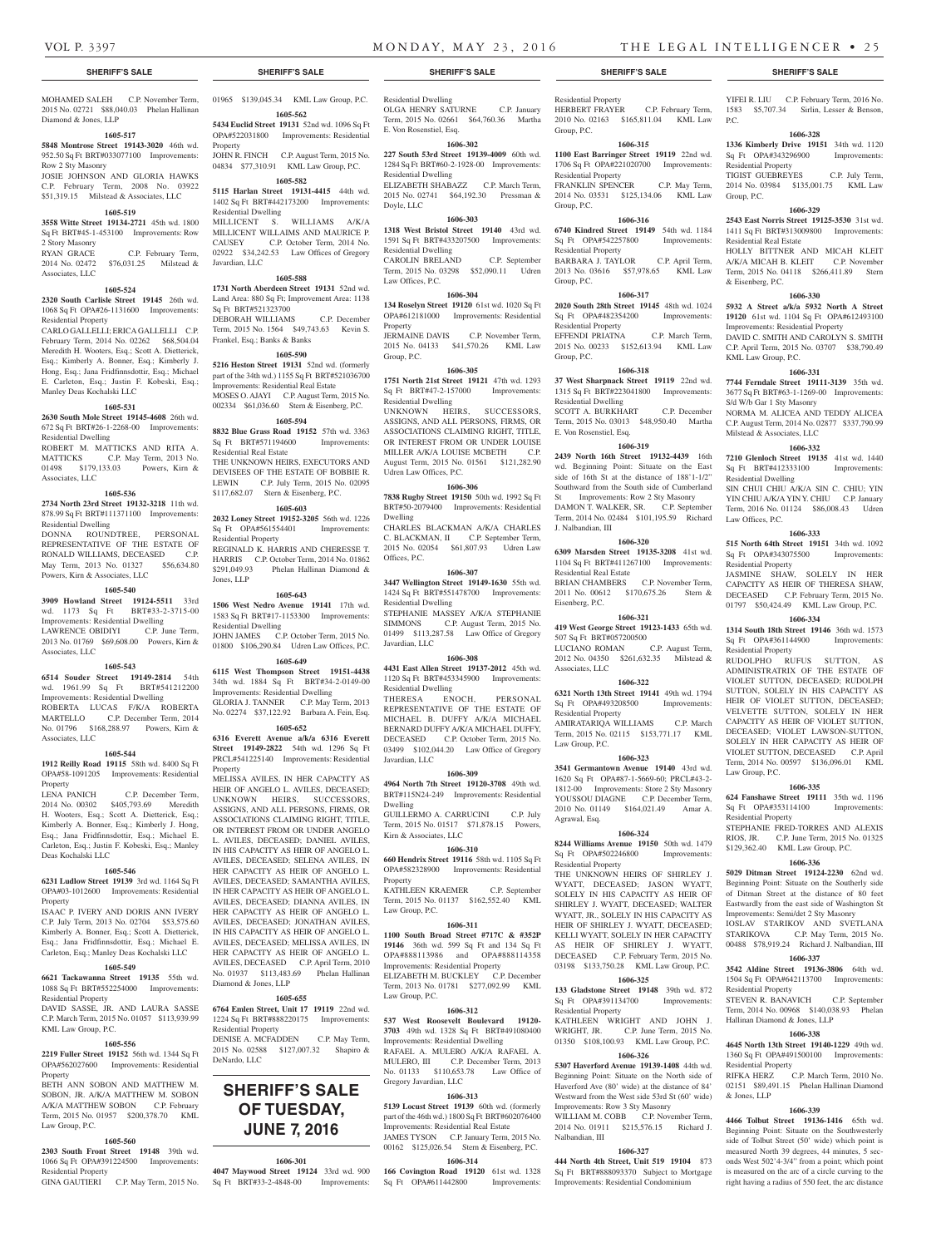$PC$ .

Group, P.C.

YIFEI R. LIU C.P. February Term, 2016 No. 1583 \$5,707.34 Sirlin, Lesser & Benson,

**1606-328 1336 Kimberly Drive 19151** 34th wd. 1120<br>Sq Ft OPA#343296900 Improvements:

TIGIST GUEBREYES C.P. July Term, 2014 No. 03984 \$135,001.75 KML Law

**1606-329 2543 East Norris Street 19125-3530** 31st wd. 1411 Sq Ft BRT#313009800 Improvements:

HOLLY BITTNER AND MICAH KLEIT A/K/A MICAH B. KLEIT C.P. November Term, 2015 No. 04118 \$266,411.89 Stern

**1606-330 5932 A Street a/k/a 5932 North A Street 19120** 61st wd. 1104 Sq Ft OPA#612493100 Improvements: Residential Property DAVID C. SMITH AND CAROLYN S. SMITH C.P. April Term, 2015 No. 03707 \$38,790.49

**1606-331 7744 Ferndale Street 19111-3139** 35th wd. 3677 Sq Ft BRT#63-1-1269-00 Improvements:

NORMA M. ALICEA AND TEDDY ALICEA C.P. August Term, 2014 No. 02877 \$337,790.99

**1606-332 7210 Glenloch Street 19135** 41st wd. 1440 Sq Ft BRT#412333100 Improvements:

SIN CHUI CHIU A/K/A SIN C. CHIU; YIN YIN CHIU A/K/A YIN Y. CHIU C.P. January Term, 2016 No. 01124 \$86,008.43 Udren

**1606-333 515 North 64th Street 19151** 34th wd. 1092 Sq Ft OPA#343075500 Improvements:

JASMINE SHAW, SOLELY IN HER CAPACITY AS HEIR OF THERESA SHAW, DECEASED C.P. February Term, 2015 No. 01797 \$50,424.49 KML Law Group, P.C. **1606-334 1314 South 18th Street 19146** 36th wd. 1573 Sq Ft OPA#361144900 Improvements:

RUDOLPHO RUFUS SUTTON, AS ADMINISTRATRIX OF THE ESTATE OF VIOLET SUTTON, DECEASED; RUDOLPH SUTTON, SOLELY IN HIS CAPACITY AS HEIR OF VIOLET SUTTON, DECEASED; VELVETTE SUTTON, SOLELY IN HER CAPACITY AS HEIR OF VIOLET SUTTON, DECEASED; VIOLET LAWSON-SUTTON, SOLELY IN HER CAPACITY AS HEIR OF VIOLET SUTTON, DECEASED C.P. April Term, 2014 No. 00597 \$136,096.01 KML

**1606-335 624 Fanshawe Street 19111** 35th wd. 1196 Sq Ft OPA#353114100 Improvements:

STEPHANIE FRED-TORRES AND ALEXIS RIOS, JR. C.P. June Term, 2015 No. 01325 \$129,362.40 KML Law Group, P.C. **1606-336 5029 Ditman Street 19124-2230** 62nd wd. Beginning Point: Situate on the Southerly side of Ditman Street at the distance of 80 feet Eastwardly from the east side of Washington St Improvements: Semi/det 2 Sty Masonry IOSLAV STARIKOV AND SVETLANA STARIKOVA C.P. May Term, 2015 No. 00488 \$78,919.24 Richard J. Nalbandian, III **1606-337 3542 Aldine Street 19136-3806** 64th wd. 1504 Sq Ft OPA#642113700 Improvements:

STEVEN R. BANAVICH C.P. September Term, 2014 No. 00968 \$140,038.93 Phelan

**1606-338 4645 North 13th Street 19140-1229** 49th wd. 1360 Sq Ft OPA#491500100 Improvements:

02151 \$89,491.15 Phelan Hallinan Diamond

**1606-339 4466 Tolbut Street 19136-1416** 65th wd. Beginning Point: Situate on the Southwesterly side of Tolbut Street (50' wide) which point is measured North 39 degrees, 44 minutes, 5 seconds West 502'4-3/4" from a point; which point is measured on the arc of a circle curving to the right having a radius of 550 feet, the arc distance

C.P. March Term, 2010 No.

Sq Ft OPA#343296900 Residential Property

Residential Real Estate

KML Law Group, P.C.

S/d W/b Gar 1 Sty Masonry

Milstead & Associates, LLC

Residential Dwelling

Law Offices, P.C.

Residential Property

Residential Property

Law Group, P.C.

Residential Property

Residential Property

Residential Property<br>RIFKA HERZ (

& Jones, LLP

Hallinan Diamond & Jones, LLP

& Eisenberg, P.C.

MOHAMED SALEH C.P. November Term, 01965 \$139,045.34 KML Law Group, P.C. 2015 No. 02721 \$88,040.03 Phelan Hallinan Diamond & Jones, LLP

## **1605-517**

**5848 Montrose Street 19143-3020** 46th wd. 952.50 Sq Ft BRT#033077100 Improvements: Row 2 Sty Masonry

JOSIE JOHNSON AND GLORIA HAWKS C.P. February Term, 2008 No. 03922 \$51,319.15 Milstead & Associates, LLC

## **1605-519**

## **3558 Witte Street 19134-2721** 45th wd. 1800

Sq Ft BRT#45-1-453100 Improvements: Row 2 Story Masonry RYAN GRACE C.P. February Term,

2014 No. 02472 \$76,031.25 Milstead & Associates, LLC

#### **1605-524**

**2320 South Carlisle Street 19145** 26th wd. 1068 Sq Ft OPA#26-1131600 Improvements: Residential Property

CARLO GALLELLI; ERICA GALLELLI C.P. February Term, 2014 No. 02262 \$68,504.04 Meredith H. Wooters, Esq.; Scott A. Dietterick, Esq.; Kimberly A. Bonner, Esq.; Kimberly J. Hong, Esq.; Jana Fridfinnsdottir, Esq.; Michael E. Carleton, Esq.; Justin F. Kobeski, Esq.; Manley Deas Kochalski LLC

#### **1605-531**

**2630 South Mole Street 19145-4608** 26th wd. 672 Sq Ft BRT#26-1-2268-00 Improvements: Residential Dwelling

ROBERT M. MATTICKS AND RITA A. MATTICKS C.P. May Term, 2013 No. 01498 \$179,133.03 Powers, Kirn &

Associates, LLC

## **1605-536**

**2734 North 23rd Street 19132-3218** 11th wd. 878.99 Sq Ft BRT#111371100 Improvements: Residential Dwelling DONNA ROUNDTREE, PERSONAL REPRESENTATIVE OF THE ESTATE OF RONALD WILLIAMS, DECEASED C.P. May Term, 2013 No. 01327 \$56,634.80 Powers, Kirn & Associates, LLC

#### **1605-540**

**3909 Howland Street 19124-5511** 33rd wd. 1173 Sq Ft BRT#33-2-3715-00 Improvements: Residential Dwelling<br>LAWRENCE OBIDIYI C.P. June Term, LAWRENCE OBIDIYI 2013 No. 01769 \$69,608.00 Powers, Kirn & Associates, LLC

#### **1605-543**

**6514 Souder Street 19149-2814** 54th wd. 1961.99 Sq Ft BRT#541212200 Improvements: Residential Dwelling ROBERTA LUCAS F/K/A ROBERTA MARTELLO C.P. December Term, 2014 No. 01796 \$168,288.97 Powers, Kirn & Associates, LLC

#### **1605-544**

**1912 Reilly Road 19115** 58th wd. 8400 Sq Ft OPA#58-1091205 Improvements: Residential Property

LENA PANICH C.P. December Term, 2014 No. 00302 \$405,793.69 Meredith H. Wooters, Esq.; Scott A. Dietterick, Esq.; Kimberly A. Bonner, Esq.; Kimberly J. Hong, Esq.; Jana Fridfinnsdottir, Esq.; Michael E. Carleton, Esq.; Justin F. Kobeski, Esq.; Manley Deas Kochalski LLC

#### **1605-546**

**6231 Ludlow Street 19139** 3rd wd. 1164 Sq Ft OPA#03-1012600 Improvements: Residential Property

ISAAC P. IVERY AND DORIS ANN IVERY C.P. July Term, 2013 No. 02704 \$53,575.60 Kimberly A. Bonner, Esq.; Scott A. Dietterick, Esq.; Jana Fridfinnsdottir, Esq.; Michael E. Carleton, Esq.; Manley Deas Kochalski LLC

### **1605-549**

**6621 Tackawanna Street 19135** 55th wd. 1088 Sq Ft BRT#552254000 Improvements: Residential Property

DAVID SASSE, JR. AND LAURA SASSE C.P. March Term, 2015 No. 01057 \$113,939.99 KML Law Group, P.C.

#### **1605-556**

**2219 Fuller Street 19152** 56th wd. 1344 Sq Ft OPA#562027600 Improvements: Residential Property

BETH ANN SOBON AND MATTHEW M. SOBON, JR. A/K/A MATTHEW M. SOBON A/K/A MATTHEW SOBON C.P. February Term, 2015 No. 01957 \$200,378.70 KML Law Group, P.C.

#### **1605-560 2303 South Front Street 19148** 39th wd.

1066 Sq Ft OPA#391224500 Improvements: Residential Property

GINA GAUTIERI C.P. May Term, 2015 No.

# **1605-562**

**5434 Euclid Street 19131** 52nd wd. 1096 Sq Ft OPA#522031800 Improvements: Residential Property JOHN R. FINCH C.P. August Term, 2015 No.

04834 \$77,310.91 KML Law Group, P.C. **1605-582**

## **5115 Harlan Street 19131-4415** 44th wd. 1402 Sq Ft BRT#442173200 Improvements:

Residential Dwelling MILLICENT S. WILLIAMS A/K/A MILLICENT WILLAIMS AND MAURICE P. CAUSEY C.P. October Term, 2014 No. 02922 \$34,242.53 Law Offices of Gregory Javardian, LLC

## **1605-588**

**1731 North Aberdeen Street 19131** 52nd wd. Land Area: 880 Sq Ft; Improvement Area: 1138 Sq Ft BRT#521323700 DEBORAH WILLIAMS C.P. December

Term, 2015 No. 1564 \$49,743.63 Kevin S. Frankel, Esq.; Banks & Banks **1605-590**

**5216 Heston Street 19131** 52nd wd. (formerly part of the 34th wd.) 1155 Sq Ft BRT#521036700 Improvements: Residential Real Estate MOSES O. AJAYI C.P. August Term, 2015 No. 002334 \$61,036.60 Stern & Eisenberg, P.C.

#### **1605-594**

**8832 Blue Grass Road 19152** 57th wd. 3363 Sq Ft BRT#571194600 Improvements: Residential Real Estate THE UNKNOWN HEIRS, EXECUTORS AND DEVISEES OF THE ESTATE OF BOBBIE R. LEWIN C.P. July Term, 2015 No. 02095 \$117,682.07 Stern & Eisenberg, P.C.

## **1605-603**

**2032 Loney Street 19152-3205** 56th wd. 1226 Sq Ft OPA#561554401 Improvements: Residential Property REGINALD K. HARRIS AND CHERESSE T. HARRIS C.P. October Term, 2014 No. 01862<br>\$291.049.93 Phelan Hallinan Diamond & **Phelan Hallinan Diamond &** Jones, LLP

## **1605-643**

**1506 West Nedro Avenue 19141** 17th wd. 1583 Sq Ft BRT#17-1153300 Improvements: Residential Dwelling JOHN JAMES C.P. October Term, 2015 No. 01800 \$106,290.84 Udren Law Offices, P.C.

## **1605-649**

**6115 West Thompson Street 19151-4438**  34th wd. 1884 Sq Ft BRT#34-2-0149-00 Improvements: Residential Dwelling GLORIA J. TANNER C.P. May Term, 2013 No. 02274 \$37,122.92 Barbara A. Fein, Esq.

#### **1605-652**

**6316 Everett Avenue a/k/a 6316 Everett Street 19149-2822** 54th wd. 1296 Sq Ft PRCL#541225140 Improvements: Residential Property

MELISSA AVILES, IN HER CAPACITY AS HEIR OF ANGELO L. AVILES, DECEASED; UNKNOWN HEIRS, SUCCESSORS, ASSIGNS, AND ALL PERSONS, FIRMS, OR ASSOCIATIONS CLAIMING RIGHT, TITLE OR INTEREST FROM OR UNDER ANGELO L. AVILES, DECEASED; DANIEL AVILES, IN HIS CAPACITY AS HEIR OF ANGELO L. AVILES, DECEASED; SELENA AVILES, IN HER CAPACITY AS HEIR OF ANGELO L. AVILES, DECEASED; SAMANTHA AVILES, IN HER CAPACITY AS HEIR OF ANGELO L. AVILES, DECEASED; DIANNA AVILES, IN HER CAPACITY AS HEIR OF ANGELO L. AVILES, DECEASED; JONATHAN AVILES, IN HIS CAPACITY AS HEIR OF ANGELO L. AVILES, DECEASED; MELISSA AVILES, IN HER CAPACITY AS HEIR OF ANGELO L. AVILES, DECEASED C.P. April Term, 2010 No. 01937 \$113,483.69 Phelan Hallinan Diamond & Jones, LLP

## **1605-655**

**6764 Emlen Street, Unit 17 19119** 22nd wd. 1224 Sq Ft BRT#888220175 Improvements: Residential Property

## DENISE A. MCFADDEN C.P. May Term, 2015 No. 02588 \$127,007.32 Shapiro & DeNardo, LLC

## **SHERIFF'S SALE OF TUESDAY, JUNE 7, 2016**

## **1606-301**

**4047 Maywood Street 19124** 33rd wd. 900 Sq Ft BRT#33-2-4848-00 Improvements:

## **SHERIFF'S SALE SHERIFF'S SALE SHERIFF'S SALE SHERIFF'S SALE SHERIFF'S SALE**

Residential Dwelling OLGA HENRY SATURNE C.P. January Term, 2015 No. 02661 \$64,760.36 Martha E. Von Rosenstiel, Esq.

Residential Property

Residential Property

Residential Property

Sq Ft OPA#482354200 Residential Property

Group, P.C.

Group, P.C.

Group, P.C.

Group, P.C.

Residential Dwelling

E. Von Rosenstiel, Esq.

J. Nalbandian, III

Eisenberg, P.C.

Associates, LLC

Residential Property

Law Group, P.C.

Agrawal, Esq.

Residential Property

Residential Property

Nalbandian, III

Residential Real Estate

507 Sq Ft BRT#057200500

HERBERT FRAYER C.P. February Term, 2010 No. 02163 \$165,811.04 KML Law

**1606-315 1100 East Barringer Street 19119** 22nd wd. 1706 Sq Ft OPA#221020700 Improvements:

FRANKLIN SPENCER C.P. May Term, 2014 No. 03531 \$125,134.06 KML Law

**1606-316 6740 Kindred Street 19149** 54th wd. 1184 Sq Ft OPA#542257800 Improvements:

BARBARA J. TAYLOR C.P. April Term, 2013 No. 03616 \$57,978.65 KML Law

**1606-317 2020 South 28th Street 19145** 48th wd. 1024

EFFENDI PRIATNA C.P. March Term, 2015 No. 00233 \$152,613.94 KML Law

**1606-318 37 West Sharpnack Street 19119** 22nd wd. 1315 Sq Ft BRT#223041800 Improvements:

SCOTT A. BURKHART C.P. December Term, 2015 No. 03013 \$48,950.40 Martha

**1606-319 2439 North 16th Street 19132-4439** 16th wd. Beginning Point: Situate on the East side of 16th St at the distance of 188'1-1/2" Southward from the South side of Cumberland St Improvements: Row 2 Sty Masonry DAMON T. WALKER, SR. C.P. September Term, 2014 No. 02484 \$101,195.59 Richard

**1606-320 6309 Marsden Street 19135-3208** 41st wd. 1104 Sq Ft BRT#411267100 Improvements:

BRIAN CHAMBERS C.P. November Term, 2011 No. 00612 \$170,675.26 Stern &

**1606-321 419 West George Street 19123-1433** 65th wd.

LUCIANO ROMAN C.P. August Term, 2012 No. 04350 \$261,632.35 Milstead &

**1606-322 6321 North 13th Street 19141** 49th wd. 1794 Sq Ft OPA#493208500 Improvements:

AMIRATARIQA WILLIAMS C.P. March Term, 2015 No. 02115 \$153,771.17 KML

**1606-323 3541 Germantown Avenue 19140** 43rd wd. 1620 Sq Ft OPA#87-1-5669-60; PRCL#43-2- 1812-00 Improvements: Store 2 Sty Masonry YOUSSOU DIAGNE C.P. December Term, 2010 No. 01149 \$164,021.49 Amar A.

**1606-324 8244 Williams Avenue 19150** 50th wd. 1479 Sq Ft OPA#502246800 Improvements:

THE UNKNOWN HEIRS OF SHIRLEY J. WYATT, DECEASED; JASON WYATT, SOLELY IN HIS CAPACITY AS HEIR OF SHIRLEY J. WYATT, DECEASED; WALTER WYATT, JR., SOLELY IN HIS CAPACITY AS HEIR OF SHIRLEY J. WYATT, DECEASED; KELLI WYATT, SOLELY IN HER CAPACITY AS HEIR OF SHIRLEY J. WYATT, DECEASED C.P. February Term, 2015 No. 03198 \$133,750.28 KML Law Group, P.C. **1606-325 133 Gladstone Street 19148** 39th wd. 872 Sq Ft OPA#391134700 Improvements:

KATHLEEN WRIGHT AND JOHN J. WRIGHT, JR. C.P. June Term, 2015 No. 01350 \$108,100.93 KML Law Group, P.C. **1606-326 5307 Haverford Avenue 19139-1408** 44th wd. Beginning Point: Situate on the North side of Haverford Ave (80' wide) at the distance of 84' Westward from the West side 53rd St (60' wide)

Improvements: Row 3 Sty Masonry WILLIAM M. COBB C.P. November Term, 2014 No. 01911 \$215,576.15 Richard J.

**1606-327 444 North 4th Street, Unit 519 19104** 873 Sq Ft BRT#888093370 Subject to Mortgage Improvements: Residential Condominium

## **1606-302**

**227 South 53rd Street 19139-4009** 60th wd. 1284 Sq Ft BRT#60-2-1928-00 Improvements: Residential Dwelling ELIZABETH SHABAZZ C.P. March Term,

2015 No. 02741 \$64,192.30 Pressman & Doyle, LLC

## **1606-303**

**1318 West Bristol Street 19140** 43rd wd. 1591 Sq Ft BRT#433207500 Improvements: Residential Dwelling CAROLIN BRELAND C.P. September

Term, 2015 No. 03298 \$52,090.11 Udren Law Offices, P.C. **1606-304**

**134 Roselyn Street 19120** 61st wd. 1020 Sq Ft OPA#612181000 Improvements: Residential Property

JERMAINE DAVIS C.P. November Term, 2015 No. 04133 \$41,570.26 KML Law Group, P.C.

## **1606-305**

**1751 North 21st Street 19121** 47th wd. 1293 Sq Ft BRT#47-2-157000 Improvements: Residential Dwelling UNKNOWN HEIRS, SUCCESSORS ASSIGNS, AND ALL PERSONS, FIRMS, OR ASSOCIATIONS CLAIMING RIGHT, TITLE OR INTEREST FROM OR UNDER LOUISE MILLER A/K/A LOUISE MCBETH C.P. August Term, 2015 No. 01561 \$121,282.90 Udren Law Offices, P.C.

## **1606-306**

**7838 Rugby Street 19150** 50th wd. 1992 Sq Ft BRT#50-2079400 Improvements: Residential Dwelling

CHARLES BLACKMAN A/K/A CHARLES C. BLACKMAN, II C.P. September Term, 2015 No. 02054 \$61,807.93 Udren Law Offices, P.C.

## **1606-307**

**3447 Wellington Street 19149-1630** 55th wd. 1424 Sq Ft BRT#551478700 Improvements: Residential Dwelling STEPHANIE MASSEY A/K/A STEPHANIE SIMMONS C.P. August Term, 2015 No. 01499 \$113,287.58 Law Office of Gregory Javardian, LLC

#### **1606-308**

**4431 East Allen Street 19137-2012** 45th wd. 1120 Sq Ft BRT#453345900 Improvements: Residential Dwelling

THERESA ENOCH, PERSONAL REPRESENTATIVE OF THE ESTATE OF MICHAEL B. DUFFY A/K/A MICHAEL BERNARD DUFFY A/K/A MICHAEL DUFFY, DECEASED C.P. October Term, 2015 No. 03499 \$102,044.20 Law Office of Gregory Javardian, LLC

#### **1606-309**

**4964 North 7th Street 19120-3708** 49th wd. BRT#115N24-249 Improvements: Residential

Dwelling GUILLERMO A. CARRUCINI C.P. July Term, 2015 No. 01517 \$71,878.15 Powers, Kirn & Associates, LLC

## **1606-310**

**660 Hendrix Street 19116** 58th wd. 1105 Sq Ft OPA#582328900 Improvements: Residential Property KATHLEEN KRAEMER C.P. September

Term, 2015 No. 01137 \$162,552.40 KML Law Group, P.C.

## **1606-311**

**1100 South Broad Street #717C & #352P 19146** 36th wd. 599 Sq Ft and 134 Sq Ft OPA#888113986 and OPA#888114358 Improvements: Residential Property ELIZABETH M. BUCKLEY C.P. December Term, 2013 No. 01781 \$277,092.99 KML Law Group, P.C.

## **1606-312**

**537 West Roosevelt Boulevard 19120- 3703** 49th wd. 1328 Sq Ft BRT#491080400 Improvements: Residential Dwelling RAFAEL A. MULERO A/K/A RAFAEL A. MULERO, III C.P. December Term, 2013 No. 01133 \$110,653.78 Law Office of Gregory Javardian, LLC

## **1606-313**

**5139 Locust Street 19139** 60th wd. (formerly part of the 46th wd.) 1800 Sq Ft BRT#602076400 Improvements: Residential Real Estate JAMES TYSON C.P. January Term, 2015 No. 00162 \$125,026.54 Stern & Eisenberg, P.C.

**1606-314 166 Covington Road 19120** 61st wd. 1328 Sq Ft OPA#611442800 Improvements: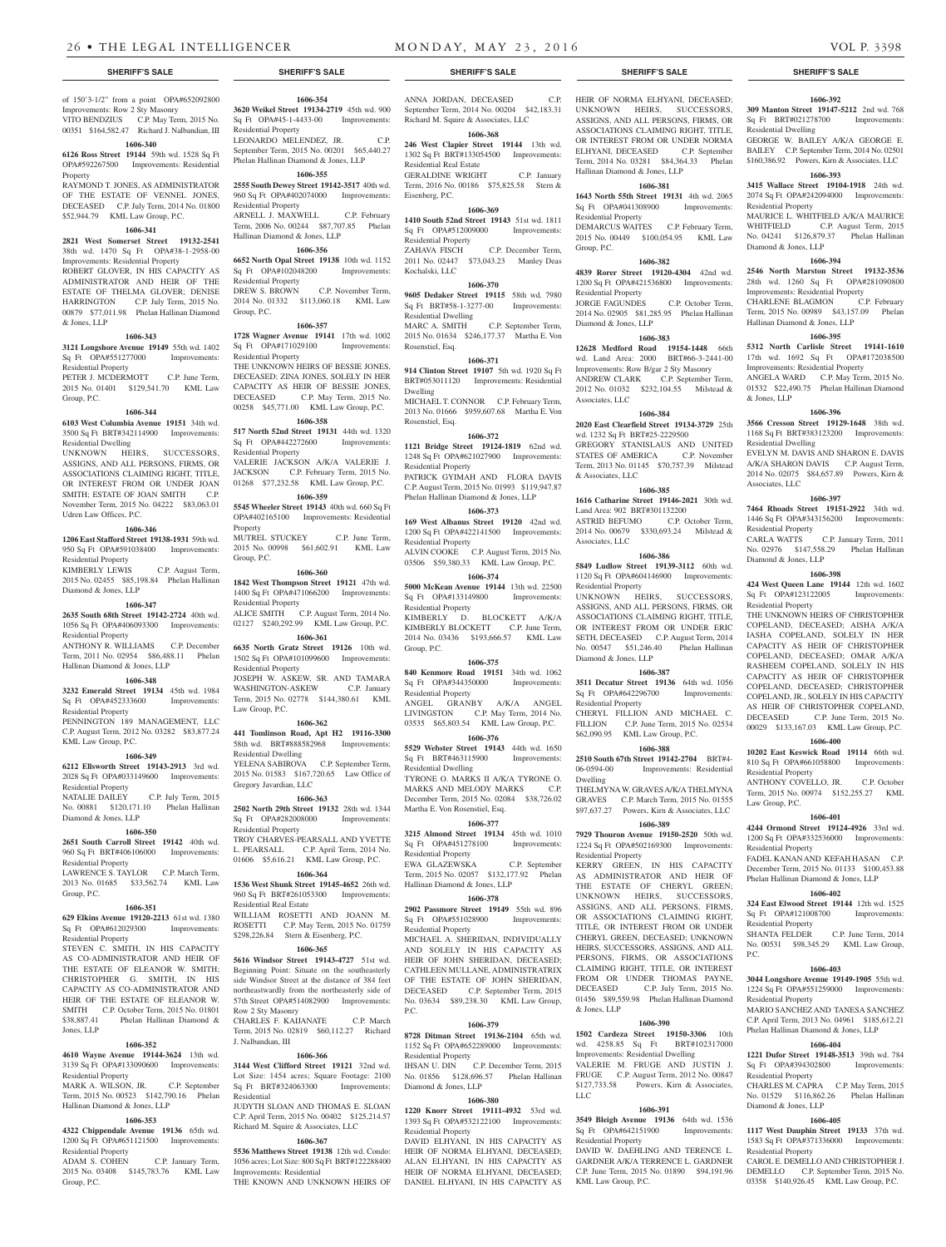**1606-340 6126 Ross Street 19144** 59th wd. 1528 Sq Ft OPA#592267500 Improvements: Residential

OF THE ESTATE OF VENNEL JONES, DECEASED C.P. July Term, 2014 No. 01800 \$52,944.79 KML Law Group, P.C. **1606-341 2821 West Somerset Street 19132-2541** 38th wd. 1470 Sq Ft OPA#38-1-2958-00 Improvements: Residential Property ROBERT GLOVER, IN HIS CAPACITY AS ADMINISTRATOR AND HEIR OF THE ESTATE OF THELMA GLOVER; DENISE HARRINGTON C.P. July Term, 2015 No. 00879 \$77,011.98 Phelan Hallinan Diamond

**1606-343 3121 Longshore Avenue 19149** 55th wd. 1402 Sq Ft OPA#551277000 Improvements:

PETER J. MCDERMOTT C.P. June Term, 2015 No. 01401 \$129,541.70 KML Law

**1606-344 6103 West Columbia Avenue 19151** 34th wd. 3500 Sq Ft BRT#342114900 Improvements:

UNKNOWN HEIRS, SUCCESSORS, ASSIGNS, AND ALL PERSONS, FIRMS, OR ASSOCIATIONS CLAIMING RIGHT, TITLE, OR INTEREST FROM OR UNDER JOAN SMITH: ESTATE OF JOAN SMITH C.P. November Term, 2015 No. 04222 \$83,063.01

**1606-346 1206 East Stafford Street 19138-1931** 59th wd. 950 Sq Ft OPA#591038400 Improvements:

KIMBERLY LEWIS C.P. August Term, 2015 No. 02455 \$85,198.84 Phelan Hallinan

**1606-347 2635 South 68th Street 19142-2724** 40th wd. 1056 Sq Ft OPA#406093300 Improvements:

ANTHONY R. WILLIAMS C.P. December Term, 2011 No. 02954 \$86,488.11 Phelan

**1606-348 3232 Emerald Street 19134** 45th wd. 1984 Sq Ft OPA#452333600 Improvements:

PENNINGTON 189 MANAGEMENT, LLC C.P. August Term, 2012 No. 03282 \$83,877.24

**1606-349 6212 Ellsworth Street 19143-2913** 3rd wd. 2028 Sq Ft OPA#033149600 Improvements:

NATALIE DAILEY C.P. July Term, 2015 No. 00881 \$120,171.10 Phelan Hallinan

**1606-350 2651 South Carroll Street 19142** 40th wd. 960 Sq Ft BRT#406106000 Improvements:

LAWRENCE S. TAYLOR C.P. March Term, 2013 No. 01685 \$33,562.74 KML Law

**1606-351 629 Elkins Avenue 19120-2213** 61st wd. 1380<br>Sq Ft OPA#612029300 Improvements:

STEVEN C. SMITH, IN HIS CAPACITY AS CO-ADMINISTRATOR AND HEIR OF THE ESTATE OF ELEANOR W. SMITH; CHRISTOPHER G. SMITH, IN HIS CAPACITY AS CO-ADMINISTRATOR AND HEIR OF THE ESTATE OF ELEANOR W. SMITH C.P. October Term, 2015 No. 01801<br>
\$38.887.41 Phelan Hallinan Diamond &

**1606-352 4610 Wayne Avenue 19144-3624** 13th wd. 3139 Sq Ft OPA#133090600 Improvements:

MARK A. WILSON, JR. C.P. September Term, 2015 No. 00523 \$142,790.16 Phelan

**1606-353 4322 Chippendale Avenue 19136** 65th wd. 1200 Sq Ft OPA#651121500 Improvements:

ADAM S. COHEN C.P. January Term, 2015 No. 03408 \$145,783.76 KML Law

Phelan Hallinan Diamond &

Improvements: Row 2 Sty Masonry

Property

& Jones, LLP

Group, P.C.

Residential Property

Residential Dwelling

Udren Law Offices, P.C.

Residential Property

Diamond & Jones, LLP

Residential Property

Residential Property

KML Law Group, P.C.

Residential Property

Diamond & Jones, LLP

Residential Property

Sq Ft OPA#612029300 Residential Property

Group, P.C.

Jones, LLP

Residential Property

Residential Property

Group, P.C.

Hallinan Diamond & Jones, LLP

Hallinan Diamond & Jones, LLP

of 150'3-1/2" from a point OPA#652092800 VITO BENDZIUS C.P. May Term, 2015 No. 00351 \$164,582.47 Richard J. Nalbandian, III **1606-354 3620 Weikel Street 19134-2719** 45th wd. 900 Sq Ft OPA#45-1-4433-00 Improvements: Residential Property

LEONARDO MELENDEZ, JR. C.P. September Term, 2015 No. 00201 \$65,440.27 Phelan Hallinan Diamond & Jones, LLP

## **1606-355**

RAYMOND T. JONES, AS ADMINISTRATOR **2555 South Dewey Street 19142-3517** 40th wd. 960 Sq Ft OPA#402074000 Improvements: Residential Property

ARNELL J. MAXWELL C.P. February Term, 2006 No. 00244 \$87,707.85 Phelan Hallinan Diamond & Jones, LLP **1606-356**

**6652 North Opal Street 19138** 10th wd. 1152<br>
Sq Ft OPA#102048200 Improvements: Sq Ft OPA#102048200 Residential Property<br>DREW S. BROWN C.P. November Term, 2014 No. 01332 \$113,060.18 KML Law Group, P.C.

## **1606-357**

**1728 Wagner Avenue 19141** 17th wd. 1002 Sq Ft OPA#171029100 Improvements: Residential Property THE UNKNOWN HEIRS OF BESSIE JONES, DECEASED; ZINA JONES, SOLELY IN HER CAPACITY AS HEIR OF BESSIE JONES, DECEASED C.P. May Term, 2015 No. 00258 \$45,771.00 KML Law Group, P.C.

**1606-358 517 North 52nd Street 19131** 44th wd. 1320 Sq Ft OPA#442272600 Improvements: Residential Property VALERIE JACKSON A/K/A VALERIE J.<br>JACKSON C.P. February Term. 2015 No. C.P. February Term, 2015 No. 01268 \$77,232.58 KML Law Group, P.C.

#### **1606-359**

**5545 Wheeler Street 19143** 40th wd. 660 Sq Ft OPA#402165100 Improvements: Residential Property MUTREL STUCKEY C.P. June Term, 2015 No. 00998 \$61,602.91 KML Law Group, P.C.

#### **1606-360**

**1842 West Thompson Street 19121** 47th wd. 1400 Sq Ft OPA#471066200 Improvements: Residential Property ALICE SMITH C.P. August Term, 2014 No. 02127 \$240,292.99 KML Law Group, P.C.

**1606-361 6635 North Gratz Street 19126** 10th wd.

1502 Sq Ft OPA#101099600 Improvements: Residential Property JOSEPH W. ASKEW, SR. AND TAMARA WASHINGTON-ASKEW C.P. January Term, 2015 No. 02778 \$144,380.61 KML

Law Group, P.C. **1606-362**

## **441 Tomlinson Road, Apt H2 19116-3300**

58th wd. BRT#888582968 Improvements: Residential Dwelling YELENA SABIROVA C.P. September Term, 2015 No. 01583 \$167,720.65 Law Office of

Gregory Javardian, LLC **1606-363**

**2502 North 29th Street 19132** 28th wd. 1344 Sq Ft OPA#282008000 Improvements: Residential Property TROY CHARVES-PEARSALL AND YVETTE L. PEARSALL C.P. April Term, 2014 No.

01606 \$5,616.21 KML Law Group, P.C. **1606-364**

**1536 West Shunk Street 19145-4652** 26th wd. 960 Sq Ft BRT#261053300 Improvements: Residential Real Estate WILLIAM ROSETTI AND JOANN M.

ROSETTI C.P. May Term, 2015 No. 01759 \$298,226.84 Stern & Eisenberg, P.C. **1606-365**

**5616 Windsor Street 19143-4727** 51st wd. Beginning Point: Situate on the southeasterly side Windsor Street at the distance of 384 feet northeastwardly from the northeasterly side of 57th Street OPA#514082900 Improvements: Row 2 Sty Masonry CHARLES F. KAIJANATE C.P. March Term, 2015 No. 02819 \$60,112.27 Richard

#### **1606-366**

J. Nalbandian, III

**3144 West Clifford Street 19121** 32nd wd. Lot Size: 1454 acres; Square Footage: 2100 Sq Ft BRT#324063300 Improvements: Residential

JUDYTH SLOAN AND THOMAS E. SLOAN C.P. April Term, 2015 No. 00402 \$125,214.57 Richard M. Squire & Associates, LLC

## **1606-367**

**5536 Matthews Street 19138** 12th wd. Condo: 1056 acres; Lot Size: 800 Sq Ft BRT#122288400 Improvements: Residential

THE KNOWN AND UNKNOWN HEIRS OF

## **SHERIFF'S SALE SHERIFF'S SALE SHERIFF'S SALE SHERIFF'S SALE SHERIFF'S SALE**

ANNA JORDAN, DECEASED C.P. September Term, 2014 No. 00204 \$42,183.31 Richard M. Squire & Associates, LLC **1606-368**

**246 West Clapier Street 19144** 13th wd. 1302 Sq Ft BRT#133054500 Improvements: Residential Real Estate GERALDINE WRIGHT C.P. January

Term, 2016 No. 00186 \$75,825.58 Stern & Eisenberg, P.C.

## **1606-369**

**1410 South 52nd Street 19143** 51st wd. 1811 Sq Ft OPA#512009000 Improvements: Residential Property ZAHAVA FISCH C.P. December Term, 2011 No. 02447 \$73,043.23 Manley Deas

## Kochalski, LLC

**1606-370 9605 Dedaker Street 19115** 58th wd. 7980 Sq Ft BRT#58-1-3277-00 Improvements: Residential Dwelling MARC A. SMITH C.P. September Term, 2015 No. 01634 \$246,177.37 Martha E. Von Rosenstiel, Esq.

## **1606-371**

**914 Clinton Street 19107** 5th wd. 1920 Sq Ft BRT#053011120 Improvements: Residential Dwelling MICHAEL T. CONNOR C.P. February Term,

2013 No. 01666 \$959,607.68 Martha E. Von Rosenstiel, Esq.

## **1606-372**

**1121 Bridge Street 19124-1819** 62nd wd. 1248 Sq Ft OPA#621027900 Improvements: Residential Property PATRICK GYIMAH AND FLORA DAVIS C.P. August Term, 2015 No. 01993 \$119,947.87 Phelan Hallinan Diamond & Jones, LLP

## **1606-373**

**169 West Albanus Street 19120** 42nd wd. 1200 Sq Ft OPA#422141500 Improvements: Residential Property ALVIN COOKE C.P. August Term, 2015 No. 03506 \$59,380.33 KML Law Group, P.C.

## **1606-374**

**5000 McKean Avenue 19144** 13th wd. 22500 Sq Ft OPA#133149800 Improvements: Residential Property

KIMBERLY D. BLOCKETT A/K/A KIMBERLY BLOCKETT C.P. June Term, 2014 No. 03436 \$193,666.57 KML Law Group, P.C.

## **1606-375**

**840 Kenmore Road 19151** 34th wd. 1062 Sq Ft OPA#344350000 Improvements: Residential Property ANGEL GRANBY A/K/A ANGEL LIVINGSTON C.P. May Term, 2014 No. 03535 \$65,803.54 KML Law Group, P.C.

**1606-376 5529 Webster Street 19143** 44th wd. 1650 Sq Ft BRT#463115900 Improvements:

Residential Dwelling TYRONE O. MARKS II A/K/A TYRONE O. MARKS AND MELODY MARKS C.P. December Term, 2015 No. 02084 \$38,726.02 Martha E. Von Rosenstiel, Esq.

## **1606-377**

**3215 Almond Street 19134** 45th wd. 1010 Sq Ft OPA#451278100 Improvements: Residential Property EWA GLAZEWSKA C.P. September Term, 2015 No. 02057 \$132,177.92 Phelan

Hallinan Diamond & Jones, LLP

**1606-378 2902 Passmore Street 19149** 55th wd. 896 Sq Ft OPA#551028900 Improvements: Residential Property

MICHAEL A. SHERIDAN, INDIVIDUALLY AND SOLELY IN HIS CAPACITY AS HEIR OF JOHN SHERIDAN, DECEASED; CATHLEEN MULLANE, ADMINISTRATRIX OF THE ESTATE OF JOHN SHERIDAN,<br>DECEASED C.P. September Term. 2015 C.P. September Term, 2015 No. 03634 \$89,238.30 KML Law Group, P.C.

## **1606-379**

**8728 Ditman Street 19136-2104** 65th wd. 1152 Sq Ft OPA#652289000 Improvements: Residential Property

IHSAN U. DIN C.P. December Term, 2015 No. 01856 \$128,696.57 Phelan Hallinan Diamond & Jones, LLP

## **1606-380**

**1220 Knorr Street 19111-4932** 53rd wd. 1393 Sq Ft OPA#532122100 Improvements:

Residential Property DAVID ELHYANI, IN HIS CAPACITY AS HEIR OF NORMA ELHYANI, DECEASED; ALAN ELHYANI, IN HIS CAPACITY AS HEIR OF NORMA ELHYANI, DECEASED; DANIEL ELHYANI, IN HIS CAPACITY AS

HEIR OF NORMA ELHYANI, DECEASED; UNKNOWN HEIRS, SUCCESSORS, ASSIGNS, AND ALL PERSONS, FIRMS, OR ASSOCIATIONS CLAIMING RIGHT, TITLE OR INTEREST FROM OR UNDER NORMA ELHYANI, DECEASED C.P. September Term, 2014 No. 03281 \$84,364.33 Phelan Hallinan Diamond & Jones, LLP

## **1606-381**

**1643 North 55th Street 19131** 4th wd. 2065 Sq Ft OPA#041308900 Improvements: Residential Property DEMARCUS WAITES C.P. February Term, 2015 No. 00449 \$100,054.95 KML Law

Group, P.C. **1606-382**

#### **4839 Rorer Street 19120-4304** 42nd wd.

1200 Sq Ft OPA#421536800 Improvements: Residential Property JORGE FAGUNDES C.P. October Term, 2014 No. 02905 \$81,285.95 Phelan Hallinan

Diamond & Jones, LLP **1606-383**

**12628 Medford Road 19154-1448** 66th wd. Land Area: 2000 BRT#66-3-2441-00 Improvements: Row B/gar 2 Sty Masonry ANDREW CLARK C.P. September Term, 2012 No. 01032 \$232,104.55 Milstead & Associates, LLC

#### **1606-384 2020 East Clearfield Street 19134-3729** 25th

wd. 1232 Sq Ft BRT#25-2229500 GREGORY STANISLAUS AND UNITED STATES OF AMERICA C.P. November Term, 2013 No. 01145 \$70,757.39 Milstead & Associates, LLC

#### **1606-385 1616 Catharine Street 19146-2021** 30th wd.

Land Area: 902 BRT#301132200 ASTRID BEFUMO C.P. October Term, 2014 No. 00679 \$330,693.24 Milstead & Associates, LLC

## **1606-386**

**5849 Ludlow Street 19139-3112** 60th wd. 1120 Sq Ft OPA#604146900 Improvements: Residential Property UNKNOWN HEIRS, SUCCESSORS, ASSIGNS, AND ALL PERSONS, FIRMS, OR ASSOCIATIONS CLAIMING RIGHT, TITLE, OR INTEREST FROM OR UNDER ERIC SETH, DECEASED C.P. August Term, 2014 No. 00547 \$51,246.40 Phelan Hallinan Diamond & Jones, LLP

## **1606-387 3511 Decatur Street 19136** 64th wd. 1056

Sq Ft OPA#642296700 Improvements: Residential Property CHERYL FILLION AND MICHAEL C.

FILLION C.P. June Term, 2015 No. 02534 \$62,090.95 KML Law Group, P.C.

## **1606-388**

**2510 South 67th Street 19142-2704** BRT#4- 06-0594-00 Improvements: Residential Dwelling

THELMYNA W. GRAVES A/K/A THELMYNA GRAVES C.P. March Term, 2015 No. 01555 \$97,637.27 Powers, Kirn & Associates, LLC **1606-389**

## **7929 Thouron Avenue 19150-2520** 50th wd.

1224 Sq Ft OPA#502169300 Improvements: Residential Property

KERRY GREEN, IN HIS CAPACITY AS ADMINISTRATOR AND HEIR OF THE ESTATE OF CHERYL GREEN; UNKNOWN HEIRS, SUCCESSORS, ASSIGNS, AND ALL PERSONS, FIRMS, OR ASSOCIATIONS CLAIMING RIGHT, TITLE, OR INTEREST FROM OR UNDER CHERYL GREEN, DECEASED; UNKNOWN HEIRS, SUCCESSORS, ASSIGNS, AND ALL PERSONS, FIRMS, OR ASSOCIATIONS CLAIMING RIGHT, TITLE, OR INTEREST FROM OR UNDER THOMAS PAYNE. DECEASED C.P. July Term, 2015 No. 01456 \$89,559.98 Phelan Hallinan Diamond & Jones, LLP

## **1606-390**

**1502 Cardeza Street 19150-3306** 10th wd. 4258.85 Sq Ft BRT#102317000 Improvements: Residential Dwelling VALERIE M. FRUGE AND JUSTIN J. FRUGE C.P. August Term, 2012 No. 00847<br>\$127,733.58 Powers, Kirn & Associates, Powers, Kirn & Associates, LLC

#### **1606-391**

**3549 Bleigh Avenue 19136** 64th wd. 1536 Sq Ft OPA#642151900 Improvements: Residential Property

DAVID W. DAEHLING AND TERENCE L. GARDNER A/K/A TERRENCE L. GARDNER C.P. June Term, 2015 No. 01890 \$94,191.96 KML Law Group, P.C.

## **1606-392 309 Manton Street 19147-5212** 2nd wd. 768 Sq Ft BRT#021278700 Improvements:

GEORGE W. BAILEY A/K/A GEORGE E. BAILEY C.P. September Term, 2014 No. 02501 \$160,386.92 Powers, Kirn & Associates, LLC **1606-393 3415 Wallace Street 19104-1918** 24th wd. 2074 Sq Ft OPA#242094000 Improvements:

MAURICE L. WHITFIELD A/K/A MAURICE WHITFIELD C.P. August Term, 2015<br>No. 04241 \$126,879.37 Phelan Hallinan

**1606-394 2546 North Marston Street 19132-3536** 28th wd. 1260 Sq Ft OPA#281090800 **Improvements: Residential Property<br>CHARLENE BLAGMON** CP February

Term, 2015 No. 00989 \$43,157.09 Phelan

**1606-395 5312 North Carlisle Street 19141-1610** 17th wd. 1692 Sq Ft OPA#172038500 Improvements: Residential Property ANGELA WARD C.P. May Term, 2015 No. 01532 \$22,490.75 Phelan Hallinan Diamond

**1606-396 3566 Cresson Street 19129-1648** 38th wd. 1168 Sq Ft BRT#383123200 Improvements:

EVELYN M. DAVIS AND SHARON E. DAVIS A/K/A SHARON DAVIS C.P. August Term, 2014 No. 02075 \$84,657.89 Powers, Kirn &

**1606-397 7464 Rhoads Street 19151-2922** 34th wd. 1446 Sq Ft OPA#343156200 Improvements:

CARLA WATTS C.P. January Term, 2011 No. 02976 \$147,558.29 Phelan Hallinan

**1606-398 424 West Queen Lane 19144** 12th wd. 1602 Sq Ft OPA#123122005 Improvements:

THE UNKNOWN HEIRS OF CHRISTOPHER COPELAND, DECEASED; AISHA A/K/A IASHA COPELAND, SOLELY IN HER CAPACITY AS HEIR OF CHRISTOPHER COPELAND, DECEASED; OMAR A/K/A RASHEEM COPELAND, SOLELY IN HIS CAPACITY AS HEIR OF CHRISTOPHER COPELAND, DECEASED; CHRISTOPHER COPELAND, JR., SOLELY IN HIS CAPACITY AS HEIR OF CHRISTOPHER COPELAND, DECEASED C.P. June Term, 2015 No. 00029 \$133,167.03 KML Law Group, P.C. **1606-400 10202 East Keswick Road 19114** 66th wd. 810 Sq Ft OPA#661058800 Improvements:

ANTHONY COVELLO, JR. C.P. October Term, 2015 No. 00974 \$152,255.27 KML

**1606-401 4244 Ormond Street 19124-4926** 33rd wd. 1200 Sq Ft OPA#332536000 Improvements:

FADEL KANAN AND KEFAH HASAN C.P. December Term, 2015 No. 01133 \$100,453.88 Phelan Hallinan Diamond & Jones, LLP **1606-402 324 East Elwood Street 19144** 12th wd. 1525

No. 00531 \$98,345.29 KML Law Group,

**1606-403 3044 Longshore Avenue 19149-1905** 55th wd. 1224 Sq Ft OPA#551259000 Improvements:

MARIO SANCHEZ AND TANESA SANCHEZ C.P. April Term, 2013 No. 04961 \$185,612.21 Phelan Hallinan Diamond & Jones, LLP **1606-404 1221 Dufor Street 19148-3513** 39th wd. 784 Sq Ft OPA#394302800 Improvements:

CHARLES M. CAPRA C.P. May Term, 2015 No. 01529 \$116,862.26 Phelan Hallinan

**1606-405 1117 West Dauphin Street 19133** 37th wd. 1583 Sq Ft OPA#371336000 Improvements:

CAROL E. DEMELLO AND CHRISTOPHER J. DEMELLO C.P. September Term, 2015 No. 03358 \$140,926.45 KML Law Group, P.C.

C.P. June Term, 2014

Residential Dwelling

Residential Property

No. 04241 \$126,879.37 Diamond & Jones, LLP

CHARLENE BLAGMON

& Jones, LLP

Residential Dwelling

Associates, LLC

Residential Property

Diamond & Jones, LLP

Residential Property

Residential Property

Law Group, P.C.

Residential Property

Sq Ft OPA#121008700 Residential Property<br>SHANTA FELDER

Residential Property

Residential Property

Residential Property

Diamond & Jones, LLP

P.C.

Hallinan Diamond & Jones, LLP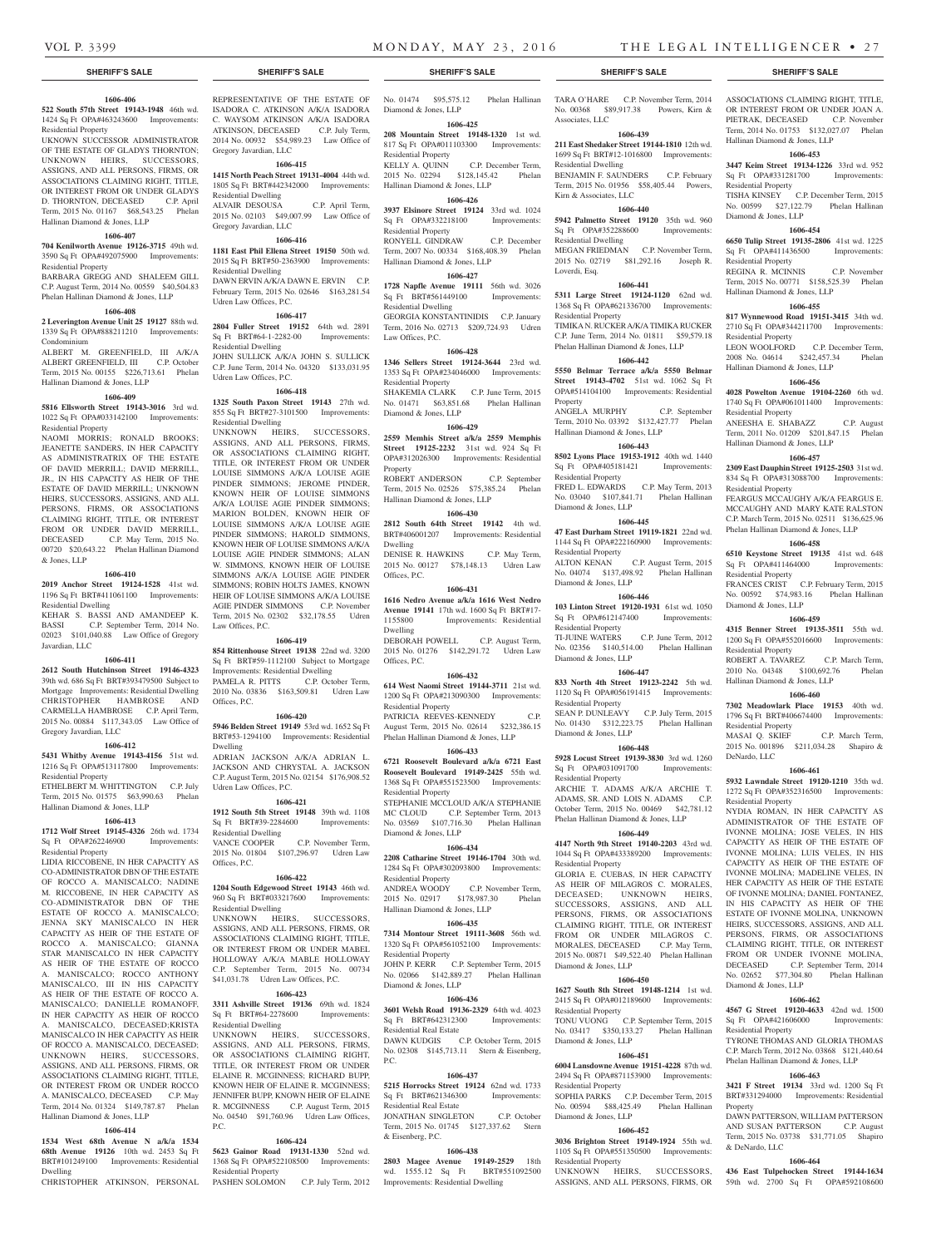OR INTEREST FROM OR UNDER JOAN A. PIETRAK, DECEASED C.P. November Term, 2014 No. 01753 \$132,027.07 Phelan

**1606-453 3447 Keim Street 19134-1226** 33rd wd. 952 Sq Ft OPA#331281700 Improvements:

TISHA KINSEY C.P. December Term, 2015 No. 00599 \$27,122.79 Phelan Hallinan

**1606-454 6650 Tulip Street 19135-2806** 41st wd. 1225 Sq Ft OPA#411436500 Improvements:

REGINA R. MCINNIS C.P. November Term, 2015 No. 00771 \$158,525.39 Phelan

**1606-455 817 Wynnewood Road 19151-3415** 34th wd. 2710 Sq Ft OPA#344211700 Improvements:

2008 No. 04614 \$242,457.34 Phelan

**1606-456 4028 Powelton Avenue 19104-2260** 6th wd. 1740 Sq Ft OPA#061011400 Improvements:

ANEESHA E. SHABAZZ C.P. August Term, 2011 No. 01209 \$201,847.15 Phelan

**1606-457 2309 East Dauphin Street 19125-2503** 31st wd. 834 Sq Ft OPA#313088700 Improvements:

FEARGUS MCCAUGHY A/K/A FEARGUS E. MCCAUGHY AND MARY KATE RALSTON C.P. March Term, 2015 No. 02511 \$136,625.96 Phelan Hallinan Diamond & Jones, LLP **1606-458 6510 Keystone Street 19135** 41st wd. 648 Sq Ft OPA#411464000 Improvements:

FRANCES CRIST C.P. February Term, 2015 No. 00592 \$74,983.16 Phelan Hallinan

**1606-459 4315 Benner Street 19135-3511** 55th wd. 1200 Sq Ft OPA#552016600 Improvements:

ROBERT A. TAVAREZ C.P. March Term, 2010 No. 04348 \$100,692.76 Phelan

**1606-460 7302 Meadowlark Place 19153** 40th wd. 1796 Sq Ft BRT#406674400 Improvements:

MASAI Q. SKIEF C.P. March Term, 2015 No. 001896 \$211,034.28 Shapiro &

**1606-461 5932 Lawndale Street 19120-1210** 35th wd. 1272 Sq Ft OPA#352316500 Improvements:

NYDIA ROMAN, IN HER CAPACITY AS ADMINISTRATOR OF THE ESTATE OF IVONNE MOLINA; JOSE VELES, IN HIS CAPACITY AS HEIR OF THE ESTATE OF IVONNE MOLINA; LUIS VELES, IN HIS CAPACITY AS HEIR OF THE ESTATE OF IVONNE MOLINA; MADELINE VELES, IN HER CAPACITY AS HEIR OF THE ESTATE OF IVONNE MOLINA; DANIEL FONTANEZ, IN HIS CAPACITY AS HEIR OF THE ESTATE OF IVONNE MOLINA, UNKNOWN HEIRS, SUCCESSORS, ASSIGNS, AND ALL PERSONS, FIRMS, OR ASSOCIATIONS CLAIMING RIGHT, TITLE, OR INTEREST FROM OR UNDER IVONNE MOLINA, DECEASED C.P. September Term, 2014 No. 02652 \$77,304.80 Phelan Hallinan

**1606-462 4567 G Street 19120-4633** 42nd wd. 1500 Sq Ft OPA#421606000 Improvements:

TYRONE THOMAS AND GLORIA THOMAS C.P. March Term, 2012 No. 03868 \$121,440.64 Phelan Hallinan Diamond & Jones, LLP **1606-463 3421 F Street 19134** 33rd wd. 1200 Sq Ft BRT#331294000 Improvements: Residential

DAWN PATTERSON, WILLIAM PATTERSON AND SUSAN PATTERSON C.P. August Term, 2015 No. 03738 \$31,771.05 Shapiro

**1606-464 436 East Tulpehocken Street 19144-1634** 59th wd. 2700 Sq Ft OPA#592108600

C.P. December Term,

Hallinan Diamond & Jones, LLP

Residential Property

Diamond & Jones, LLP

Residential Property

Residential Property<br>LEON WOOLFORD

Residential Property

Residential Property

Residential Property

Diamond & Jones, LLP

Residential Property

Residential Property

Residential Property

Diamond & Jones, LLP

Residential Property

Property

& DeNardo, LLC

DeNardo, LLC

Hallinan Diamond & Jones, LLP

Hallinan Diamond & Jones, LLP

Hallinan Diamond & Jones, LLP

Hallinan Diamond & Jones, LLP

## **1606-406**

**522 South 57th Street 19143-1948** 46th wd. 1424 Sq Ft OPA#463243600 Improvements: Residential Property

## UKNOWN SUCCESSOR ADMINISTRATOR OF THE ESTATE OF GLADYS THORNTON; UNKNOWN HEIRS, SUCCESSORS, ASSIGNS, AND ALL PERSONS, FIRMS, OR ASSOCIATIONS CLAIMING RIGHT, TITLE, OR INTEREST FROM OR UNDER GLADYS D. THORNTON, DECEASED C.P. April Term, 2015 No. 01167 \$68,543.25 Phelan Hallinan Diamond & Jones, LLP

## **1606-407**

**704 Kenilworth Avenue 19126-3715** 49th wd. 3590 Sq Ft OPA#492075900 Improvements:

## Residential Property BARBARA GREGG AND SHALEEM GILL C.P. August Term, 2014 No. 00559 \$40,504.83

## Phelan Hallinan Diamond & Jones, LLP **1606-408**

**2 Leverington Avenue Unit 25 19127** 88th wd. 1339 Sq Ft OPA#888211210 Improvements:

Condominium ALBERT M. GREENFIELD, III A/K/A ALBERT GREENFIELD, III C.P. October Term, 2015 No. 00155 \$226,713.61 Phelan Hallinan Diamond & Jones, LLP

#### **1606-409**

**5816 Ellsworth Street 19143-3016** 3rd wd. 1022 Sq Ft OPA#033142100 Improvements: Residential Property

NAOMI MORRIS; RONALD BROOKS; JEANETTE SANDERS, IN HER CAPACITY AS ADMINISTRATRIX OF THE ESTATE OF DAVID MERRILL; DAVID MERRILL, JR., IN HIS CAPACITY AS HEIR OF THE ESTATE OF DAVID MERRILL; UNKNOWN HEIRS, SUCCESSORS, ASSIGNS, AND ALL PERSONS, FIRMS, OR ASSOCIATIONS CLAIMING RIGHT, TITLE, OR INTEREST FROM OR UNDER DAVID MERRILL, DECEASED C.P. May Term, 2015 No. 00720 \$20,643.22 Phelan Hallinan Diamond & Jones, LLP

### **1606-410**

**2019 Anchor Street 19124-1528** 41st wd. 1196 Sq Ft BRT#411061100 Improvements: Residential Dwelling

KEHAR S. BASSI AND AMANDEEP K. BASSI C.P. September Term, 2014 No. 02023 \$101,040.88 Law Office of Gregory Javardian, LLC

#### **1606-411**

**2612 South Hutchinson Street 19146-4323** 39th wd. 686 Sq Ft BRT#393479500 Subject to Mortgage Improvements: Residential Dwelling CHRISTOPHER HAMBROSE AND CARMELLA HAMBROSE C.P. April Term, 2015 No. 00884 \$117,343.05 Law Office of Gregory Javardian, LLC

## **1606-412**

**5431 Whitby Avenue 19143-4156** 51st wd. 1216 Sq Ft OPA#513117800 Improvements: Residential Property

ETHELBERT M. WHITTINGTON C.P. July Term, 2015 No. 01575 \$63,990.63 Phelan Hallinan Diamond & Jones, LLP

## **1606-413**

**1712 Wolf Street 19145-4326** 26th wd. 1734 Sq Ft OPA#262246900 Improvements: Residential Property

LIDIA RICCOBENE, IN HER CAPACITY AS CO-ADMINISTRATOR DBN OF THE ESTATE OF ROCCO A. MANISCALCO; NADINE M. RICCOBENE, IN HER CAPACITY AS CO-ADMINISTRATOR DBN OF THE ESTATE OF ROCCO A. MANISCALCO; JENNA SKY MANISCALCO IN HER CAPACITY AS HEIR OF THE ESTATE OF ROCCO A. MANISCALCO; GIANNA STAR MANISCALCO IN HER CAPACITY AS HEIR OF THE ESTATE OF ROCCO A. MANISCALCO; ROCCO ANTHONY MANISCALCO, III IN HIS CAPACITY AS HEIR OF THE ESTATE OF ROCCO A. MANISCALCO; DANIELLE ROMANOFF, IN HER CAPACITY AS HEIR OF ROCCO A. MANISCALCO, DECEASED;KRISTA MANISCALCO IN HER CAPACITY AS HEIR OF ROCCO A. MANISCALCO, DECEASED; UNKNOWN HEIRS, SUCCESSORS, ASSIGNS, AND ALL PERSONS, FIRMS, OR ASSOCIATIONS CLAIMING RIGHT. TITLE OR INTEREST FROM OR UNDER ROCCO A. MANISCALCO, DECEASED C.P. May Term, 2014 No. 01324 \$149,787.87 Phelan Hallinan Diamond & Jones, LLP

## **1606-414**

**1534 West 68th Avenue N a/k/a 1534 68th Avenue 19126** 10th wd. 2453 Sq Ft BRT#101249100 Improvements: Residential Dwelling CHRISTOPHER ATKINSON, PERSONAL REPRESENTATIVE OF THE ESTATE OF ISADORA C. ATKINSON A/K/A ISADORA Diamond & Jones, LLP C. WAYSOM ATKINSON A/K/A ISADORA ATKINSON, DECEASED C.P. July Term, 2014 No. 00932 \$54,989.23 Law Office of Gregory Javardian, LLC

## **1606-415**

**1415 North Peach Street 19131-4004** 44th wd. 1805 Sq Ft BRT#442342000 Improvements: Residential Dwelling ALVAIR DESOUSA C.P. April Term,

2015 No. 02103 \$49,007.99 Law Office of Gregory Javardian, LLC **1606-416**

**1181 East Phil Ellena Street 19150** 50th wd. 2015 Sq Ft BRT#50-2363900 Improvements: Residential Dwelling DAWN ERVIN A/K/A DAWN E. ERVIN C.P. February Term, 2015 No. 02646 \$163,281.54 Udren Law Offices, P.C.

## **1606-417**

**2804 Fuller Street 19152** 64th wd. 2891 Sq Ft BRT#64-1-2282-00 Improvements: Residential Dwelling JOHN SULLICK A/K/A JOHN S. SULLICK

C.P. June Term, 2014 No. 04320 \$133,031.95 Udren Law Offices, P.C.

**1606-418 1325 South Paxon Street 19143** 27th wd. 855 Sq Ft BRT#27-3101500 Improvements: Residential Dwelling

UNKNOWN HEIRS, SUCCESSORS, ASSIGNS, AND ALL PERSONS, FIRMS, OR ASSOCIATIONS CLAIMING RIGHT. TITLE, OR INTEREST FROM OR UNDER LOUISE SIMMONS A/K/A LOUISE AGIE PINDER SIMMONS; JEROME PINDER, KNOWN HEIR OF LOUISE SIMMONS A/K/A LOUISE AGIE PINDER SIMMONS; MARION BOLDEN, KNOWN HEIR OF LOUISE SIMMONS A/K/A LOUISE AGIE PINDER SIMMONS; HAROLD SIMMONS, KNOWN HEIR OF LOUISE SIMMONS A/K/A LOUISE AGIE PINDER SIMMONS; ALAN W. SIMMONS, KNOWN HEIR OF LOUISE SIMMONS A/K/A LOUISE AGIE PINDER SIMMONS; ROBIN HOLTS JAMES, KNOWN HEIR OF LOUISE SIMMONS A/K/A LOUISE AGIE PINDER SIMMONS C.P. November Term, 2015 No. 02302 \$32,178.55 Udren Law Offices, P.C.

## **1606-419**

**854 Rittenhouse Street 19138** 22nd wd. 3200 Sq Ft BRT#59-1112100 Subject to Mortgage Improvements: Residential Dwelling

PAMELA R. PITTS C.P. October Term, 2010 No. 03836 \$163,509.81 Udren Law Offices, P.C.

## **1606-420**

**5946 Belden Street 19149** 53rd wd. 1652 Sq Ft BRT#53-1294100 Improvements: Residential Dwelling ADRIAN JACKSON A/K/A ADRIAN L.

JACKSON AND CHRYSTAL A. JACKSON C.P. August Term, 2015 No. 02154 \$176,908.52 Udren Law Offices, P.C.

## **1606-421**

**1912 South 5th Street 19148** 39th wd. 1108 Sq Ft BRT#39-2284600 Improvements: Residential Dwelling VANCE COOPER C.P. November Term, 2015 No. 01804 \$107,296.97 Udren Law

Offices, P.C. **1606-422**

## **1204 South Edgewood Street 19143** 46th wd.

960 Sq Ft BRT#033217600 Improvements: Residential Dwelling UNKNOWN HEIRS, SUCCESSORS,

ASSIGNS, AND ALL PERSONS, FIRMS, OR ASSOCIATIONS CLAIMING RIGHT, TITLE, OR INTEREST FROM OR UNDER MABEL HOLLOWAY A/K/A MABLE HOLLOWAY C.P. September Term, 2015 No. 00734 \$41,031.78 Udren Law Offices, P.C.

## **1606-423**

**3311 Ashville Street 19136** 69th wd. 1824 Sq Ft BRT#64-2278600 Improvements: Residential Dwelling

UNKNOWN HEIRS, SUCCESSORS, ASSIGNS, AND ALL PERSONS, FIRMS, OR ASSOCIATIONS CLAIMING RIGHT, TITLE, OR INTEREST FROM OR UNDER ELAINE R. MCGINNESS; RICHARD BUPP, KNOWN HEIR OF ELAINE R. MCGINNESS; JENNIFER BUPP, KNOWN HEIR OF ELAINE R. MCGINNESS C.P. August Term, 2015 No. 04540 \$91,760.96 Udren Law Offices, P.C.

## **1606-424**

**5623 Gainor Road 19131-1330** 52nd wd. 1368 Sq Ft OPA#522108500 Improvements: Residential Property PASHEN SOLOMON C.P. July Term, 2012

## **1606-425 208 Mountain Street 19148-1320** 1st wd.

817 Sq Ft OPA#011103300 Improvements: Residential Property KELLY A. QUINN C.P. December Term, 2015 No. 02294 \$128,145.42 Phelan Hallinan Diamond & Jones, LLP

## **1606-426**

**3937 Elsinore Street 19124** 33rd wd. 1024 Sq Ft OPA#332218100 Improvements: Residential Property RONYELL GINDRAW C.P. December Term, 2007 No. 00334 \$168,408.39 Phelan Hallinan Diamond & Jones, LLP

### **1606-427**

**1728 Napfle Avenue 19111** 56th wd. 3026 Sq Ft BRT#561449100 Improvements: Residential Dwelling GEORGIA KONSTANTINIDIS C.P. January Term, 2016 No. 02713 \$209,724.93 Udren Law Offices, P.C.

## **1606-428**

**1346 Sellers Street 19124-3644** 23rd wd. 1353 Sq Ft OPA#234046000 Improvements: Residential Property SHAKEMIA CLARK C.P. June Term, 2015 No. 01471 \$63,851.68 Phelan Hallinan

Diamond & Jones, LLP

## **1606-429 2559 Memhis Street a/k/a 2559 Memphis Street 19125-2232** 31st wd. 924 Sq Ft OPA#312026300 Improvements: Residential Property ROBERT ANDERSON C.P. September

Term, 2015 No. 02526 \$75,385.24 Phelan Hallinan Diamond & Jones, LLP

## **1606-430**

**2812 South 64th Street 19142** 4th wd. BRT#406001207 Improvements: Residential Dwelling DENISE R. HAWKINS C.P. May Term,

2015 No. 00127 \$78,148.13 Udren Law Offices, P.C. **1606-431**

**1616 Nedro Avenue a/k/a 1616 West Nedro Avenue 19141** 17th wd. 1600 Sq Ft BRT#17- 1155800 Improvements: Residential Dwelling DEBORAH POWELL C.P. August Term,

2015 No. 01276 \$142,291.72 Udren Law Offices, P.C.

## **1606-432**

**614 West Naomi Street 19144-3711** 21st wd. 1200 Sq Ft OPA#213090300 Improvements: Residential Property PATRICIA REEVES-KENNEDY C.P.

## August Term, 2015 No. 02614 \$232,386.15 Phelan Hallinan Diamond & Jones, LLP

**1606-433**

**6721 Roosevelt Boulevard a/k/a 6721 East Roosevelt Boulevard 19149-2425** 55th wd. 1368 Sq Ft OPA#551523500 Improvements: Residential Property STEPHANIE MCCLOUD A/K/A STEPHANIE MC CLOUD C.P. September Term, 2013 No. 03569 \$107,716.30 Phelan Hallinan

Diamond & Jones, LLP **1606-434**

### **2208 Catharine Street 19146-1704** 30th wd. 1284 Sq Ft OPA#302093800 Improvements: Residential Property ANDREA WOODY C.P. November Term, 2015 No. 02917 \$178,987.30 Phelan

Hallinan Diamond & Jones, LLP **1606-435**

**7314 Montour Street 19111-3608** 56th wd. 1320 Sq Ft OPA#561052100 Improvements: Residential Property JOHN P. KERR C.P. September Term, 2015

No. 02066 \$142,889.27 Phelan Hallinan Diamond & Jones, LLP

## **1606-436**

**3601 Welsh Road 19136-2329** 64th wd. 4023 Sq Ft BRT#642312300 Improvements: Residential Real Estate

## DAWN KUDGIS C.P. October Term, 2015 No. 02308 \$145,713.11 Stern & Eisenberg, P.C.

**1606-437 5215 Horrocks Street 19124** 62nd wd. 1733 Sq Ft BRT#621346300 Improvements: Residential Real Estate

JONATHAN SINGLETON C.P. October Term, 2015 No. 01745 \$127,337.62 Stern & Eisenberg, P.C.

## **1606-438**

**2803 Magee Avenue 19149-2529** 18th wd. 1555.12 Sq Ft BRT#551092500 Improvements: Residential Dwelling

## **SHERIFF'S SALE SHERIFF'S SALE SHERIFF'S SALE SHERIFF'S SALE SHERIFF'S SALE**

No. 01474 \$95,575.12 Phelan Hallinan TARA O'HARE C.P. November Term, 2014 ASSOCIATIONS CLAIMING RIGHT, TITLE, No. 00368 \$89,917.38 Powers, Kirn & Associates, LLC

## **1606-439**

**211 East Shedaker Street 19144-1810** 12th wd. 1699 Sq Ft BRT#12-1016800 Improvements: Residential Dwelling BENJAMIN F. SAUNDERS C.P. February Term, 2015 No. 01956 \$58,405.44 Powers, Kirn & Associates, LLC

## **1606-440**

**5942 Palmetto Street 19120** 35th wd. 960 Sq Ft OPA#352288600 Improvements: Residential Dwelling MEGAN FRIEDMAN C.P. November Term, 2015 No. 02719 \$81,292.16 Joseph R. Loverdi, Esq.

## **1606-441**

Property

**5311 Large Street 19124-1120** 62nd wd. 1368 Sq Ft OPA#621336700 Improvements: Residential Property TIMIKA N. RUCKER A/K/A TIMIKA RUCKER C.P. June Term, 2014 No. 01811 \$59,579.18 Phelan Hallinan Diamond & Jones, LLP **1606-442**

**5550 Belmar Terrace a/k/a 5550 Belmar Street 19143-4702** 51st wd. 1062 Sq Ft OPA#514104100 Improvements: Residential

ANGELA MURPHY C.P. September Term, 2010 No. 03392 \$132,427.77 Phelan

**1606-443 8502 Lyons Place 19153-1912** 40th wd. 1440 Sq Ft OPA#405181421 Improvements:

FRED L. EDWARDS C.P. May Term, 2013 No. 03040 \$107,841.71 Phelan Hallinan

**1606-445 47 East Durham Street 19119-1821** 22nd wd. 1144 Sq Ft OPA#222160900 Improvements:

No. 04074 \$137,498.92 Phelan Hallinan

**1606-446 103 Linton Street 19120-1931** 61st wd. 1050 Sq Ft OPA#612147400 Improvements:

TI-JUINE WATERS C.P. June Term, 2012 No. 02356 \$140,514.00 Phelan Hallinan

**1606-447 833 North 4th Street 19123-2242** 5th wd. 1120 Sq Ft OPA#056191415 Improvements:

SEAN P. DUNLEAVY C.P. July Term, 2015 No. 01430 \$312,223.75 Phelan Hallinan

**1606-448 5928 Locust Street 19139-3830** 3rd wd. 1260 Sq Ft OPA#031091700 Improvements:

ARCHIE T. ADAMS A/K/A ARCHIE T. ADAMS, SR. AND LOIS N. ADAMS C.P. October Term, 2015 No. 00469 \$42,781.12 Phelan Hallinan Diamond & Jones, LLP **1606-449 4147 North 9th Street 19140-2203** 43rd wd. 1044 Sq Ft OPA#433389200 Improvements:

GLORIA E. CUEBAS, IN HER CAPACITY AS HEIR OF MILAGROS C. MORALES,<br>DECEASED; UNKNOWN HEIRS, UNKNOWN SUCCESSORS, ASSIGNS, AND ALL PERSONS, FIRMS, OR ASSOCIATIONS CLAIMING RIGHT, TITLE, OR INTEREST FROM OR UNDER MILAGROS C. MORALES, DECEASED C.P. May Term, 2015 No. 00871 \$49,522.40 Phelan Hallinan

**1606-450 1627 South 8th Street 19148-1214** 1st wd. 2415 Sq Ft OPA#012189600 Improvements:

TONU VUONG C.P. September Term, 2015 No. 03417 \$350,133.27 Phelan Hallinan

**1606-451 6004 Lansdowne Avenue 19151-4228** 87th wd. 2494 Sq Ft OPA#871153900 Improvements:

SOPHIA PARKS C.P. December Term, 2015 No. 00594 \$88,425.49 Phelan Hallinan

**1606-452 3036 Brighton Street 19149-1924** 55th wd. 1105 Sq Ft OPA#551350500 Improvements:

UNKNOWN HEIRS, SUCCESSORS, ASSIGNS, AND ALL PERSONS, FIRMS, OR

C.P. August Term, 2015

Hallinan Diamond & Jones, LLP

Residential Property

Diamond & Jones, LLP

Residential Property<br>ALTON KENAN

Diamond & Jones, LLP

Residential Property

Diamond & Jones, LLP

Residential Property

Residential Property

Residential Property

Diamond & Jones, LLP

Residential Property

Diamond & Jones, LLP

Residential Property

Diamond & Jones, LLP

Residential Property

Diamond & Jones, LLP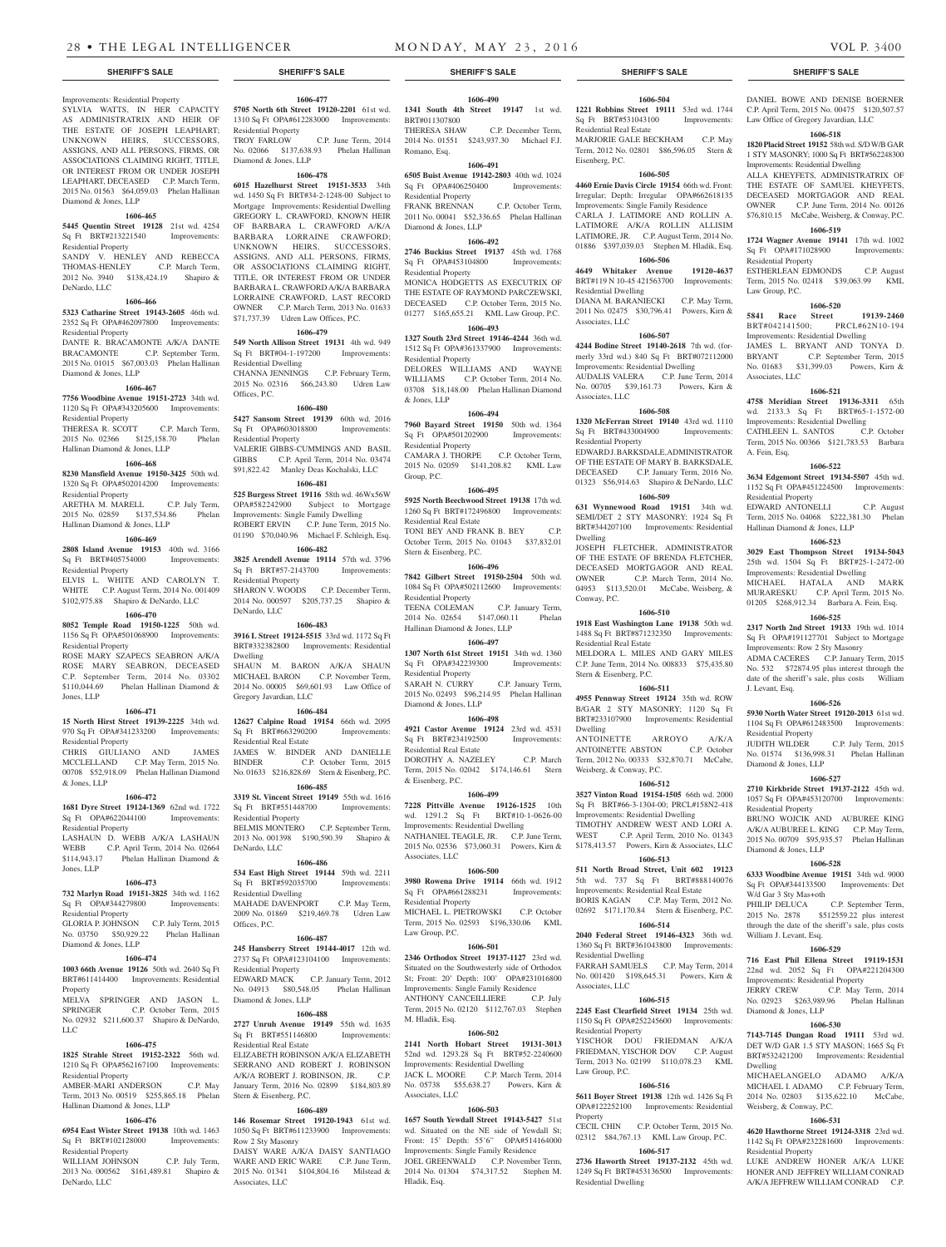## Improvements: Residential Property SYLVIA WATTS, IN HER CAPACITY AS ADMINISTRATRIX AND HEIR OF THE ESTATE OF JOSEPH LEAPHART; UNKNOWN HEIRS, SUCCESSORS, ASSIGNS, AND ALL PERSONS, FIRMS, OR ASSOCIATIONS CLAIMING RIGHT, TITLE, OR INTEREST FROM OR UNDER JOSEPH LEAPHART, DECEASED C.P. March Term, 2015 No. 01563 \$64,059.03 Phelan Hallinan Diamond & Jones, LLP

## **1606-465**

**5445 Quentin Street 19128** 21st wd. 4254 Sq Ft BRT#213221540 Improvements: Residential Property

SANDY V. HENLEY AND REBECCA THOMAS-HENLEY C.P. March Term, 2012 No. 3940 \$138,424.19 Shapiro & DeNardo, LLC

## **1606-466**

**5323 Catharine Street 19143-2605** 46th wd. 2352 Sq Ft OPA#462097800 Improvements: Residential Property DANTE R. BRACAMONTE A/K/A DANTE BRACAMONTE C.P. September Term, 2015 No. 01015 \$67,003.03 Phelan Hallinan Diamond & Jones, LLP

## **1606-467**

**7756 Woodbine Avenue 19151-2723** 34th wd. 1120 Sq Ft OPA#343205600 Improvements: Residential Property THERESA R. SCOTT C.P. March Term,

## 2015 No. 02366 \$125,158.70 Phelan Hallinan Diamond & Jones, LLP

## **1606-468**

**8230 Mansfield Avenue 19150-3425** 50th wd. 1320 Sq Ft OPA#502014200 Improvements: Residential Property

# ARETHA M. MARELL C.P. July Term,

2015 No. 02859 \$137,534.86 Phelan Hallinan Diamond & Jones, LLP

#### **1606-469**

**2808 Island Avenue 19153** 40th wd. 3166 Sq Ft BRT#405754000 Improvements: Residential Property

ELVIS L. WHITE AND CAROLYN T. WHITE C.P. August Term, 2014 No. 001409 \$102,975.88 Shapiro & DeNardo, LLC

### **1606-470**

**8052 Temple Road 19150-1225** 50th wd. 1156 Sq Ft OPA#501068900 Improvements: Residential Property ROSE MARY SZAPECS SEABRON A/K/A

ROSE MARY SEABRON, DECEASED C.P. September Term, 2014 No. 03302 \$110,044.69 Phelan Hallinan Diamond & Jones, LLP

## **1606-471**

**15 North Hirst Street 19139-2225** 34th wd. 970 Sq Ft OPA#341233200 Improvements: Residential Property CHRIS GIULIANO AND JAMES

MCCLELLAND C.P. May Term, 2015 No. 00708 \$52,918.09 Phelan Hallinan Diamond & Jones, LLP

### **1606-472**

**1681 Dyre Street 19124-1369** 62nd wd. 1722 Sq Ft OPA#622044100 Improvements: Residential Property LASHAUN D. WEBB A/K/A LASHAUN WEBB C.P. April Term, 2014 No. 02664 \$114,943.17 Phelan Hallinan Diamond & Jones, LLP

## **1606-473**

**732 Marlyn Road 19151-3825** 34th wd. 1162 Sq Ft OPA#344279800 Improvements: Residential Property

## GLORIA P. JOHNSON C.P. July Term, 2015

No. 03750 \$50,929.22 Phelan Hallinan Diamond & Jones, LLP

## **1606-474**

**1003 66th Avenue 19126** 50th wd. 2640 Sq Ft BRT#611414400 Improvements: Residential Property

## MELVA SPRINGER AND JASON L. SPRINGER C.P. October Term, 2015 No. 02932 \$211,600.37 Shapiro & DeNardo, LLC

## **1606-475**

**1825 Strahle Street 19152-2322** 56th wd. 1210 Sq Ft OPA#562167100 Improvements: Residential Property

AMBER-MARI ANDERSON C.P. May Term, 2013 No. 00519 \$255,865.18 Phelan Hallinan Diamond & Jones, LLP

## **1606-476**

**6954 East Wister Street 19138** 10th wd. 1463 Sq Ft BRT#102128000 Improvements: Residential Property WILLIAM JOHNSON C.P. July Term,

2013 No. 000562 \$161,489.81 Shapiro & DeNardo, LLC

## **1606-477**

**5705 North 6th Street 19120-2201** 61st wd. 1310 Sq Ft OPA#612283000 Improvements: Residential Property TROY FARLOW C.P. June Term, 2014 No. 02066 \$137,638.93 Phelan Hallinan Diamond & Jones, LLP

#### **1606-478**

**6015 Hazelhurst Street 19151-3533** 34th wd. 1450 Sq Ft BRT#34-2-1248-00 Subject to Mortgage Improvements: Residential Dwelling GREGORY L. CRAWFORD, KNOWN HEIR OF BARBARA L. CRAWFORD A/K/A BARBARA LORRAINE CRAWFORD; UNKNOWN HEIRS, SUCCESSORS, ASSIGNS, AND ALL PERSONS, FIRMS, OR ASSOCIATIONS CLAIMING RIGHT, TITLE, OR INTEREST FROM OR UNDER BARBARA L. CRAWFORD A/K/A BARBARA LORRAINE CRAWFORD, LAST RECORD OWNER C.P. March Term, 2013 No. 01633 \$71,737.39 Udren Law Offices, P.C.

## **1606-479**

**549 North Allison Street 19131** 4th wd. 949 Sq Ft BRT#04-1-197200 Improvements: Residential Dwelling

CHANNA JENNINGS C.P. February Term, 2015 No. 02316 \$66,243.80 Udren Law Offices, P.C.

## **1606-480**

**5427 Sansom Street 19139** 60th wd. 2016 Sq Ft OPA#603018800 Improvements: Residential Property VALERIE GIBBS-CUMMINGS AND BASIL GIBBS C.P. April Term, 2014 No. 03474 \$91,822.42 Manley Deas Kochalski, LLC

#### **1606-481**

**525 Burgess Street 19116** 58th wd. 46Wx56W OPA#582242900 Subject to Mortgage Improvements: Single Family Dwelling ROBERT ERVIN C.P. June Term, 2015 No. 01190 \$70,040.96 Michael F. Schleigh, Esq. **1606-482**

**3825 Arendell Avenue 19114** 57th wd. 3796 Sq Ft BRT#57-2143700 Improvements: Residential Property SHARON V. WOODS C.P. December Term 2014 No. 000597 \$205,737.25 Shapiro & DeNardo, LLC

#### **1606-483**

**3916 L Street 19124-5515** 33rd wd. 1172 Sq Ft BRT#332382800 Improvements: Residential Dwelling SHAUN M. BARON A/K/A SHAUN MICHAEL BARON C.P. November Term, 2014 No. 00005 \$69,601.93 Law Office of Gregory Javardian, LLC

## **1606-484**

**12627 Calpine Road 19154** 66th wd. 2095 Sq Ft BRT#663290200 Improvements: Residential Real Estate JAMES W. BINDER AND DANIELLE

BINDER C.P. October Term, 2015 No. 01633 \$216,828.69 Stern & Eisenberg, P.C. **1606-485 3319 St. Vincent Street 19149** 55th wd. 1616

Sq Ft BRT#551448700 Improvements: Residential Property BELMIS MONTERO C.P. September Term, 2013 No. 001398 \$190,590.39 Shapiro & DeNardo, LLC

## **1606-486**

**534 East High Street 19144** 59th wd. 2211 Sq Ft BRT#592035700 Improvements: Residential Dwelling MAHADE DAVENPORT C.P. May Term, 2009 No. 01869 \$219,469.78 Udren Law Offices, P.C.

## **1606-487**

**245 Hansberry Street 19144-4017** 12th wd. 2737 Sq Ft OPA#123104100 Improvements: Residential Property EDWARD MACK C.P. January Term, 2012 No. 04913 \$80,548.05 Phelan Hallinan Diamond & Jones, LLP

## **1606-488**

**2727 Unruh Avenue 19149** 55th wd. 1635 Sq Ft BRT#551146800 Improvements: Residential Real Estate ELIZABETH ROBINSON A/K/A ELIZABETH SERRANO AND ROBERT J. ROBINSON A/K/A ROBERT J. ROBINSON, JR. C.P. January Term, 2016 No. 02899 \$184,803.89 Stern & Eisenberg, P.C.

## **1606-489**

**146 Rosemar Street 19120-1943** 61st wd. 1050 Sq Ft BRT#611233900 Improvements: Row 2 Sty Masonry DAISY WARE A/K/A DAISY SANTIAGO WARE AND ERIC WARE C.P. June Term. 2015 No. 01341 \$104,804.16 Milstead & Associates, LLC

## **1606-490**

**1341 South 4th Street 19147** 1st wd. BRT#011307800 THERESA SHAW C.P. December Term, 2014 No. 01551 \$243,937.30 Michael F.J. Romano, Esq.

## **1606-491**

**6505 Buist Avenue 19142-2803** 40th wd. 1024 Sq Ft OPA#406250400 Improvements: Residential Property

FRANK BRENNAN C.P. October Term, 2011 No. 00041 \$52,336.65 Phelan Hallinan Diamond & Jones, LLP

## **1606-492**

**2746 Buckius Street 19137** 45th wd. 1768 Sq Ft OPA#453104800 Improvements: Residential Property MONICA HODGETTS AS EXECUTRIX OF

THE ESTATE OF RAYMOND PARCZEWSKI, DECEASED C.P. October Term, 2015 No. 01277 \$165,655.21 KML Law Group, P.C. **1606-493**

**1327 South 23rd Street 19146-4244** 36th wd. 1512 Sq Ft OPA#361337900 Improvements: Residential Property

DELORES WILLIAMS AND WAYNE WILLIAMS C.P. October Term, 2014 No. 03708 \$18,148.00 Phelan Hallinan Diamond & Jones, LLP

### **1606-494**

**7960 Bayard Street 19150** 50th wd. 1364 Sq Ft OPA#501202900 Improvements: Residential Property<br>CAMARA I THORPE C.P. October Term, 2015 No. 02059 \$141,208.82 KML Law Group, P.C.

### **1606-495**

**5925 North Beechwood Street 19138** 17th wd. 1260 Sq Ft BRT#172496800 Improvements: Residential Real Estate TONI BEY AND FRANK B. BEY C.P. October Term, 2015 No. 01043 \$37,832.01 Stern & Eisenberg, P.C.

### **1606-496**

**7842 Gilbert Street 19150-2504** 50th wd. 1084 Sq Ft OPA#502112600 Improvements: Residential Property TEENA COLEMAN C.P. January Term, 2014 No. 02654 \$147,060.11 Phelan Hallinan Diamond & Jones, LLP

**1606-497 1307 North 61st Street 19151** 34th wd. 1360

Sq Ft OPA#342239300 Improvements: Residential Property SARAH N. CURRY C.P. January Term 2015 No. 02493 \$96,214.95 Phelan Hallinan Diamond & Jones, LLP

## **1606-498**

**4921 Castor Avenue 19124** 23rd wd. 4531 Sq Ft BRT#234192500 Improvements: Residential Real Estate DOROTHY A. NAZELEY C.P. March Term, 2015 No. 02042 \$174,146.61 Stern & Eisenberg, P.C.

## **1606-499**

**7228 Pittville Avenue 19126-1525** 10th wd. 1291.2 Sq Ft BRT#10-1-0626-00 Improvements: Residential Dwelling NATHANIEL TEAGLE, JR. C.P. June Term, 2015 No. 02536 \$73,060.31 Powers, Kirn & Associates, LLC

## **1606-500**

**3980 Rowena Drive 19114** 66th wd. 1912 Sq Ft OPA#661288231 Improvements: Residential Property MICHAEL L. PIETROWSKI C.P. October

Term, 2015 No. 02593 \$196,330.06 KML Law Group, P.C.

## **1606-501**

**2346 Orthodox Street 19137-1127** 23rd wd. Situated on the Southwesterly side of Orthodox St; Front: 20' Depth: 100' OPA#231016800 Improvements: Single Family Residence ANTHONY CANCEILLIERE C.P. July Term, 2015 No. 02120 \$112,767.03 Stephen M. Hladik, Esq.

### **1606-502**

**2141 North Hobart Street 19131-3013** 52nd wd. 1293.28 Sq Ft BRT#52-2240600 Improvements: Residential Dwelling JACK L. MOORE C.P. March Term, 2014 No. 05738 \$55,638.27 Powers, Kirn & Associates, LLC

### **1606-503**

**1657 South Yewdall Street 19143-5427** 51st wd. Situated on the NE side of Yewdall St: Front: 15' Depth: 55'6" OPA#514164000 Improvements: Single Family Residence JOEL GREENWALD C.P. November Term, 2014 No. 01304 \$74,317.52 Stephen M. Hladik, Esq.

### **SHERIFF'S SALE SHERIFF'S SALE SHERIFF'S SALE SHERIFF'S SALE SHERIFF'S SALE**

# **1606-504**

**1221 Robbins Street 19111** 53rd wd. 1744 Sq Ft BRT#531043100 Improvements:

DANIEL BOWE AND DENISE BOERNER C.P. April Term, 2015 No. 00475 \$120,507.57 Law Office of Gregory Javardian, LLC **1606-518 1820 Placid Street 19152** 58th wd. S/D W/B GAR 1 STY MASONRY; 1000 Sq Ft BRT#562248300

ALLA KHEYFETS, ADMINISTRATRIX OF THE ESTATE OF SAMUEL KHEYFETS, DECEASED MORTGAGOR AND REAL OWNER C.P. June Term, 2014 No. 00126 \$76,810.15 McCabe, Weisberg, & Conway, P.C. **1606-519 1724 Wagner Avenue 19141** 17th wd. 1002 Sq Ft OPA#171028900 Improvements:

ESTHERLEAN EDMONDS C.P. August Term, 2015 No. 02418 \$39,063.99 KML

**1606-520 5841 Race Street 19139-2460**<br>BRT#042141500; PRCL#62N10-194

JAMES L. BRYANT AND TONYA D. BRYANT C.P. September Term, 2015<br>No. 01683 \$31,399.03 Powers. Kirn &

**1606-521 4758 Meridian Street 19136-3311** 65th wd. 2133.3 Sq Ft BRT#65-1-1572-00 Improvements: Residential Dwelling CATHLEEN L. SANTOS C.P. October Term, 2015 No. 00366 \$121,783.53 Barbara

**1606-522 3634 Edgemont Street 19134-5507** 45th wd. 1152 Sq Ft OPA#451224500 Improvements:

EDWARD ANTONELLI C.P. August Term, 2015 No. 04068 \$222,381.30 Phelan

**1606-523 3029 East Thompson Street 19134-5043** 25th wd. 1504 Sq Ft BRT#25-1-2472-00 Improvements: Residential Dwelling MICHAEL HATALA AND MARK MURARESKU C.P. April Term, 2015 No. 01205 \$268,912.34 Barbara A. Fein, Esq. **1606-525 2317 North 2nd Street 19133** 19th wd. 1014 Sq Ft OPA#191127701 Subject to Mortgage Improvements: Row 2 Sty Masonry ADMA CACERES C.P. January Term, 2015 No. 532 \$72874.95 plus interest through the date of the sheriff's sale, plus costs William

**1606-526 5930 North Water Street 19120-2013** 61st wd. 1104 Sq Ft OPA#612483500 Improvements:

JUDITH WILDER C.P. July Term, 2015 No. 01574 \$136,998.31 Phelan Hallinan

**1606-527 2710 Kirkbride Street 19137-2122** 45th wd. 1057 Sq Ft OPA#453120700 Improvements:

BRUNO WOJCIK AND AUBUREE KING A/K/A AUBUREE L. KING C.P. May Term, 2015 No. 00709 \$95,935.57 Phelan Hallinan

**1606-528 6333 Woodbine Avenue 19151** 34th wd. 9000 Sq Ft OPA#344133500 Improvements: Det

PHILIP DELUCA C.P. September Term, 2015 No. 2878 \$512559.22 plus interest through the date of the sheriff's sale, plus costs

**1606-529 716 East Phil Ellena Street 19119-1531** 22nd wd. 2052 Sq Ft OPA#221204300 Improvements: Residential Property JERRY CREW C.P. May Term, 2014 No. 02923 \$263,989.96 Phelan Hallinan

**1606-530 7143-7145 Dungan Road 19111** 53rd wd. DET W/D GAR 1.5 STY MASON; 1665 Sq Ft BRT#532421200 Improvements: Residential

MICHAELANGELO ADAMO A/K/A MICHAEL I. ADAMO C.P. February Term, 2014 No. 02803 \$135,622.10 McCabe.

**1606-531 4620 Hawthorne Street 19124-3318** 23rd wd. 1142 Sq Ft OPA#232281600 Improvements:

LUKE ANDREW HONER A/K/A LUKE HONER AND JEFFREY WILLIAM CONRAD A/K/A JEFFREW WILLIAM CONRAD C.P.

Improvements: Residential Dwelling

PRCL#62N10-194

\$31,399.03 Powers, Kirn &

Improvements: Residential Dwelling

Residential Property

Law Group, P.C.

Associates, LLC

A. Fein, Esq.

Residential Property

J. Levant, Esq.

Residential Property

Diamond & Jones, LLP

Residential Property

Diamond & Jones, LLP

W/d Gar 3 Sty Mas+oth

William J. Levant, Esq.

Diamond & Jones, LLP

Weisberg, & Conway, P.C.

Residential Property

Dwelling

Hallinan Diamond & Jones, LLP

MARJORIE GALE BECKHAM C.P. May Term, 2012 No. 02801 \$86,596.05 Stern &

**1606-505 4460 Ernie Davis Circle 19154** 66th wd. Front: Irregular; Depth: Irregular OPA#662618135 Improvements: Single Family Residence CARLA J. LATIMORE AND ROLLIN A. LATIMORE A/K/A ROLLIN ALLISIM LATIMORE, JR. C.P. August Term, 2014 No. 01886 \$397,039.03 Stephen M. Hladik, Esq. **1606-506 4649 Whitaker Avenue 19120-4637** BRT#119 N 10-45 421563700 Improvements:

DIANA M. BARANIECKI C.P. May Term, 2011 No. 02475 \$30,796.41 Powers, Kirn &

**1606-507 4244 Bodine Street 19140-2618** 7th wd. (formerly 33rd wd.) 840 Sq Ft BRT#072112000 Improvements: Residential Dwelling AUDALIS VALERA C.P. June Term, 2014 No. 00705 \$39,161.73 Powers, Kirn &

**1606-508 1320 McFerran Street 19140** 43rd wd. 1110 Sq Ft BRT#433004900 Improvements:

EDWARD J. BARKSDALE, ADMINISTRATOR OF THE ESTATE OF MARY B. BARKSDALE, DECEASED C.P. January Term, 2016 No. 01323 \$56,914.63 Shapiro & DeNardo, LLC **1606-509 631 Wynnewood Road 19151** 34th wd. SEMI/DET 2 STY MASONRY; 1924 Sq Ft BRT#344207100 Improvements: Residential

JOSEPH FLETCHER, ADMINISTRATOR OF THE ESTATE OF BRENDA FLETCHER, DECEASED MORTGAGOR AND REAL OWNER C.P. March Term, 2014 No. 04953 \$113,520.01 McCabe, Weisberg, &

**1606-510 1918 East Washington Lane 19138** 50th wd. 1488 Sq Ft BRT#871232350 Improvements:

MELDORA L. MILES AND GARY MILES C.P. June Term, 2014 No. 008833 \$75,435.80

**1606-511 4955 Pennway Street 19124** 35th wd. ROW B/GAR 2 STY MASONRY; 1120 Sq Ft BRT#233107900 Improvements: Residential

ANTOINETTE ARROYO A/K/A<br>ANTOINETTE ABSTON C.P. October

Term, 2012 No. 00333 \$32,870.71 McCabe,

**1606-512 3527 Vinton Road 19154-1505** 66th wd. 2000 Sq Ft BRT#66-3-1304-00; PRCL#158N2-418 Improvements: Residential Dwelling TIMOTHY ANDREW WEST AND LORI A. WEST C.P. April Term, 2010 No. 01343 \$178,413.57 Powers, Kirn & Associates, LLC **1606-513 511 North Broad Street, Unit 602 19123** 5th wd. 737 Sq Ft BRT#888140076 Improvements: Residential Real Estate BORIS KAGAN C.P. May Term, 2012 No. 02692 \$171,170.84 Stern & Eisenberg, P.C. **1606-514 2040 Federal Street 19146-4323** 36th wd. 1360 Sq Ft BRT#361043800 Improvements:

FARRAH SAMUELS C.P. May Term, 2014 No. 001420 \$198,645.31 Powers, Kirn &

**1606-515 2245 East Clearfield Street 19134** 25th wd. 1150 Sq Ft OPA#252245600 Improvements:

YISCHOR DOU FRIEDMAN A/K/A FRIEDMAN, YISCHOR DOV C.P. August Term, 2013 No. 02199 \$110,078.23 KML

**1606-516 5611 Boyer Street 19138** 12th wd. 1426 Sq Ft OPA#122252100 Improvements: Residential

CECIL CHIN C.P. October Term, 2015 No. 02312 \$84,767.13 KML Law Group, P.C. **1606-517 2736 Haworth Street 19137-2132** 45th wd. 1249 Sq Ft BRT#453136500 Improvements:

Residential Real Estate

Residential Dwelling

Associates, LLC

Associates, LLC

Residential Property

Dwelling

Conway, P.C.

Dwelling

Residential Real Estate

Stern & Eisenberg, P.C.

ANTOINETTE ABSTON

Weisberg, & Conway, P.C.

Residential Dwelling

Associates, LLC

Residential Property

Law Group, P.C.

Residential Dwelling

Property

Eisenberg, P.C.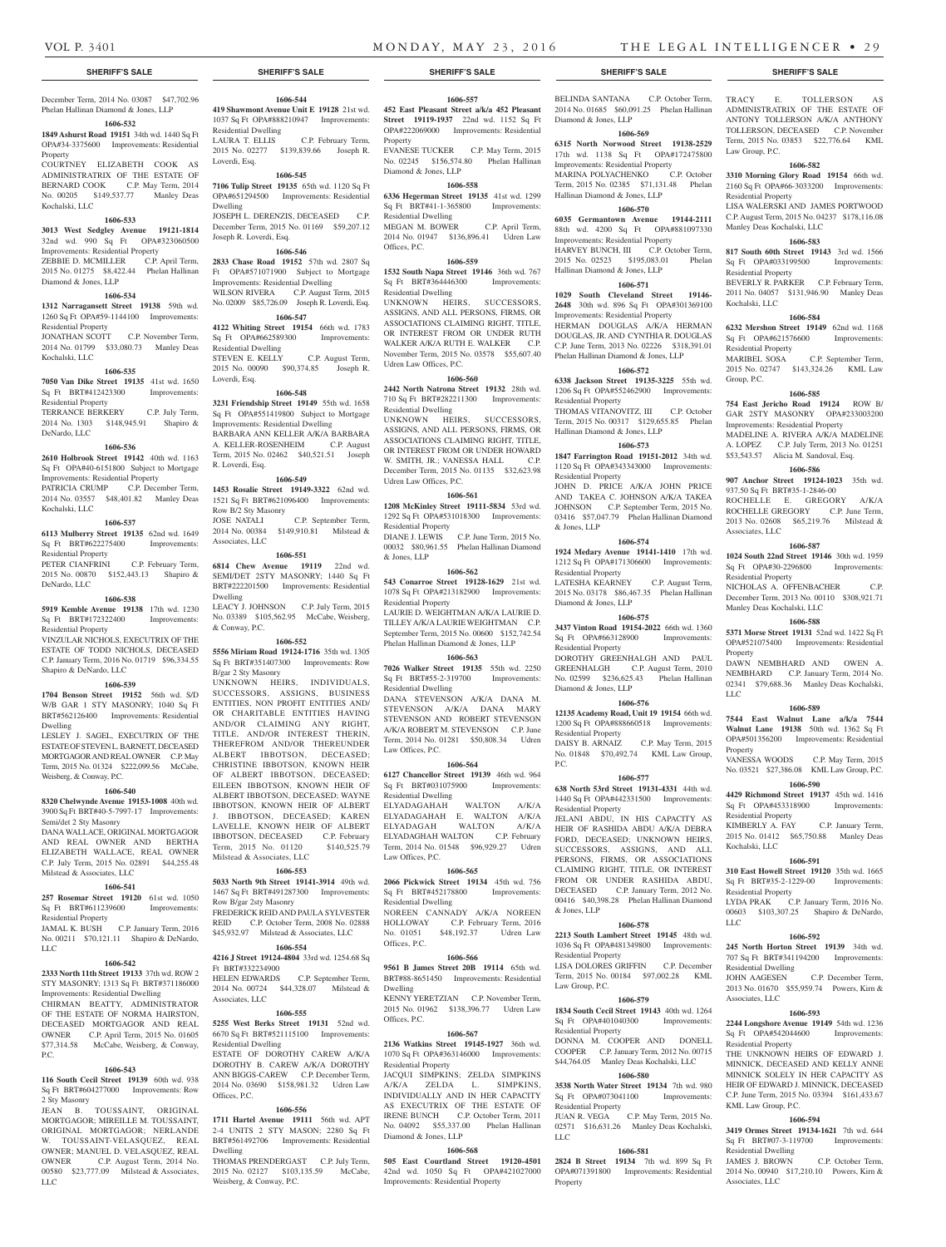Law Group, P.C.

Residential Property

Residential Property

Residential Property

Group, P.C.

Kochalski, LLC

Manley Deas Kochalski, LLC

E. TOLLERSON AS

ADMINISTRATRIX OF THE ESTATE OF ANTONY TOLLERSON A/K/A ANTHONY TOLLERSON, DECEASED C.P. November Term, 2015 No. 03853 \$22,776.64 KML

**1606-582 3310 Morning Glory Road 19154** 66th wd. 2160 Sq Ft OPA#66-3033200 Improvements:

LISA WALERSKI AND JAMES PORTWOOD C.P. August Term, 2015 No. 04237 \$178,116.08

**1606-583 817 South 60th Street 19143** 3rd wd. 1566 Sq Ft OPA#033199500 Improvements:

BEVERLY R. PARKER C.P. February Term, 2011 No. 04057 \$131,946.90 Manley Deas

**1606-584 6232 Mershon Street 19149** 62nd wd. 1168 Sq Ft OPA#621576600 Improvements:

MARIBEL SOSA C.P. September Term, 2015 No. 02747 \$143,324.26 KML Law

**1606-585 754 East Jericho Road 19124** ROW B/ GAR 2STY MASONRY OPA#233003200 Improvements: Residential Property MADELINE A. RIVERA A/K/A MADELINE A. LOPEZ C.P. July Term, 2013 No. 01251 \$53,543.57 Alicia M. Sandoval, Esq. **1606-586 907 Anchor Street 19124-1023** 35th wd.

ROCHELLE E. GREGORY A/K/A ROCHELLE GREGORY C.P. June Term, 2013 No. 02608 \$65,219.76 Milstead &

**1606-587 1024 South 22nd Street 19146** 30th wd. 1959 Sq Ft OPA#30-2296800 Improvements:

NICHOLAS A. OFFENBACHER C.P. December Term, 2013 No. 00110 \$308,921.71

**1606-588 5371 Morse Street 19131** 52nd wd. 1422 Sq Ft OPA#521075400 Improvements: Residential

DAWN NEMBHARD AND OWEN A. NEMBHARD C.P. January Term, 2014 No. 02341 \$79,688.36 Manley Deas Kochalski,

**1606-589 7544 East Walnut Lane a/k/a 7544 Walnut Lane 19138** 50th wd. 1362 Sq Ft OPA#501356200 Improvements: Residential

VANESSA WOODS C.P. May Term, 2015 No. 03521 \$27,386.08 KML Law Group, P.C. **1606-590 4429 Richmond Street 19137** 45th wd. 1416 Sq Ft OPA#453318900 Improvements:

KIMBERLY A. FAY C.P. January Term, 2015 No. 01412 \$65,750.88 Manley Deas

**1606-591 310 East Howell Street 19120** 35th wd. 1665 Sq Ft BRT#35-2-1229-00 Improvements:

LYDA PRAK C.P. January Term, 2016 No. 00603 \$103,307.25 Shapiro & DeNardo,

**1606-592 245 North Horton Street 19139** 34th wd. 707 Sq Ft BRT#341194200 Improvements:

JOHN AAGESEN C.P. December Term, 2013 No. 01670 \$55,959.74 Powers, Kirn &

**1606-593 2244 Longshore Avenue 19149** 54th wd. 1236 Sq Ft OPA#542044600 Improvements:

THE UNKNOWN HEIRS OF EDWARD J. MINNICK, DECEASED AND KELLY ANNE MINNICK SOLELY IN HER CAPACITY AS HEIR OF EDWARD J. MINNICK, DECEASED C.P. June Term, 2015 No. 03394 \$161,433.67

**1606-594 3419 Ormes Street 19134-1621** 7th wd. 644 Sq Ft BRT#07-3-119700 Improvements:

JAMES J. BROWN C.P. October Term, 2014 No. 00940 \$17,210.10 Powers, Kirn &

937.50 Sq Ft BRT#35-1-2846-00

Associates, LLC

Residential Property

**Property** 

LLC

Property

Residential Property

Residential Property

Residential Dwelling

Associates, LLC

Residential Property

KML Law Group, P.C.

Residential Dwelling

Associates, LLC

LLC

Kochalski, LLC

Manley Deas Kochalski, LLC

BELINDA SANTANA C.P. October Term, TRACY

2014 No. 01685 \$60,091.25 Phelan Hallinan

**1606-569 6315 North Norwood Street 19138-2529** 17th wd. 1138 Sq Ft OPA#172475800 Improvements: Residential Property<br>MARINA POLYACHENKO C.P. October

Term, 2015 No. 02385 \$71,131.48 Phelan

**1606-570 6035 Germantown Avenue 19144-2111** 88th wd. 4200 Sq Ft OPA#881097330

HARVEY BUNCH, III C.P. October Term, 2015 No. 02523 \$195,083.01 Phelan

**1606-571 1029 South Cleveland Street 19146- 2648** 30th wd. 896 Sq Ft OPA#301369100 Improvements: Residential Property HERMAN DOUGLAS A/K/A HERMAN DOUGLAS, JR. AND CYNTHIA R. DOUGLAS C.P. June Term, 2013 No. 02226 \$318,391.01 Phelan Hallinan Diamond & Jones, LLP **1606-572 6338 Jackson Street 19135-3225** 55th wd. 1206 Sq Ft OPA#552462900 Improvements:

THOMAS VITANOVITZ, III C.P. October Term, 2015 No. 00317 \$129,655.85 Phelan

**1606-573 1847 Farrington Road 19151-2012** 34th wd. 1120 Sq Ft OPA#343343000 Improvements:

JOHN D. PRICE A/K/A JOHN PRICE AND TAKEA C. JOHNSON A/K/A TAKEA JOHNSON C.P. September Term, 2015 No. 03416 \$57,047.79 Phelan Hallinan Diamond

**1606-574 1924 Medary Avenue 19141-1410** 17th wd. 1212 Sq Ft OPA#171306600 Improvements:

LATESHA KEARNEY C.P. August Term, 2015 No. 03178 \$86,467.35 Phelan Hallinan

**1606-575 3437 Vinton Road 19154-2022** 66th wd. 1360 Sq Ft OPA#663128900 Improvements:

DOROTHY GREENHALGH AND PAUL GREENHALGH C.P. August Term, 2010 No. 02599 \$236,625.43 Phelan Hallinan

**1606-576 12135 Academy Road, Unit 19 19154** 66th wd. 1200 Sq Ft OPA#888660518 Improvements:

DAISY B. ARNAIZ C.P. May Term, 2015 No. 01848 \$70,492.74 KML Law Group,

**1606-577 638 North 53rd Street 19131-4331** 44th wd. 1440 Sq Ft OPA#442331500 Improvements:

JELANI ABDU, IN HIS CAPACITY AS HEIR OF RASHIDA ABDU A/K/A DEBRA FORD, DECEASED; UNKNOWN HEIRS, SUCCESSORS, ASSIGNS, AND ALL PERSONS, FIRMS, OR ASSOCIATIONS CLAIMING RIGHT, TITLE, OR INTEREST FROM OR UNDER RASHIDA ABDU, DECEASED C.P. January Term, 2012 No. 00416 \$40,398.28 Phelan Hallinan Diamond

**1606-578 2213 South Lambert Street 19145** 48th wd. 1036 Sq Ft OPA#481349800 Improvements:

LISA DOLORES GRIFFIN C.P. December Term, 2015 No. 00184 \$97,002.28 KML

**1606-579 1834 South Cecil Street 19143** 40th wd. 1264 Sq Ft OPA#401040300 Improvements:

DONNA M. COOPER AND DONELL COOPER C.P. January Term, 2012 No. 00715 \$44,764.05 Manley Deas Kochalski, LLC **1606-580 3538 North Water Street 19134** 7th wd. 980 Sq Ft OPA#073041100 Improvements:

JUAN R. VEGA C.P. May Term, 2015 No. 02571 \$16,631.26 Manley Deas Kochalski,

**1606-581 2824 B Street 19134** 7th wd. 899 Sq Ft

Improvements: Residential

Diamond & Jones, LLP

MARINA POLYACHENKO

Hallinan Diamond & Jones, LLP

Improvements: Residential Property

Hallinan Diamond & Jones, LLP

Residential Property

Residential Property

& Jones, LLP

Residential Property

Diamond & Jones, LLP

Residential Property

Diamond & Jones, LLP

Residential Property

Residential Property

& Jones, LLP

Residential Property

Law Group, P.C.

Residential Property

Residential Property

LLC

Property

P.C.

Hallinan Diamond & Jones, LLP

## **SHERIFF'S SALE SHERIFF'S SALE SHERIFF'S SALE SHERIFF'S SALE SHERIFF'S SALE**

## December Term, 2014 No. 03087 \$47,702.96 Phelan Hallinan Diamond & Jones, LLP

## **1606-532**

**1849 Ashurst Road 19151** 34th wd. 1440 Sq Ft OPA#34-3375600 Improvements: Residential

## Property COURTNEY ELIZABETH COOK AS ADMINISTRATRIX OF THE ESTATE OF BERNARD COOK C.P. May Term, 2014 No. 00205 \$149,537.77 Manley Deas

Kochalski, LLC **1606-533**

### **3013 West Sedgley Avenue 19121-1814** 32nd wd. 990 Sq Ft OPA#323060500 Improvements: Residential Property ZEBBIE D. MCMILLER C.P. April Term, 2015 No. 01275 \$8,422.44 Phelan Hallinan

Diamond & Jones, LLP **1606-534**

**1312 Narragansett Street 19138** 59th wd. 1260 Sq Ft OPA#59-1144100 Improvements: Residential Property JONATHAN SCOTT C.P. November Term, 2014 No. 01799 \$33,080.73 Manley Deas

# Kochalski, LLC

**1606-535 7050 Van Dike Street 19135** 41st wd. 1650<br>Sq Ft BRT#412423300 Improvements: Sq Ft BRT#412423300 Residential Property TERRANCE BERKERY C.P. July Term,

## 2014 No. 1303 \$148,945.91 Shapiro & DeNardo, LLC

## **1606-536**

**2610 Holbrook Street 19142** 40th wd. 1163 Sq Ft OPA#40-6151800 Subject to Mortgage Improvements: Residential Property

PATRICIA CRUMP C.P. December Term, 2014 No. 03557 \$48,401.82 Manley Deas Kochalski, LLC

## **1606-537**

**6113 Mulberry Street 19135** 62nd wd. 1649<br>Sq Ft BRT#622275400 Improvements: Sq Ft BRT#622275400 Residential Property PETER CIANFRINI C.P. February Term,

## 2015 No. 00870 \$152,443.13 Shapiro & DeNardo, LLC **1606-538**

**5919 Kemble Avenue 19138** 17th wd. 1230 Sq Ft BRT#172322400 Improvements:

Residential Property VINZULAR NICHOLS, EXECUTRIX OF THE ESTATE OF TODD NICHOLS, DECEASED C.P. January Term, 2016 No. 01719 \$96,334.55 Shapiro & DeNardo, LLC

### **1606-539**

**1704 Benson Street 19152** 56th wd. S/D W/B GAR 1 STY MASONRY; 1040 Sq Ft BRT#562126400 Improvements: Residential Dwelling

LESLEY J. SAGEL, EXECUTRIX OF THE ESTATE OF STEVEN L. BARNETT, DECEASED MORTGAGOR AND REAL OWNER C.P. May Term, 2015 No. 01324 \$222,099.56 McCabe, Weisberg, & Conway, P.C.

#### **1606-540**

**8320 Chelwynde Avenue 19153-1008** 40th wd. 3900 Sq Ft BRT#40-5-7997-17 Improvements: Semi/det 2 Sty Masonry DANA WALLACE, ORIGINAL MORTGAGOR

AND REAL OWNER AND BERTHA ELIZABETH WALLACE, REAL OWNER C.P. July Term, 2015 No. 02891 \$44,255.48 Milstead & Associates, LLC

## **1606-541**

**257 Rosemar Street 19120** 61st wd. 1050 Sq Ft BRT#611239600 Improvements: Residential Property

## JAMAL K. BUSH C.P. January Term, 2016 No. 00211 \$70,121.11 Shapiro & DeNardo, LLC

## **1606-542**

**2333 North 11th Street 19133** 37th wd. ROW 2 STY MASONRY; 1313 Sq Ft BRT#371186000 Improvements: Residential Dwelling

## CHIRMAN BEATTY, ADMINISTRATOR OF THE ESTATE OF NORMA HAIRSTON, DECEASED MORTGAGOR AND REAL OWNER C.P. April Term, 2015 No. 01605 \$77,314.58 McCabe, Weisberg, & Conway, P.C.

## **1606-543**

**116 South Cecil Street 19139** 60th wd. 938 Sq Ft BRT#604277000 Improvements: Row 2 Sty Masonry

JEAN B. TOUSSAINT. ORIGINAL MORTGAGOR: MIREILLE M. TOUSSAINT ORIGINAL MORTGAGOR; NERLANDE W. TOUSSAINT-VELASQUEZ, REAL OWNER; MANUEL D. VELASQUEZ, REAL OWNER C.P. August Term, 2014 No. 00580 \$23,777.09 Milstead & Associates, LLC

## **1606-544**

**419 Shawmont Avenue Unit E 19128** 21st wd. 1037 Sq Ft OPA#888210947 Improvements: Residential Dwelling LAURA T. ELLIS C.P. February Term, 2015 No. 02277 \$139,839.66 Joseph R. Loverdi, Esq.

## **1606-545**

**7106 Tulip Street 19135** 65th wd. 1120 Sq Ft OPA#651294500 Improvements: Residential Dwelling JOSEPH L. DERENZIS, DECEASED C.P. December Term, 2015 No. 01169 \$59,207.12 Joseph R. Loverdi, Esq.

## **1606-546**

**2833 Chase Road 19152** 57th wd. 2807 Sq Ft OPA#571071900 Subject to Mortgage Improvements: Residential Dwelling WILSON RIVERA C.P. August Term, 2015 No. 02009 \$85,726.09 Joseph R. Loverdi, Esq.

## **1606-547**

**4122 Whiting Street 19154** 66th wd. 1783 Sq Ft OPA#662589300 Improvements: Residential Dwelling STEVEN E. KELLY C.P. August Term, 2015 No. 00090 \$90,374.85 Joseph R.

Loverdi, Esq. **1606-548**

## **3231 Friendship Street 19149** 55th wd. 1658 Sq Ft OPA#551419800 Subject to Mortgage Improvements: Residential Dwelling BARBARA ANN KELLER A/K/A BARBARA A. KELLER-ROSENHEIM C.P. August Term, 2015 No. 02462 \$40,521.51 Joseph R. Loverdi, Esq.

### **1606-549**

**1453 Rosalie Street 19149-3322** 62nd wd. 1521 Sq Ft BRT#621096400 Improvements: Row B/2 Sty Masonry JOSE NATALI C.P. September Term,<br>2014 No. 00384 \$149,910.81 Milstead &

\$149,910.81 Milstead & Associates, LLC **1606-551**

## **6814 Chew Avenue 19119** 22nd wd.

SEMI/DET 2STY MASONRY; 1440 Sq Ft BRT#222201500 Improvements: Residential Dwelling LEACY J. JOHNSON C.P. July Term, 2015 No. 03389 \$105,562.95 McCabe, Weisberg, & Conway, P.C.

### **1606-552**

## **5556 Miriam Road 19124-1716** 35th wd. 1305 Sq Ft BRT#351407300 Improvements: Row B/gar 2 Sty Masonry

UNKNOWN HEIRS, INDIVIDUALS, SUCCESSORS, ASSIGNS, BUSINESS ENTITIES, NON PROFIT ENTITIES AND/ OR CHARITABLE ENTITIES HAVING AND/OR CLAIMING ANY RIGHT, TITLE, AND/OR INTEREST THERIN, THEREFROM AND/OR THEREUNDER ALBERT IBBOTSON, DECEASED; CHRISTINE IBBOTSON, KNOWN HEIR OF ALBERT IBBOTSON, DECEASED; EILEEN IBBOTSON, KNOWN HEIR OF ALBERT IBBOTSON, DECEASED; WAYNE IBBOTSON, KNOWN HEIR OF ALBERT J. IBBOTSON, DECEASED; KAREN LAVELLE, KNOWN HEIR OF ALBERT

IBBOTSON, DECEASED C.P. February<br>
Term. 2015 No. 01120 \$140.525.79 Term, 2015 No. 01120 Milstead & Associates, LLC **1606-553**

**5033 North 9th Street 19141-3914** 49th wd. 1467 Sq Ft BRT#491287300 Improvements: Row B/gar 2sty Masonry FREDERICK REID AND PAULA SYLVESTER

REID C.P. October Term, 2008 No. 02888 \$45,932.97 Milstead & Associates, LLC

## **1606-554**

**4216 J Street 19124-4804** 33rd wd. 1254.68 Sq Ft BRT#332234900 HELEN EDWARDS C.P. September Term,

2014 No. 00724 \$44,328.07 Milstead & Associates, LLC

### **1606-555**

**5255 West Berks Street 19131** 52nd wd. 6670 Sq Ft BRT#521115100 Improvements: Residential Dwelling ESTATE OF DOROTHY CAREW A/K/A

DOROTHY B. CAREW A/K/A DOROTHY ANN BIGGS-CAREW C.P. December Term, 2014 No. 03690 \$158,981.32 Udren Law Offices, P.C.

### **1606-556**

**1711 Hartel Avenue 19111** 56th wd. APT 2-4 UNITS 2 STY MASON; 2280 Sq Ft BRT#561492706 Improvements: Residential Dwelling THOMAS PRENDERGAST C.P. July Term,

2015 No. 02127 \$103,135.59 McCabe, Weisberg, & Conway, P.C.

**1606-557 452 East Pleasant Street a/k/a 452 Pleasant Street 19119-1937** 22nd wd. 1152 Sq Ft OPA#222069000 Improvements: Residential Property EVANESE TUCKER C.P. May Term, 2015

No. 02245 \$156,574.80 Phelan Hallinan Diamond & Jones, LLP

## **1606-558**

**6336 Hegerman Street 19135** 41st wd. 1299 Sq Ft BRT#41-1-365800 Improvements: Residential Dwelling MEGAN M. BOWER C.P. April Term, 2014 No. 01947 \$136,896.41 Udren Law Offices, P.C.

## **1606-559**

**1532 South Napa Street 19146** 36th wd. 767 Sq Ft BRT#364446300 Improvements: Residential Dwelling

UNKNOWN HEIRS, SUCCESSORS, ASSIGNS, AND ALL PERSONS, FIRMS, OR ASSOCIATIONS CLAIMING RIGHT, TITLE, OR INTEREST FROM OR UNDER RUTH WALKER A/K/A RUTH E. WALKER C.P. November Term, 2015 No. 03578 \$55,607.40 Udren Law Offices, P.C.

## **1606-560**

**2442 North Natrona Street 19132** 28th wd. 710 Sq Ft BRT#282211300 Improvements: Residential Dwelling UNKNOWN HEIRS, SUCCESSORS, ASSIGNS, AND ALL PERSONS, FIRMS, OR ASSOCIATIONS CLAIMING RIGHT, TITLE, OR INTEREST FROM OR UNDER HOWARD W. SMITH, JR.; VANESSA HALL December Term, 2015 No. 01135 \$32,623.98 Udren Law Offices, P.C.

## **1606-561**

**1208 McKinley Street 19111-5834** 53rd wd. 1292 Sq Ft OPA#531018300 Improvements: Residential Property DIANE J. LEWIS C.P. June Term, 2015 No. 00032 \$80,961.55 Phelan Hallinan Diamond & Jones, LLP

## **1606-562**

**543 Conarroe Street 19128-1629** 21st wd. 1078 Sq Ft OPA#213182900 Improvements: Residential Property LAURIE D. WEIGHTMAN A/K/A LAURIE D. TILLEY A/K/A LAURIE WEIGHTMAN C.P.

September Term, 2015 No. 00600 \$152,742.54 Phelan Hallinan Diamond & Jones, LLP **1606-563**

**7026 Walker Street 19135** 55th wd. 2250 Sq Ft BRT#55-2-319700 Improvements: Residential Dwelling

DANA STEVENSON A/K/A DANA M. STEVENSON A/K/A DANA MARY STEVENSON AND ROBERT STEVENSON A/K/A ROBERT M. STEVENSON C.P. June Term, 2014 No. 01281 \$50,808.34 Udren Law Offices, P.C.

#### **1606-564**

**6127 Chancellor Street 19139** 46th wd. 964 Sq Ft BRT#031075900 Residential Dwelling

ELYADAGAHAH WALTON A/K/A ELYADAGAHAH E. WALTON A/K/A ELYADAGAH WALTON A/K/A ELYADAGHAH WALTON C.P. February Term, 2014 No. 01548 \$96,929.27 Udren Law Offices, P.C.

#### **1606-565**

**2066 Pickwick Street 19134** 45th wd. 756 Sq Ft BRT#452178800 Improvements: Residential Dwelling NOREEN CANNADY A/K/A NOREEN<br>HOLLOWAY C.P. February Term, 2016

C.P. February Term, 2016 No. 01051 \$48,192.37 Udren Law Offices, P.C. **1606-566**

**9561 B James Street 20B 19114** 65th wd. BRT#88-8651450 Improvements: Residential Dwelling KENNY YERETZIAN C.P. November Term,

2015 No. 01962 \$138,396.77 Udren Law Offices, P.C.

## **1606-567**

**2136 Watkins Street 19145-1927** 36th wd. 1070 Sq Ft OPA#363146000 Improvements: Residential Property JACQUI SIMPKINS; ZELDA SIMPKINS

A/K/A ZELDA L. SIMPKINS, INDIVIDUALLY AND IN HER CAPACITY AS EXECUTRIX OF THE ESTATE OF IRENE BUNCH C.P. October Term, 2011 No. 04092 \$55,337.00 Phelan Hallinan Diamond & Jones, LLP

**1606-568 505 East Courtland Street 19120-4501** 42nd wd. 1050 Sq Ft OPA#421027000 Improvements: Residential Property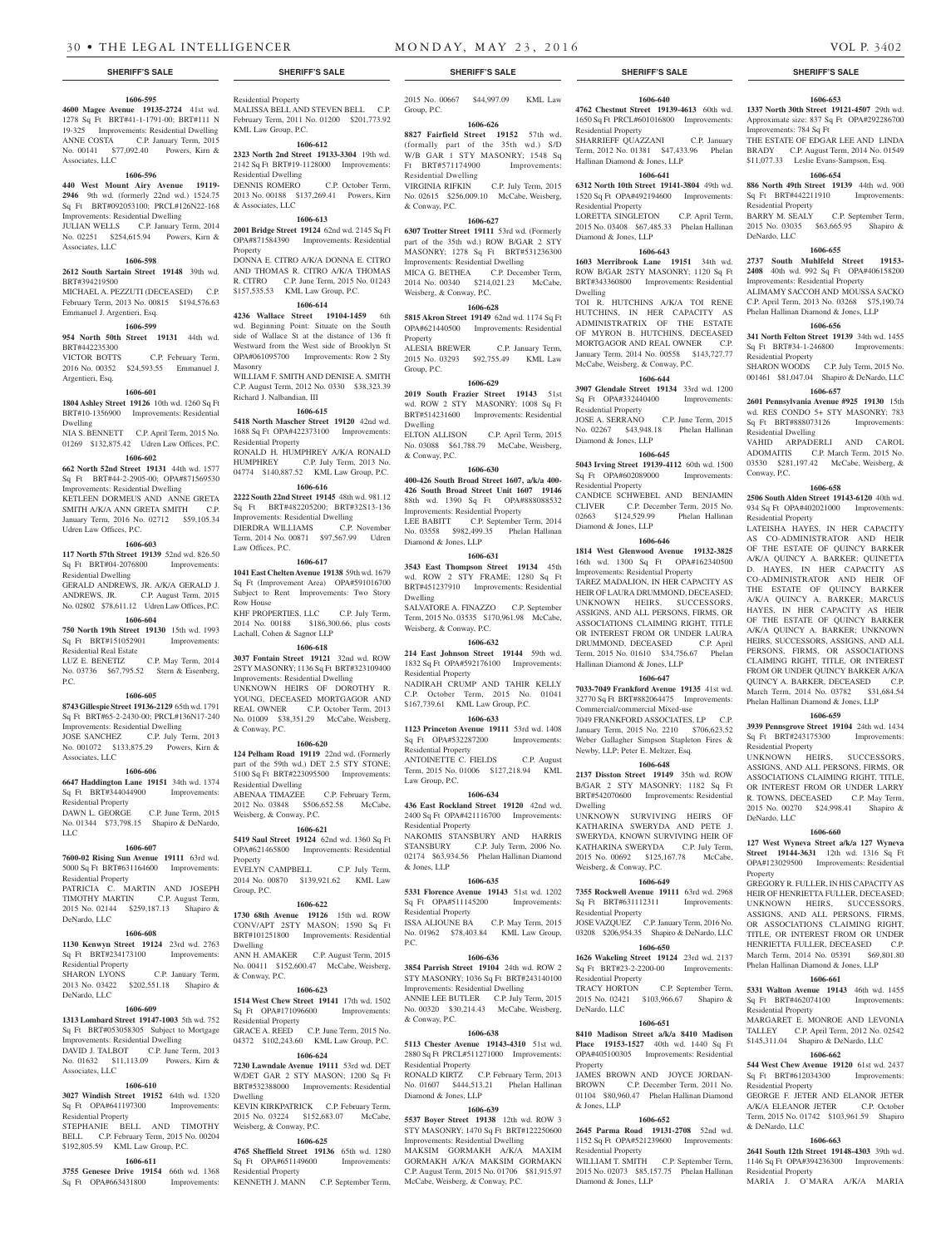## **1606-595**

**4600 Magee Avenue 19135-2724** 41st wd. 1278 Sq Ft BRT#41-1-1791-00; BRT#111 N 19-325 Improvements: Residential Dwelling ANNE COSTA C.P. January Term, 2015 No. 00141 \$77,092.40 Powers, Kirn & Associates, LLC

#### **1606-596**

**440 West Mount Airy Avenue 19119- 2946** 9th wd. (formerly 22nd wd.) 1524.75 Sq Ft BRT#092053100; PRCL#126N22-168 Improvements: Residential Dwelling JULIAN WELLS C.P. January Term, 2014 No. 02251 \$254,615.94 Powers, Kirn & Associates, LLC

#### **1606-598 2612 South Sartain Street 19148** 39th wd.

BRT#394219500 MICHAEL A. PEZZUTI (DECEASED) C.P. February Term, 2013 No. 00815 \$194,576.63 Emmanuel J. Argentieri, Esq.

## **1606-599**

**954 North 50th Street 19131** 44th wd.

BRT#442235300 C.P. February Term, 2016 No. 00352 \$24,593.55 Emmanuel J. Argentieri, Esq.

## **1606-601**

**1804 Ashley Street 19126** 10th wd. 1260 Sq Ft BRT#10-1356900 Improvements: Residential

Dwelling NIA S. BENNETT C.P. April Term, 2015 No. 01269 \$132,875.42 Udren Law Offices, P.C.

### **1606-602**

**662 North 52nd Street 19131** 44th wd. 1577 Sq Ft BRT#44-2-2905-00; OPA#871569530 Improvements: Residential Dwelling KETLEEN DORMEUS AND ANNE GRETA SMITH A/K/A ANN GRETA SMITH C.P. January Term, 2016 No. 02712 \$59,105.34 Udren Law Offices, P.C.

## **1606-603**

**117 North 57th Street 19139** 52nd wd. 826.50 Sq Ft BRT#04-2076800 Improvements: Residential Dwelling

GERALD ANDREWS, JR. A/K/A GERALD J. ANDREWS, JR. C.P. August Term, 2015 No. 02802 \$78,611.12 Udren Law Offices, P.C.

## **1606-604 750 North 19th Street 19130** 15th wd. 1993<br>Sq Ft BRT#151052901 Improvements:

Sq Ft BRT#151052901 Residential Real Estate LUZ E. BENETIZ C.P. May Term, 2014

#### No. 03736 \$67,795.52 Stern & Eisenberg,  $PC$

## **1606-605**

**8743 Gillespie Street 19136-2129** 65th wd. 1791 Sq Ft BRT#65-2-2430-00; PRCL#136N17-240 Improvements: Residential Dwelling JOSE SANCHEZ C.P. July Term, 2013 No. 001072 \$133,875.29 Powers, Kirn & Associates, LLC

## **1606-606**

**6647 Haddington Lane 19151** 34th wd. 1374

Sq Ft BRT#344044900 Improvements: Residential Property DAWN L. GEORGE C.P. June Term, 2015

No. 01344 \$73,798.15 Shapiro & DeNardo, LLC

## **1606-607**

**7600-02 Rising Sun Avenue 19111** 63rd wd. 5000 Sq Ft BRT#631164600 Improvements: Residential Property PATRICIA C. MARTIN AND JOSEPH TIMOTHY MARTIN C.P. August Term, 2015 No. 02144 \$259,187.13 Shapiro & DeNardo, LLC

### **1606-608**

**1130 Kenwyn Street 19124** 23rd wd. 2763<br>So Ft BRT#234173100 Improvements: Improvements: Residential Property SHARON LYONS C.P. January Term,

## 2013 No. 03422 \$202,551.18 Shapiro & DeNardo, LLC **1606-609**

**1313 Lombard Street 19147-1003** 5th wd. 752 Sq Ft BRT#053058305 Subject to Mortgage Improvements: Residential Dwelling DAVID J. TALBOT C.P. June Term, 2013 No. 01632 \$11,113.09 Powers, Kirn & Associates, LLC

### **1606-610**

**3027 Windish Street 19152** 64th wd. 1320 Sq Ft OPA#641197300 Improvements: Residential Property STEPHANIE BELL AND TIMOTHY

BELL C.P. February Term, 2015 No. 00204 \$192,805.59 KML Law Group, P.C. **1606-611**

**3755 Genesee Drive 19154** 66th wd. 1368 Sq Ft OPA#663431800 Improvements:

Residential Property MALISSA BELL AND STEVEN BELL C.P. February Term, 2011 No. 01200 \$201,773.92 KML Law Group, P.C.

**1606-612 2323 North 2nd Street 19133-3304** 19th wd. 2142 Sq Ft BRT#19-1128000 Improvements:

Residential Dwelling DENNIS ROMERO C.P. October Term, 2013 No. 00188 \$137,269.41 Powers, Kirn & Associates, LLC

**1606-613 2001 Bridge Street 19124** 62nd wd. 2145 Sq Ft OPA#871584390 Improvements: Residential Property DONNA E. CITRO A/K/A DONNA E. CITRO AND THOMAS R. CITRO A/K/A THOMAS

R. CITRO C.P. June Term, 2015 No. 01243 \$157,535.53 KML Law Group, P.C. **1606-614**

**4236 Wallace Street 19104-1459** 6th wd. Beginning Point: Situate on the South side of Wallace St at the distance of 136 ft Westward from the West side of Brooklyn St OPA#061095700 Improvements: Row 2 Sty Masonry WILLIAM F. SMITH AND DENISE A. SMITH

C.P. August Term, 2012 No. 0330 \$38,323.39 Richard J. Nalbandian, III

**1606-615 5418 North Mascher Street 19120** 42nd wd. 1688 Sq Ft OPA#422373100 Improvements:

Residential Property RONALD H. HUMPHREY A/K/A RONALD<br>HUMPHREY CP July Term 2013 No C.P. July Term, 2013 No. 04774 \$140,887.52 KML Law Group, P.C.

## **1606-616**

**2222 South 22nd Street 19145** 48th wd. 981.12 Sq Ft BRT#482205200; BRT#32S13-136 Improvements: Residential Dwelling DIERDRA WILLIAMS C.P. November Term, 2014 No. 00871 \$97,567.99 Udren Law Offices, P.C.

**1606-617**

**1041 East Chelten Avenue 19138** 59th wd. 1679 Sq Ft (Improvement Area) OPA#591016700 Subject to Rent Improvements: Two Story Row House

KHF PROPERTIES, LLC C.P. July Term, 2014 No. 00188 \$186,300.66, plus costs

## Lachall, Cohen & Sagnor LLP **1606-618**

**3037 Fontain Street 19121** 32nd wd. ROW 2STY MASONRY; 1136 Sq Ft BRT#323109400 Improvements: Residential Dwelling UNKNOWN HEIRS OF DOROTHY R. YOUNG, DECEASED MORTGAGOR AND REAL OWNER C.P. October Term, 2013 No. 01009 \$38,351.29 McCabe, Weisberg, & Conway, P.C.

### **1606-620**

**124 Pelham Road 19119** 22nd wd. (Formerly part of the 59th wd.) DET 2.5 STY STONE; 5100 Sq Ft BRT#223095500 Improvements: Residential Dwelling ABENAA TIMAZEE C.P. February Term,

2012 No. 03848 \$506,652.58 McCabe, Weisberg, & Conway, P.C. **1606-621**

**5419 Saul Street 19124** 62nd wd. 1360 Sq Ft OPA#621465800 Improvements: Residential Property EVELYN CAMPBELL C.P. July Term, 2014 No. 00870 \$139,921.62 KML Law Group, P.C.

## **1606-622**

**1730 68th Avenue 19126** 15th wd. ROW CONV/APT 2STY MASON; 1590 Sq Ft BRT#101251800 Improvements: Residential Dwelling ANN H. AMAKER C.P. August Term, 2015 No. 00411 \$152,600.47 McCabe, Weisberg, & Conway, P.C.

## **1606-623**

**1514 West Chew Street 19141** 17th wd. 1502 Sq Ft OPA#171096600 Improvements: Residential Property GRACE A. REED C.P. June Term, 2015 No. 04372 \$102,243.60 KML Law Group, P.C.

## **1606-624**

**7230 Lawndale Avenue 19111** 53rd wd. DET W/DET GAR 2 STY MASON; 1200 Sq Ft BRT#532388000 Improvements: Residential Dwelling

KEVIN KIRKPATRICK C.P. February Term, 2015 No. 03224 \$152,683.07 McCabe, Weisberg, & Conway, P.C.

## **1606-625**

**4765 Sheffield Street 19136** 65th wd. 1280 Sq Ft OPA#651149600 Improvements: Residential Property

KENNETH J. MANN C.P. September Term,

**SHERIFF'S SALE SHERIFF'S SALE SHERIFF'S SALE SHERIFF'S SALE SHERIFF'S SALE**

2015 No. 00667 \$44,997.09 KML Law Group, P.C.

**1606-640 4762 Chestnut Street 19139-4613** 60th wd. 1650 Sq Ft PRCL#601016800 Improvements:

**1606-653 1337 North 30th Street 19121-4507** 29th wd. Approximate size: 837 Sq Ft OPA#292286700

THE ESTATE OF EDGAR LEE AND LINDA BRADY C.P. August Term, 2014 No. 01549 \$11,077.33 Leslie Evans-Sampson, Esq. **1606-654 886 North 49th Street 19139** 44th wd. 900 Sq Ft BRT#442211910 Improvements:

BARRY M. SEALY C.P. September Term,<br>
2015 No. 03035 \$63,665.95 Shapiro &

**1606-655 2737 South Muhlfeld Street 19153- 2408** 40th wd. 992 Sq Ft OPA#406158200

SHARON WOODS C.P. July Term, 2015 No. 001461 \$81,047.04 Shapiro & DeNardo, LLC **1606-657 2601 Pennsylvania Avenue #925 19130** 15th wd. RES CONDO 5+ STY MASONRY; 783 Sq Ft BRT#888073126 Improvements:

VAHID ARPADERLI AND CAROL ADOMAITIS C.P. March Term, 2015 No. 03530 \$281,197.42 McCabe, Weisberg, &

**1606-658 2506 South Alden Street 19143-6120** 40th wd. 934 Sq Ft OPA#402021000 Improvements:

LATEISHA HAYES, IN HER CAPACITY AS CO-ADMINISTRATOR AND HEIR OF THE ESTATE OF QUINCY BARKER A/K/A QUINCY A. BARKER; QUINETTA D. HAYES, IN HER CAPACITY AS CO-ADMINISTRATOR AND HEIR OF THE ESTATE OF QUINCY BARKER A/K/A QUINCY A. BARKER; MARCUS HAYES, IN HER CAPACITY AS HEIR OF THE ESTATE OF QUINCY BARKER A/K/A QUINCY A. BARKER; UNKNOWN HEIRS, SUCCESSORS, ASSIGNS, AND ALL PERSONS, FIRMS, OR ASSOCIATIONS CLAIMING RIGHT, TITLE, OR INTEREST FROM OR UNDER QUINCY BARKER A/K/A QUINCY A. BARKER, DECEASED C.P. March Term, 2014 No. 03782 \$31,684.54 Phelan Hallinan Diamond & Jones, LLP **1606-659 3939 Pennsgrove Street 19104** 24th wd. 1434 Sq Ft BRT#243175300 Improvements:

UNKNOWN HEIRS, SUCCESSORS, ASSIGNS, AND ALL PERSONS, FIRMS, OR ASSOCIATIONS CLAIMING RIGHT, TITLE, OR INTEREST FROM OR UNDER LARRY R. TOWNS, DECEASED C.P. May Term, 2015 No. 00270 \$24,998.41 Shapiro &

**1606-660 127 West Wyneva Street a/k/a 127 Wyneva Street 19144-3631** 12th wd. 1316 Sq Ft OPA#123029500 Improvements: Residential

GREGORY R. FULLER, IN HIS CAPACITY AS HEIR OF HENRIETTA FULLER, DECEASED; UNKNOWN HEIRS, SUCCESSORS, ASSIGNS, AND ALL PERSONS, FIRMS, OR ASSOCIATIONS CLAIMING RIGHT, TITLE, OR INTEREST FROM OR UNDER HENRIETTA FULLER, DECEASED C.P. March Term, 2014 No. 05391 \$69,801.80 Phelan Hallinan Diamond & Jones, LLP **1606-661 5331 Walton Avenue 19143** 46th wd. 1455<br>
Sq Ft BRT#462074100 Improvements:

MARGARET E. MONROE AND LEVONIA TALLEY C.P. April Term, 2012 No. 02542 \$145,311.04 Shapiro & DeNardo, LLC **1606-662 544 West Chew Avenue 19120** 61st wd. 2437 Sq Ft BRT#612034300 Improvements:

GEORGE F. JETER AND ELANOR JETER A/K/A ELEANOR JETER C.P. October Term, 2015 No. 01742 \$103,961.59 Shapiro

**1606-663 2641 South 12th Street 19148-4303** 39th wd. 1146 Sq Ft OPA#394236300 Improvements:

MARIA J. O'MARA A/K/A MARIA

Sq Ft BRT#462074100 Residential Property

Residential Property

& DeNardo, LLC

Residential Property

Improvements: 784 Sq Ft

Residential Property

Residential Property

Residential Dwelling

Residential Property

Residential Property

DeNardo, LLC

Property

Conway, P.C.

DeNardo, LLC

2015 No. 03035 \$63,665.95

Improvements: Residential Property ALIMAMY SACCOH AND MOUSSA SACKO C.P. April Term, 2013 No. 03268 \$75,190.74 Phelan Hallinan Diamond & Jones, LLP **1606-656 341 North Felton Street 19139** 34th wd. 1455 Sq Ft BRT#34-1-246800 Improvements:

SHARRIEFF QUAZZANI C.P. January Term, 2012 No. 01381 \$47,433.96 Phelan

**1606-641 6312 North 10th Street 19141-3804** 49th wd. 1520 Sq Ft OPA#492194600 Improvements:

LORETTA SINGLETON C.P. April Term, 2015 No. 03408 \$67,485.33 Phelan Hallinan

**1606-643 1603 Merribrook Lane 19151** 34th wd. ROW B/GAR 2STY MASONRY: 1120 Sq Ft BRT#343360800 Improvements: Residential

TOI R HUTCHINS A/K/A TOI RENE HUTCHINS, IN HER CAPACITY AS ADMINISTRATRIX OF THE ESTATE OF MYRON B. HUTCHINS, DECEASED MORTGAGOR AND REAL OWNER C.P. January Term, 2014 No. 00558 \$143,727.77 McCabe, Weisberg, & Conway, P.C. **1606-644 3907 Glendale Street 19134** 33rd wd. 1200 Sq Ft OPA#332440400 Improvements:

JOSE A. SERRANO C.P. June Term, 2015 No. 02267 \$43,948.18 Phelan Hallinan

**1606-645 5043 Irving Street 19139-4112** 60th wd. 1500 Sq Ft OPA#602089000 Improvements:

CANDICE SCHWEBEL AND BENJAMIN CLIVER C.P. December Term, 2015 No. 02663 \$124,529.99 Phelan Hallinan

**1606-646 1814 West Glenwood Avenue 19132-3825** 16th wd. 1300 Sq Ft OPA#162340500

TAREZ MADALION, IN HER CAPACITY AS HEIR OF LAURA DRUMMOND, DECEASED; UNKNOWN HEIRS, SUCCESSORS, ASSIGNS, AND ALL PERSONS, FIRMS, OR ASSOCIATIONS CLAIMING RIGHT, TITLE OR INTEREST FROM OR UNDER LAURA DRUMMOND, DECEASED C.P. April Term, 2015 No. 01610 \$34,756.67 Phelan

**1606-647 7033-7049 Frankford Avenue 19135** 41st wd. 32770 Sq Ft BRT#882064475 Improvements: Commercial/commercial Mixed-use 7049 FRANKFORD ASSOCIATES, LP C.P. January Term, 2015 No. 2210 \$706,623.52 Weber Gallagher Simpson Stapleton Fires & Newby, LLP; Peter E. Meltzer, Esq. **1606-648 2137 Disston Street 19149** 35th wd. ROW B/GAR 2 STY MASONRY; 1182 Sq Ft BRT#542070600 Improvements: Residential

UNKNOWN SURVIVING HEIRS OF KATHARINA SWERYDA AND PETE J. SWERYDA, KNOWN SURVIVING HEIR OF KATHARINA SWERYDA C.P. July Term, 2015 No. 00692 \$125,167.78 McCabe,

**1606-649 7355 Rockwell Avenue 19111** 63rd wd. 2968 Sq Ft BRT#631112311 Improvements:

JOSE VAZQUEZ C.P. January Term, 2016 No. 03208 \$206,954.35 Shapiro & DeNardo, LLC **1606-650 1626 Wakeling Street 19124** 23rd wd. 2137 Sq Ft BRT#23-2-2200-00 Improvements:

TRACY HORTON C.P. September Term, 2015 No. 02421 \$103,966.67 Shapiro &

**1606-651 8410 Madison Street a/k/a 8410 Madison Place 19153-1527** 40th wd. 1440 Sq Ft OPA#405100305 Improvements: Residential

JAMES BROWN AND JOYCE JORDAN-BROWN C.P. December Term, 2011 No. 01104 \$80,960.47 Phelan Hallinan Diamond

**1606-652 2645 Parma Road 19131-2708** 52nd wd. 1152 Sq Ft OPA#521239600 Improvements:

WILLIAM T. SMITH C.P. September Term, 2015 No. 02073 \$85,157.75 Phelan Hallinan

Improvements: Residential Property

Hallinan Diamond & Jones, LLP

Dwelling

Weisberg, & Conway, P.C.

Residential Property

Residential Property

DeNardo, LLC

Property

& Jones, LLP

Residential Property

Diamond & Jones, LLP

Residential Property

Residential Property

Diamond & Jones, LLP

Residential Property

Diamond & Jones, LLP

Residential Property

Diamond & Jones, LLP

Dwelling

Hallinan Diamond & Jones, LLP

## **1606-626 8827 Fairfield Street 19152** 57th wd.

(formally part of the 35th wd.) S/D W/B GAR 1 STY MASONRY; 1548 Sq Ft BRT#571174900 Improvements Residential Dwelling

VIRGINIA RIFKIN C.P. July Term, 2015 No. 02615 \$256,009.10 McCabe, Weisberg, & Conway, P.C.

## **1606-627**

**6307 Trotter Street 19111** 53rd wd. (Formerly part of the 35th wd.) ROW B/GAR 2 STY MASONRY; 1278 Sq Ft BRT#531236300 Improvements: Residential Dwelling MICA G. BETHEA C.P. December Term, 2014 No. 00340 \$214,021.23 McCabe, Weisberg, & Conway, P.C.

## **1606-628**

**5815 Akron Street 19149** 62nd wd. 1174 Sq Ft OPA#621440500 Improvements: Residential Property ALESIA BREWER C.P. January Term,

2015 No. 03293 \$92,755.49 KML Law Group, P.C. **1606-629**

## **2019 South Frazier Street 19143** 51st wd. ROW 2 STY MASONRY; 1008 Sq Ft BRT#514231600 Improvements: Residential Dwelling

ELTON ALLISON C.P. April Term, 2015 No. 03088 \$61,788.79 McCabe, Weisberg, & Conway, P.C.

## **1606-630**

**400-426 South Broad Street 1607, a/k/a 400- 426 South Broad Street Unit 1607 19146** 88th wd. 1390 Sq Ft OPA#888088532 Improvements: Residential Property LEE BABITT C.P. September Term, 2014 No. 03558 \$982,499.35 Phelan Hallinan Diamond & Jones, LLP

#### **1606-631**

**3543 East Thompson Street 19134** 45th wd. ROW 2 STY FRAME; 1280 Sq Ft BRT#451237910 Improvements: Residential Dwelling

SALVATORE A. FINAZZO C.P. September Term, 2015 No. 03535 \$170,961.98 McCabe, Weisberg, & Conway, P.C.

## **1606-632**

**214 East Johnson Street 19144** 59th wd. 1832 Sq Ft OPA#592176100 Improvements: Residential Property

NADIRAH CRUMP AND TAHIR KELLY C.P. October Term, 2015 No. 01041 \$167,739.61 KML Law Group, P.C.

### **1606-633 1123 Princeton Avenue 19111** 53rd wd. 1408 Sq Ft OPA#532287200 Improvements:

Residential Property ANTOINETTE C. FIELDS C.P. August Term, 2015 No. 01006 \$127,218.94 KML Law Group, P.C.

### **1606-634**

**436 East Rockland Street 19120** 42nd wd. 2400 Sq Ft OPA#421116700 Improvements: Residential Property

NAKOMIS STANSBURY AND HARRIS STANSBURY C.P. July Term, 2006 No. 02174 \$63,934.56 Phelan Hallinan Diamond & Jones, LLP

## **1606-635**

**5331 Florence Avenue 19143** 51st wd. 1202 Sq Ft OPA#511145200 Improvements: Residential Property ISSA ALIOUNE BA C.P. May Term, 2015

No. 01962 \$78,403.84 KML Law Group, P.C.

## **1606-636**

**3854 Parrish Street 19104** 24th wd. ROW 2 STY MASONRY: 1036 Sq Ft BRT#243140100 Improvements: Residential Dwelling ANNIE LEE BUTLER C.P. July Term, 2015 No. 00320 \$30,214.43 McCabe, Weisberg, & Conway, P.C.

**1606-638 5113 Chester Avenue 19143-4310** 51st wd. 2880 Sq Ft PRCL#511271000 Improvements:

RONALD KIRTZ C.P. February Term, 2013 No. 01607 \$444,513.21 Phelan Hallinan

**1606-639 5537 Boyer Street 19138** 12th wd. ROW 3 STY MASONRY; 1470 Sq Ft BRT#122250600 Improvements: Residential Dwelling MAKSIM GORMAKH A/K/A MAXIM GORMAKH A/K/A MAKSIM GORMAKN C.P. August Term, 2015 No. 01706 \$81,915.97

McCabe, Weisberg, & Conway, P.C.

Residential Property

Diamond & Jones, LLP